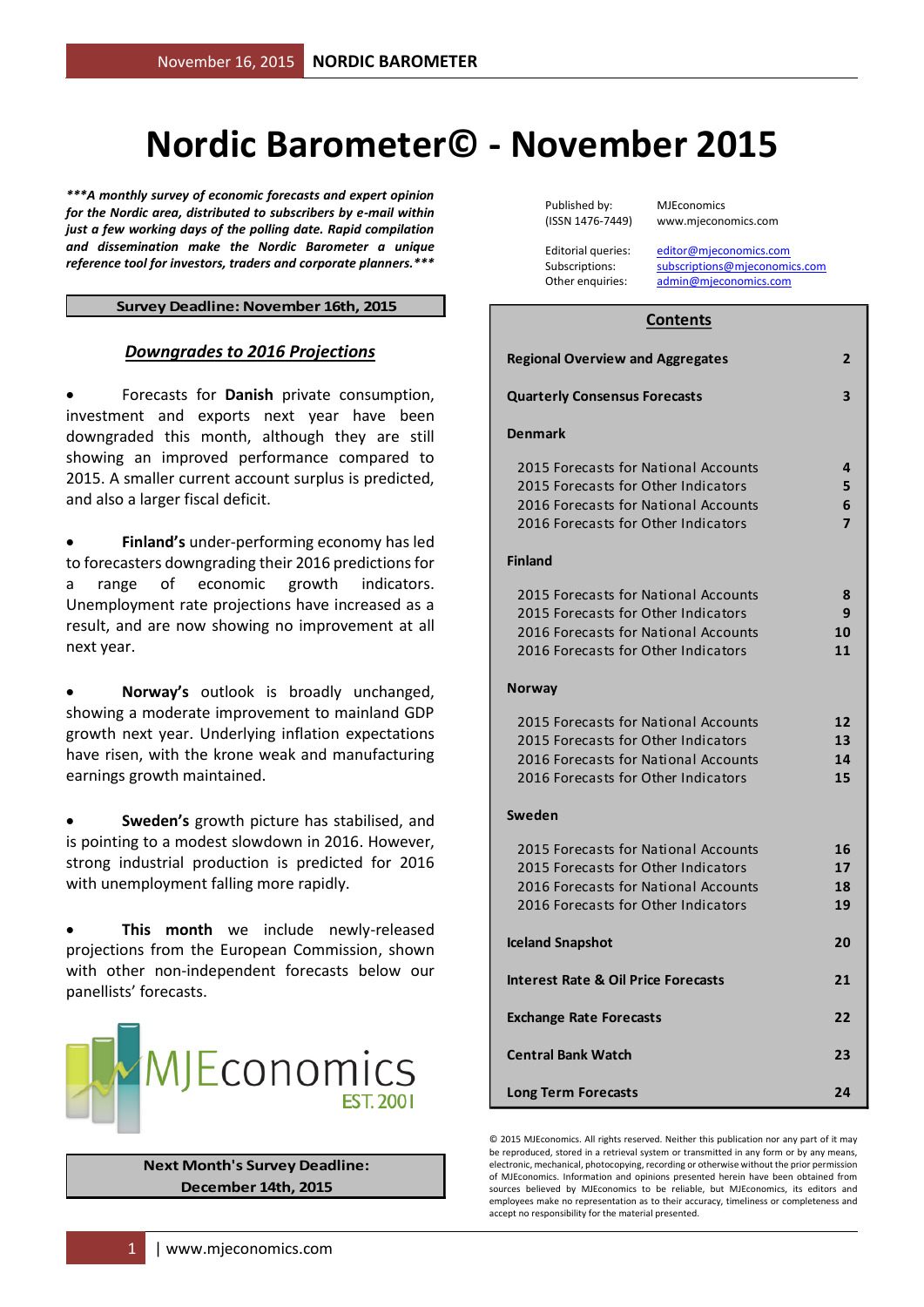# **Nordic Barometer© - November 2015**

*\*\*\*A monthly survey of economic forecasts and expert opinion for the Nordic area, distributed to subscribers by e-mail within just a few working days of the polling date. Rapid compilation and dissemination make the Nordic Barometer a unique reference tool for investors, traders and corporate planners.\*\*\**

#### **Survey Deadline: November 16th, 2015**

#### *Downgrades to 2016 Projections*

 Forecasts for **Danish** private consumption, investment and exports next year have been downgraded this month, although they are still showing an improved performance compared to 2015. A smaller current account surplus is predicted, and also a larger fiscal deficit.

 **Finland's** under-performing economy has led to forecasters downgrading their 2016 predictions for a range of economic growth indicators. Unemployment rate projections have increased as a result, and are now showing no improvement at all next year.

 **Norway's** outlook is broadly unchanged, showing a moderate improvement to mainland GDP growth next year. Underlying inflation expectations have risen, with the krone weak and manufacturing earnings growth maintained.

 **Sweden's** growth picture has stabilised, and is pointing to a modest slowdown in 2016. However, strong industrial production is predicted for 2016 with unemployment falling more rapidly.

 **This month** we include newly-released projections from the European Commission, shown with other non-independent forecasts below our panellists' forecasts.



#### **Next Month's Survey Deadline: December 14th, 2015**

Published by: MJEconomics

(ISSN 1476-7449) www.mjeconomics.com

Editorial queries: [editor@mjeconomics.com](mailto:editor@mjeconomics.com)<br>Subscriptions: subscriptions@mieconomi subscriptions@mieconomics.com Other enquiries: [admin@mjeconomics.com](mailto:admin@mjeconomics.com)

#### **Contents**

| <b>Regional Overview and Aggregates</b>                                                                                                                    | 2                    |
|------------------------------------------------------------------------------------------------------------------------------------------------------------|----------------------|
| <b>Quarterly Consensus Forecasts</b>                                                                                                                       | 3                    |
| Denmark                                                                                                                                                    |                      |
| 2015 Forecasts for National Accounts<br>2015 Forecasts for Other Indicators<br>2016 Forecasts for National Accounts<br>2016 Forecasts for Other Indicators | 4<br>5<br>6<br>7     |
| <b>Finland</b>                                                                                                                                             |                      |
| 2015 Forecasts for National Accounts<br>2015 Forecasts for Other Indicators<br>2016 Forecasts for National Accounts<br>2016 Forecasts for Other Indicators | 8<br>9<br>10<br>11   |
| Norway                                                                                                                                                     |                      |
| 2015 Forecasts for National Accounts<br>2015 Forecasts for Other Indicators<br>2016 Forecasts for National Accounts<br>2016 Forecasts for Other Indicators | 12<br>13<br>14<br>15 |
| Sweden                                                                                                                                                     |                      |
| 2015 Forecasts for National Accounts<br>2015 Forecasts for Other Indicators<br>2016 Forecasts for National Accounts<br>2016 Forecasts for Other Indicators | 16<br>17<br>18<br>19 |
| <b>Iceland Snapshot</b>                                                                                                                                    | 20                   |
| <b>Interest Rate &amp; Oil Price Forecasts</b>                                                                                                             | 21                   |
| <b>Exchange Rate Forecasts</b>                                                                                                                             | 22                   |
| <b>Central Bank Watch</b>                                                                                                                                  | 23                   |
| <b>Long Term Forecasts</b>                                                                                                                                 | 24                   |

© 2015 MJEconomics. All rights reserved. Neither this publication nor any part of it may be reproduced, stored in a retrieval system or transmitted in any form or by any means, electronic, mechanical, photocopying, recording or otherwise without the prior permission of MJEconomics. Information and opinions presented herein have been obtained from sources believed by MJEconomics to be reliable, but MJEconomics, its editors and employees make no representation as to their accuracy, timeliness or completeness and accept no responsibility for the material presented.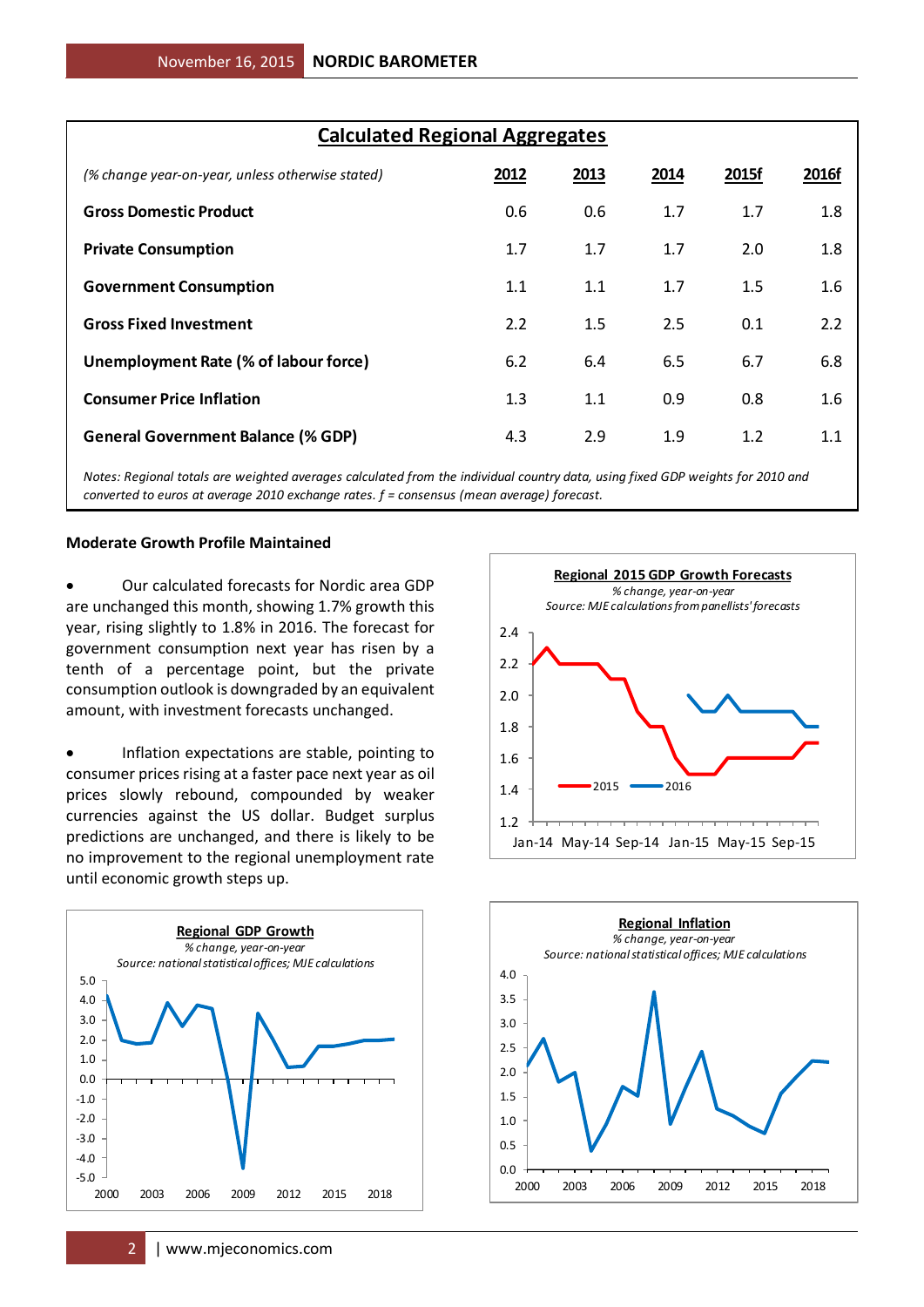| <b>Calculated Regional Aggregates</b>            |      |      |      |       |       |  |  |  |  |  |  |
|--------------------------------------------------|------|------|------|-------|-------|--|--|--|--|--|--|
| (% change year-on-year, unless otherwise stated) | 2012 | 2013 | 2014 | 2015f | 2016f |  |  |  |  |  |  |
| <b>Gross Domestic Product</b>                    | 0.6  | 0.6  | 1.7  | 1.7   | 1.8   |  |  |  |  |  |  |
| <b>Private Consumption</b>                       | 1.7  | 1.7  | 1.7  | 2.0   | 1.8   |  |  |  |  |  |  |
| <b>Government Consumption</b>                    | 1.1  | 1.1  | 1.7  | 1.5   | 1.6   |  |  |  |  |  |  |
| <b>Gross Fixed Investment</b>                    | 2.2  | 1.5  | 2.5  | 0.1   | 2.2   |  |  |  |  |  |  |
| Unemployment Rate (% of labour force)            | 6.2  | 6.4  | 6.5  | 6.7   | 6.8   |  |  |  |  |  |  |
| <b>Consumer Price Inflation</b>                  | 1.3  | 1.1  | 0.9  | 0.8   | 1.6   |  |  |  |  |  |  |
| <b>General Government Balance (% GDP)</b>        | 4.3  | 2.9  | 1.9  | 1.2   | 1.1   |  |  |  |  |  |  |

*Notes: Regional totals are weighted averages calculated from the individual country data, using fixed GDP weights for 2010 and converted to euros at average 2010 exchange rates. f = consensus (mean average) forecast.*

#### **Moderate Growth Profile Maintained**

 Our calculated forecasts for Nordic area GDP are unchanged this month, showing 1.7% growth this year, rising slightly to 1.8% in 2016. The forecast for government consumption next year has risen by a tenth of a percentage point, but the private consumption outlook is downgraded by an equivalent amount, with investment forecasts unchanged.

 Inflation expectations are stable, pointing to consumer prices rising at a faster pace next year as oil prices slowly rebound, compounded by weaker currencies against the US dollar. Budget surplus predictions are unchanged, and there is likely to be no improvement to the regional unemployment rate until economic growth steps up.





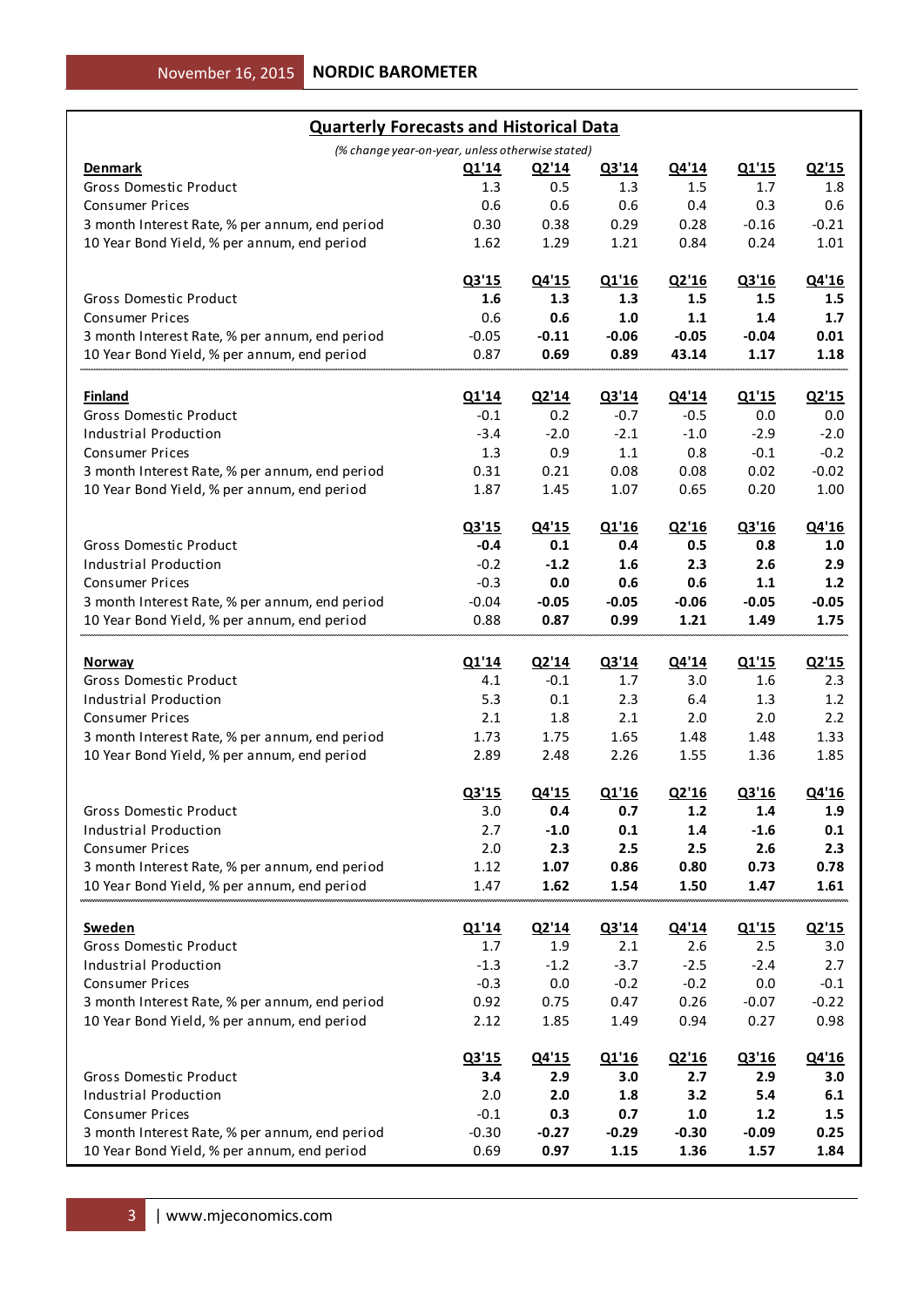| <b>Quarterly Forecasts and Historical Data</b>   |              |         |         |         |         |         |
|--------------------------------------------------|--------------|---------|---------|---------|---------|---------|
| (% change year-on-year, unless otherwise stated) |              |         |         |         |         |         |
| <b>Denmark</b>                                   | <u>Q1'14</u> | Q2'14   | Q3'14   | Q4'14   | Q1'15   | Q2'15   |
| <b>Gross Domestic Product</b>                    | 1.3          | 0.5     | 1.3     | 1.5     | 1.7     | 1.8     |
| <b>Consumer Prices</b>                           | 0.6          | 0.6     | 0.6     | 0.4     | 0.3     | 0.6     |
| 3 month Interest Rate, % per annum, end period   | 0.30         | 0.38    | 0.29    | 0.28    | $-0.16$ | $-0.21$ |
| 10 Year Bond Yield, % per annum, end period      | 1.62         | 1.29    | 1.21    | 0.84    | 0.24    | 1.01    |
|                                                  |              |         |         |         |         |         |
|                                                  | Q3'15        | Q4'15   | Q1'16   | Q2'16   | Q3'16   | Q4'16   |
| <b>Gross Domestic Product</b>                    | 1.6          | 1.3     | 1.3     | $1.5\,$ | 1.5     | $1.5\,$ |
| <b>Consumer Prices</b>                           | 0.6          | 0.6     | $1.0\,$ | $1.1$   | 1.4     | $1.7$   |
| 3 month Interest Rate, % per annum, end period   | $-0.05$      | $-0.11$ | $-0.06$ | $-0.05$ | $-0.04$ | 0.01    |
| 10 Year Bond Yield, % per annum, end period      | 0.87         | 0.69    | 0.89    | 43.14   | 1.17    | 1.18    |
|                                                  |              |         |         |         |         |         |
| <b>Finland</b>                                   | Q1'14        | Q2'14   | Q3'14   | Q4'14   | Q1'15   | Q2'15   |
| <b>Gross Domestic Product</b>                    | $-0.1$       | 0.2     | $-0.7$  | $-0.5$  | 0.0     | 0.0     |
| <b>Industrial Production</b>                     | $-3.4$       | $-2.0$  | $-2.1$  | $-1.0$  | $-2.9$  | $-2.0$  |
| <b>Consumer Prices</b>                           | 1.3          | 0.9     | 1.1     | 0.8     | $-0.1$  | $-0.2$  |
| 3 month Interest Rate, % per annum, end period   | 0.31         | 0.21    | 0.08    | 0.08    | 0.02    | $-0.02$ |
| 10 Year Bond Yield, % per annum, end period      | 1.87         | 1.45    | 1.07    | 0.65    | 0.20    | 1.00    |
|                                                  |              |         |         |         |         |         |
|                                                  |              |         |         | Q2'16   |         |         |
| <b>Gross Domestic Product</b>                    | Q3'15        | Q4'15   | Q1'16   |         | Q3'16   | Q4'16   |
|                                                  | $-0.4$       | 0.1     | 0.4     | 0.5     | 0.8     | 1.0     |
| Industrial Production                            | $-0.2$       | $-1.2$  | 1.6     | 2.3     | 2.6     | 2.9     |
| <b>Consumer Prices</b>                           | $-0.3$       | $0.0\,$ | 0.6     | 0.6     | 1.1     | 1.2     |
| 3 month Interest Rate, % per annum, end period   | $-0.04$      | $-0.05$ | $-0.05$ | $-0.06$ | $-0.05$ | $-0.05$ |
| 10 Year Bond Yield, % per annum, end period      | 0.88         | 0.87    | 0.99    | 1.21    | 1.49    | 1.75    |
|                                                  |              |         |         |         |         |         |
| <b>Norway</b>                                    | Q1'14        | Q2'14   | Q3'14   | Q4'14   | Q1'15   | Q2'15   |
| Gross Domestic Product                           | 4.1          | $-0.1$  | 1.7     | 3.0     | 1.6     | 2.3     |
| Industrial Production                            | 5.3          | 0.1     | 2.3     | 6.4     | 1.3     | 1.2     |
| <b>Consumer Prices</b>                           | 2.1          | 1.8     | 2.1     | 2.0     | 2.0     | 2.2     |
| 3 month Interest Rate, % per annum, end period   | 1.73         | 1.75    | 1.65    | 1.48    | 1.48    | 1.33    |
| 10 Year Bond Yield, % per annum, end period      | 2.89         | 2.48    | 2.26    | 1.55    | 1.36    | 1.85    |
|                                                  |              |         |         |         |         |         |
|                                                  | Q3'15        | Q4'15   | Q1'16   | Q2'16   | Q3'16   | Q4'16   |
| Gross Domestic Product                           | 3.0          | 0.4     | 0.7     | $1.2$   | $1.4\,$ | 1.9     |
| Industrial Production                            | 2.7          | $-1.0$  | 0.1     | 1.4     | $-1.6$  | 0.1     |
| <b>Consumer Prices</b>                           | $2.0$        | 2.3     | 2.5     | 2.5     | 2.6     | 2.3     |
| 3 month Interest Rate, % per annum, end period   | 1.12         | 1.07    | 0.86    | 0.80    | 0.73    | 0.78    |
| 10 Year Bond Yield, % per annum, end period      | 1.47         | 1.62    | 1.54    | 1.50    | 1.47    | 1.61    |
|                                                  |              |         |         |         |         |         |
| <b>Sweden</b>                                    | Q1'14        | Q2'14   | Q3'14   | Q4'14   | Q1'15   | Q2'15   |
| Gross Domestic Product                           |              |         |         |         |         |         |
|                                                  | 1.7          | 1.9     | 2.1     | 2.6     | 2.5     | 3.0     |
| <b>Industrial Production</b>                     | $-1.3$       | $-1.2$  | $-3.7$  | $-2.5$  | $-2.4$  | 2.7     |
| <b>Consumer Prices</b>                           | $-0.3$       | $0.0\,$ | $-0.2$  | $-0.2$  | $0.0\,$ | $-0.1$  |
| 3 month Interest Rate, % per annum, end period   | 0.92         | 0.75    | 0.47    | 0.26    | $-0.07$ | $-0.22$ |
| 10 Year Bond Yield, % per annum, end period      | 2.12         | 1.85    | 1.49    | 0.94    | 0.27    | 0.98    |
|                                                  |              |         |         |         |         |         |
|                                                  | Q3'15        | Q4'15   | Q1'16   | Q2'16   | Q3'16   | Q4'16   |
| Gross Domestic Product                           | 3.4          | 2.9     | 3.0     | 2.7     | 2.9     | 3.0     |
| <b>Industrial Production</b>                     | 2.0          | 2.0     | 1.8     | 3.2     | 5.4     | 6.1     |
| <b>Consumer Prices</b>                           | $-0.1$       | 0.3     | 0.7     | $1.0\,$ | $1.2$   | 1.5     |
| 3 month Interest Rate, % per annum, end period   | $-0.30$      | $-0.27$ | $-0.29$ | $-0.30$ | $-0.09$ | 0.25    |
| 10 Year Bond Yield, % per annum, end period      | 0.69         | 0.97    | 1.15    | 1.36    | 1.57    | 1.84    |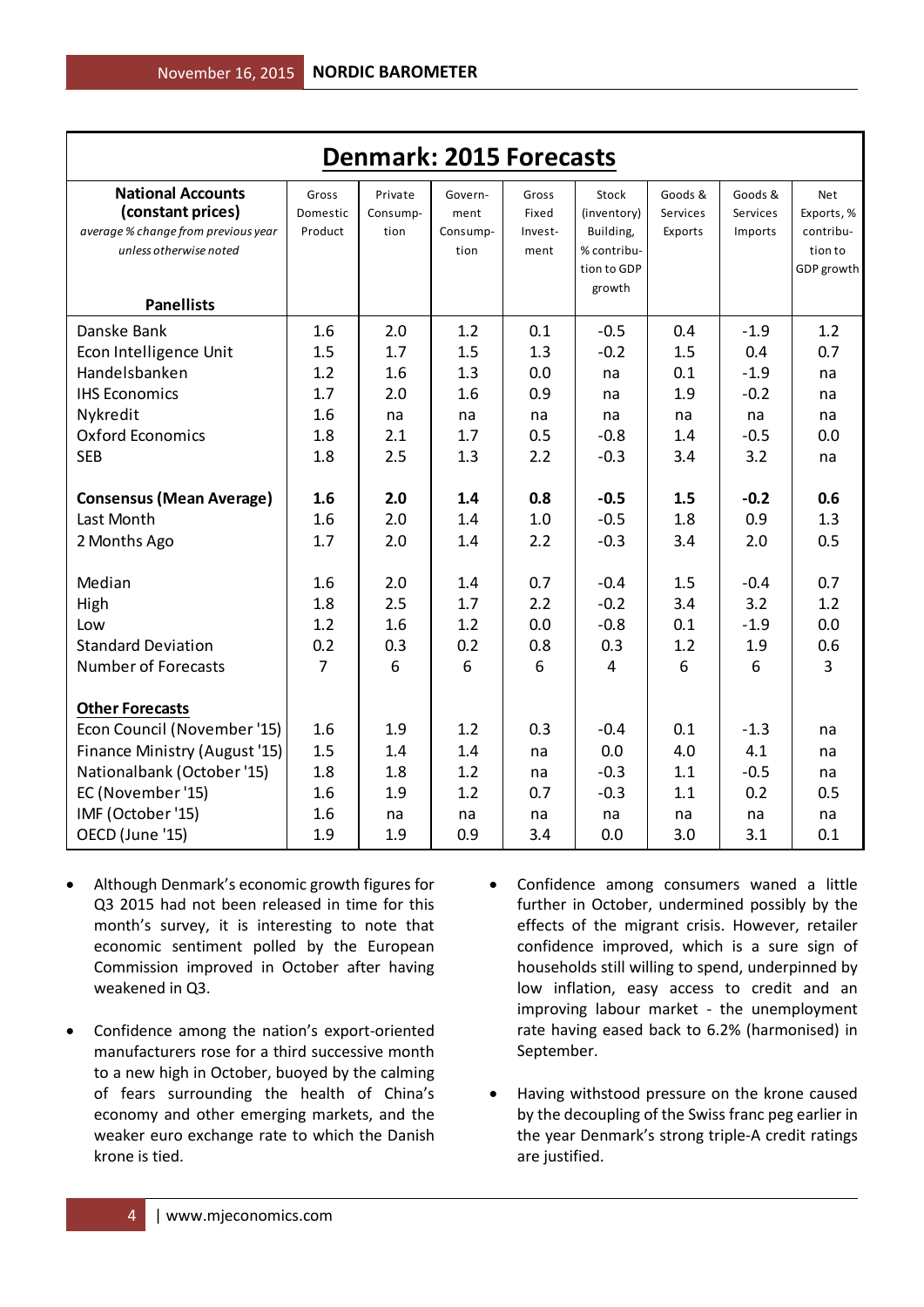| <b>Denmark: 2015 Forecasts</b>                                                       |                              |                             |                             |                           |                                      |                                |                                |                                       |  |
|--------------------------------------------------------------------------------------|------------------------------|-----------------------------|-----------------------------|---------------------------|--------------------------------------|--------------------------------|--------------------------------|---------------------------------------|--|
| <b>National Accounts</b><br>(constant prices)<br>average % change from previous year | Gross<br>Domestic<br>Product | Private<br>Consump-<br>tion | Govern-<br>ment<br>Consump- | Gross<br>Fixed<br>Invest- | Stock<br>(inventory)<br>Building,    | Goods &<br>Services<br>Exports | Goods &<br>Services<br>Imports | <b>Net</b><br>Exports, %<br>contribu- |  |
| unless otherwise noted                                                               |                              |                             | tion                        | ment                      | % contribu-<br>tion to GDP<br>growth |                                |                                | tion to<br>GDP growth                 |  |
| <b>Panellists</b>                                                                    |                              |                             |                             |                           |                                      |                                |                                |                                       |  |
| Danske Bank                                                                          | 1.6                          | 2.0                         | 1.2                         | 0.1                       | $-0.5$                               | 0.4                            | $-1.9$                         | 1.2                                   |  |
| Econ Intelligence Unit                                                               | 1.5                          | 1.7                         | 1.5                         | 1.3                       | $-0.2$                               | 1.5                            | 0.4                            | 0.7                                   |  |
| Handelsbanken                                                                        | 1.2                          | 1.6                         | 1.3                         | 0.0                       | na                                   | 0.1                            | $-1.9$                         | na                                    |  |
| <b>IHS Economics</b>                                                                 | 1.7                          | 2.0                         | 1.6                         | 0.9                       | na                                   | 1.9                            | $-0.2$                         | na                                    |  |
| Nykredit                                                                             | 1.6                          | na                          | na                          | na                        | na                                   | na                             | na                             | na                                    |  |
| <b>Oxford Economics</b>                                                              | 1.8                          | 2.1                         | 1.7                         | 0.5                       | $-0.8$                               | 1.4                            | $-0.5$                         | 0.0                                   |  |
| <b>SEB</b>                                                                           | 1.8                          | 2.5                         | 1.3                         | 2.2                       | $-0.3$                               | 3.4                            | 3.2                            | na                                    |  |
| <b>Consensus (Mean Average)</b>                                                      | 1.6                          | 2.0                         | 1.4                         | 0.8                       | $-0.5$                               | 1.5                            | $-0.2$                         | 0.6                                   |  |
| Last Month                                                                           | 1.6                          | 2.0                         | 1.4                         | 1.0                       | $-0.5$                               | 1.8                            | 0.9                            | 1.3                                   |  |
| 2 Months Ago                                                                         | 1.7                          | 2.0                         | 1.4                         | 2.2                       | $-0.3$                               | 3.4                            | 2.0                            | 0.5                                   |  |
|                                                                                      |                              |                             |                             |                           |                                      |                                |                                |                                       |  |
| Median                                                                               | 1.6                          | 2.0                         | 1.4                         | 0.7                       | $-0.4$                               | 1.5                            | $-0.4$                         | 0.7                                   |  |
| High                                                                                 | 1.8                          | 2.5                         | 1.7                         | 2.2                       | $-0.2$                               | 3.4                            | 3.2                            | 1.2                                   |  |
| Low                                                                                  | 1.2                          | 1.6                         | 1.2                         | 0.0                       | $-0.8$                               | 0.1                            | $-1.9$                         | 0.0                                   |  |
| <b>Standard Deviation</b>                                                            | 0.2                          | 0.3                         | 0.2                         | 0.8                       | 0.3                                  | 1.2                            | 1.9                            | 0.6                                   |  |
| <b>Number of Forecasts</b>                                                           | 7                            | 6                           | 6                           | 6                         | $\overline{4}$                       | 6                              | 6                              | $\overline{3}$                        |  |
|                                                                                      |                              |                             |                             |                           |                                      |                                |                                |                                       |  |
| <b>Other Forecasts</b>                                                               |                              |                             |                             |                           |                                      |                                |                                |                                       |  |
| Econ Council (November '15)                                                          | 1.6                          | 1.9                         | 1.2                         | 0.3                       | $-0.4$                               | 0.1                            | $-1.3$                         | na                                    |  |
| Finance Ministry (August '15)                                                        | 1.5                          | 1.4                         | 1.4                         | na                        | 0.0                                  | 4.0                            | 4.1                            | na                                    |  |
| Nationalbank (October '15)                                                           | 1.8                          | 1.8                         | 1.2                         | na                        | $-0.3$                               | 1.1                            | $-0.5$                         | na                                    |  |
| EC (November '15)                                                                    | 1.6                          | 1.9                         | 1.2                         | 0.7                       | $-0.3$                               | 1.1                            | 0.2                            | 0.5                                   |  |
| IMF (October '15)                                                                    | 1.6                          | na                          | na                          | na                        | na                                   | na                             | na                             | na                                    |  |
| OECD (June '15)                                                                      | 1.9                          | 1.9                         | 0.9                         | 3.4                       | 0.0                                  | 3.0                            | 3.1                            | 0.1                                   |  |

- Although Denmark's economic growth figures for Q3 2015 had not been released in time for this month's survey, it is interesting to note that economic sentiment polled by the European Commission improved in October after having weakened in Q3.
- Confidence among the nation's export-oriented manufacturers rose for a third successive month to a new high in October, buoyed by the calming of fears surrounding the health of China's economy and other emerging markets, and the weaker euro exchange rate to which the Danish krone is tied.
- Confidence among consumers waned a little further in October, undermined possibly by the effects of the migrant crisis. However, retailer confidence improved, which is a sure sign of households still willing to spend, underpinned by low inflation, easy access to credit and an improving labour market - the unemployment rate having eased back to 6.2% (harmonised) in September.
- Having withstood pressure on the krone caused by the decoupling of the Swiss franc peg earlier in the year Denmark's strong triple-A credit ratings are justified.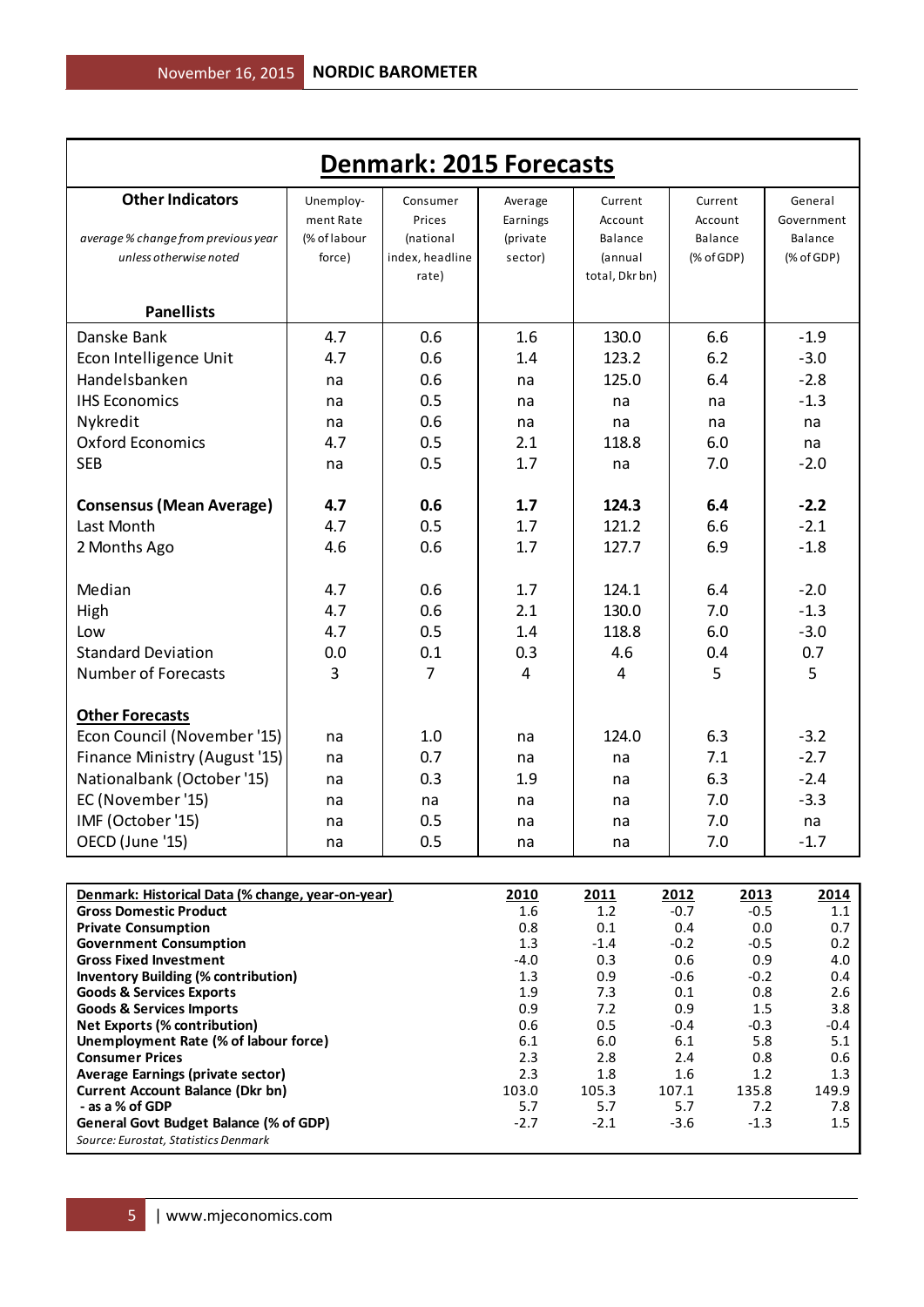|                                                               | <b>Denmark: 2015 Forecasts</b> |                              |                     |                    |                       |                         |  |  |  |  |  |  |
|---------------------------------------------------------------|--------------------------------|------------------------------|---------------------|--------------------|-----------------------|-------------------------|--|--|--|--|--|--|
| <b>Other Indicators</b>                                       | Unemploy-                      | Consumer                     | Average             | Current            | Current               | General                 |  |  |  |  |  |  |
|                                                               | ment Rate                      | Prices                       | Earnings            | Account            | Account               | Government              |  |  |  |  |  |  |
| average % change from previous year<br>unless otherwise noted | (% of labour<br>force)         | (national<br>index, headline | (private<br>sector) | Balance<br>(annual | Balance<br>(% of GDP) | Balance<br>$(%$ of GDP) |  |  |  |  |  |  |
|                                                               |                                | rate)                        |                     | total, Dkr bn)     |                       |                         |  |  |  |  |  |  |
|                                                               |                                |                              |                     |                    |                       |                         |  |  |  |  |  |  |
| <b>Panellists</b>                                             |                                |                              |                     |                    |                       |                         |  |  |  |  |  |  |
| Danske Bank                                                   | 4.7                            | 0.6                          | 1.6                 | 130.0              | 6.6                   | $-1.9$                  |  |  |  |  |  |  |
| Econ Intelligence Unit                                        | 4.7                            | 0.6                          | 1.4                 | 123.2              | 6.2                   | $-3.0$                  |  |  |  |  |  |  |
| Handelsbanken                                                 | na                             | 0.6                          | na                  | 125.0              | 6.4                   | $-2.8$                  |  |  |  |  |  |  |
| <b>IHS Economics</b>                                          | na                             | 0.5                          | na                  | na                 | na                    | $-1.3$                  |  |  |  |  |  |  |
| Nykredit                                                      | na                             | 0.6                          | na                  | na                 | na                    | na                      |  |  |  |  |  |  |
| <b>Oxford Economics</b>                                       | 4.7                            | 0.5                          | 2.1                 | 118.8              | 6.0                   | na                      |  |  |  |  |  |  |
| <b>SEB</b>                                                    | na                             | 0.5                          | 1.7                 | na                 | 7.0                   | $-2.0$                  |  |  |  |  |  |  |
|                                                               |                                |                              |                     |                    |                       |                         |  |  |  |  |  |  |
| <b>Consensus (Mean Average)</b>                               | 4.7                            | 0.6                          | 1.7                 | 124.3              | 6.4                   | $-2.2$                  |  |  |  |  |  |  |
| Last Month                                                    | 4.7                            | 0.5                          | 1.7                 | 121.2              | 6.6                   | $-2.1$                  |  |  |  |  |  |  |
| 2 Months Ago                                                  | 4.6                            | 0.6                          | 1.7                 | 127.7              | 6.9                   | $-1.8$                  |  |  |  |  |  |  |
|                                                               |                                |                              |                     |                    |                       |                         |  |  |  |  |  |  |
| Median                                                        | 4.7                            | 0.6                          | 1.7                 | 124.1              | 6.4                   | $-2.0$                  |  |  |  |  |  |  |
| High                                                          | 4.7                            | 0.6                          | 2.1                 | 130.0              | 7.0                   | $-1.3$                  |  |  |  |  |  |  |
| Low                                                           | 4.7                            | 0.5                          | 1.4                 | 118.8              | 6.0                   | $-3.0$                  |  |  |  |  |  |  |
| <b>Standard Deviation</b>                                     | 0.0                            | 0.1                          | 0.3                 | 4.6                | 0.4                   | 0.7                     |  |  |  |  |  |  |
| <b>Number of Forecasts</b>                                    | $\overline{3}$                 | 7                            | 4                   | 4                  | 5                     | 5                       |  |  |  |  |  |  |
|                                                               |                                |                              |                     |                    |                       |                         |  |  |  |  |  |  |
| <b>Other Forecasts</b>                                        |                                |                              |                     |                    |                       |                         |  |  |  |  |  |  |
| Econ Council (November '15)                                   | na                             | 1.0                          | na                  | 124.0              | 6.3                   | $-3.2$                  |  |  |  |  |  |  |
| Finance Ministry (August '15)                                 | na                             | 0.7                          | na                  | na                 | 7.1                   | $-2.7$                  |  |  |  |  |  |  |
| Nationalbank (October '15)                                    | na                             | 0.3                          | 1.9                 | na                 | 6.3                   | $-2.4$                  |  |  |  |  |  |  |
| EC (November '15)                                             | na                             | na                           | na                  | na                 | 7.0                   | $-3.3$                  |  |  |  |  |  |  |
| IMF (October '15)                                             | na                             | 0.5                          | na                  | na                 | 7.0                   | na                      |  |  |  |  |  |  |
| OECD (June '15)                                               | na                             | 0.5                          | na                  | na                 | 7.0                   | $-1.7$                  |  |  |  |  |  |  |
|                                                               |                                |                              |                     |                    |                       |                         |  |  |  |  |  |  |
| Denmark: Historical Data (% change, year-on-year)             |                                |                              | 2010                | 2011               | 2012<br>2013          | 2014                    |  |  |  |  |  |  |
| <b>Gross Domestic Product</b>                                 |                                |                              | 1.6                 | 1.2                | $-0.7$<br>$-0.5$      | 1.1                     |  |  |  |  |  |  |
| <b>Private Consumption</b>                                    |                                |                              | 0.8                 | 0.1                | 0.4<br>0.0            | 0.7                     |  |  |  |  |  |  |

| 0.8    | 0.1    | 0.4    | 0.0    | 0.7     |
|--------|--------|--------|--------|---------|
| 1.3    | $-1.4$ | $-0.2$ | $-0.5$ | 0.2     |
| $-4.0$ | 0.3    | 0.6    | 0.9    | 4.0     |
| 1.3    | 0.9    | $-0.6$ | $-0.2$ | 0.4     |
| 1.9    | 7.3    | 0.1    | 0.8    | 2.6     |
| 0.9    | 7.2    | 0.9    | 1.5    | 3.8     |
| 0.6    | 0.5    | $-0.4$ | $-0.3$ | $-0.4$  |
| 6.1    | 6.0    | 6.1    | 5.8    | 5.1     |
| 2.3    | 2.8    | 2.4    | 0.8    | 0.6     |
| 2.3    | 1.8    | 1.6    | 1.2    | 1.3     |
| 103.0  | 105.3  | 107.1  | 135.8  | 149.9   |
| 5.7    | 5.7    | 5.7    | 7.2    | 7.8     |
| $-2.7$ | $-2.1$ | $-3.6$ | $-1.3$ | $1.5\,$ |
|        |        |        |        |         |
|        |        |        |        |         |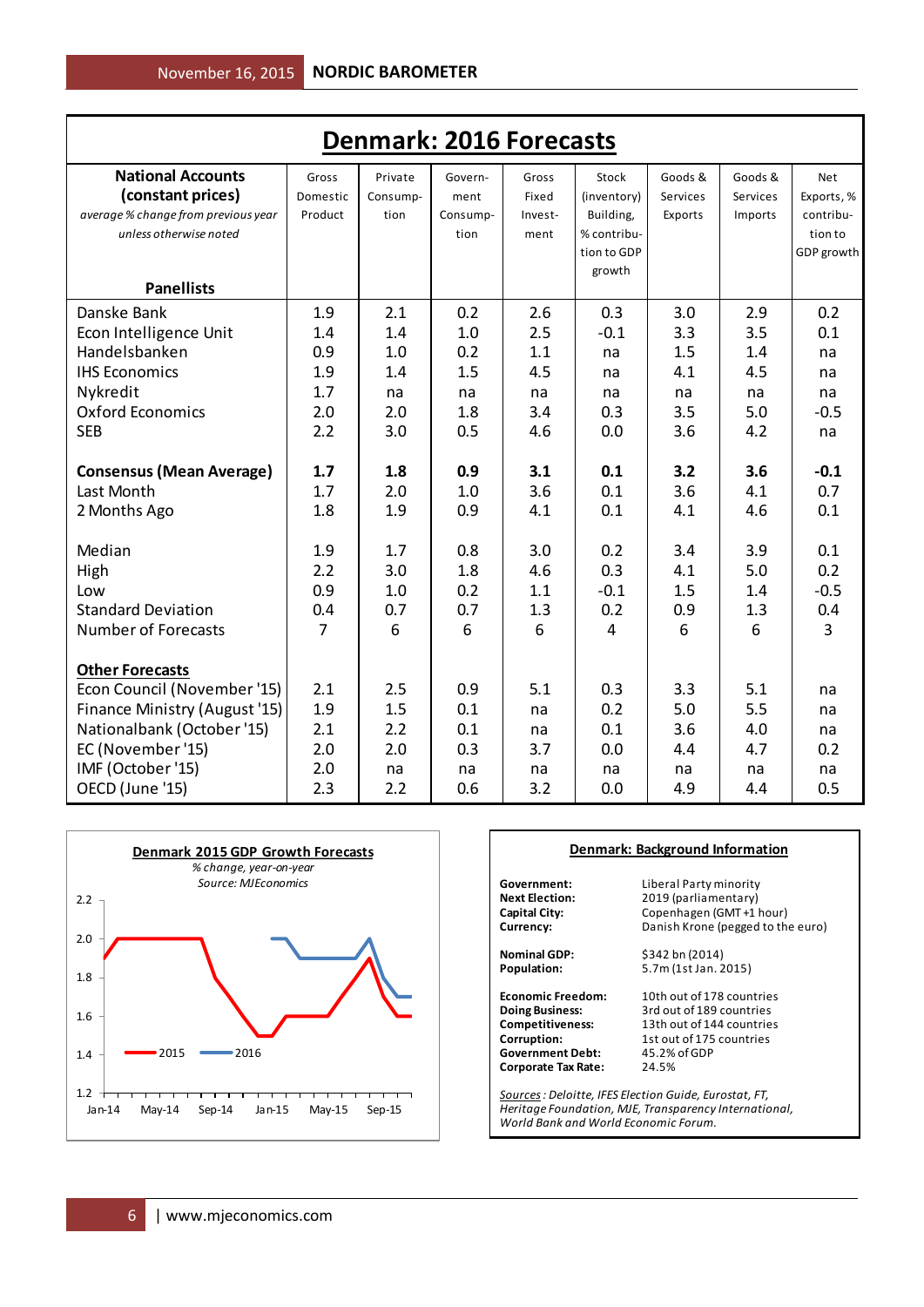| <b>Denmark: 2016 Forecasts</b>      |                |          |          |         |             |          |          |            |  |
|-------------------------------------|----------------|----------|----------|---------|-------------|----------|----------|------------|--|
| <b>National Accounts</b>            | Gross          | Private  | Govern-  | Gross   | Stock       | Goods &  | Goods &  | <b>Net</b> |  |
| (constant prices)                   | Domestic       | Consump- | ment     | Fixed   | (inventory) | Services | Services | Exports, % |  |
| average % change from previous year | Product        | tion     | Consump- | Invest- | Building,   | Exports  | Imports  | contribu-  |  |
| unless otherwise noted              |                |          | tion     | ment    | % contribu- |          |          | tion to    |  |
|                                     |                |          |          |         | tion to GDP |          |          | GDP growth |  |
|                                     |                |          |          |         | growth      |          |          |            |  |
| <b>Panellists</b>                   |                |          |          |         |             |          |          |            |  |
| Danske Bank                         | 1.9            | 2.1      | 0.2      | 2.6     | 0.3         | 3.0      | 2.9      | 0.2        |  |
| Econ Intelligence Unit              | 1.4            | 1.4      | 1.0      | 2.5     | $-0.1$      | 3.3      | 3.5      | 0.1        |  |
| Handelsbanken                       | 0.9            | 1.0      | 0.2      | 1.1     | na          | 1.5      | 1.4      | na         |  |
| <b>IHS Economics</b>                | 1.9            | 1.4      | 1.5      | 4.5     | na          | 4.1      | 4.5      | na         |  |
| Nykredit                            | 1.7            | na       | na       | na      | na          | na       | na       | na         |  |
| <b>Oxford Economics</b>             | 2.0            | 2.0      | 1.8      | 3.4     | 0.3         | 3.5      | 5.0      | $-0.5$     |  |
| <b>SEB</b>                          | 2.2            | 3.0      | 0.5      | 4.6     | 0.0         | 3.6      | 4.2      | na         |  |
|                                     |                |          |          |         |             |          |          |            |  |
| <b>Consensus (Mean Average)</b>     | 1.7            | 1.8      | 0.9      | 3.1     | 0.1         | 3.2      | 3.6      | $-0.1$     |  |
| Last Month                          | 1.7            | 2.0      | 1.0      | 3.6     | 0.1         | 3.6      | 4.1      | 0.7        |  |
| 2 Months Ago                        | 1.8            | 1.9      | 0.9      | 4.1     | 0.1         | 4.1      | 4.6      | 0.1        |  |
|                                     |                |          |          |         |             |          |          |            |  |
| Median                              | 1.9            | 1.7      | 0.8      | 3.0     | 0.2         | 3.4      | 3.9      | 0.1        |  |
| High                                | 2.2            | 3.0      | 1.8      | 4.6     | 0.3         | 4.1      | 5.0      | 0.2        |  |
| Low                                 | 0.9            | 1.0      | 0.2      | 1.1     | $-0.1$      | 1.5      | 1.4      | $-0.5$     |  |
| <b>Standard Deviation</b>           | 0.4            | 0.7      | 0.7      | 1.3     | 0.2         | 0.9      | 1.3      | 0.4        |  |
| <b>Number of Forecasts</b>          | $\overline{7}$ | 6        | 6        | 6       | 4           | 6        | 6        | 3          |  |
|                                     |                |          |          |         |             |          |          |            |  |
| <b>Other Forecasts</b>              |                |          |          |         |             |          |          |            |  |
| Econ Council (November '15)         | 2.1            | 2.5      | 0.9      | 5.1     | 0.3         | 3.3      | 5.1      | na         |  |
| Finance Ministry (August '15)       | 1.9            | 1.5      | 0.1      | na      | 0.2         | 5.0      | 5.5      | na         |  |
| Nationalbank (October '15)          | 2.1            | 2.2      | 0.1      | na      | 0.1         | 3.6      | 4.0      | na         |  |
| EC (November '15)                   | 2.0            | 2.0      | 0.3      | 3.7     | 0.0         | 4.4      | 4.7      | 0.2        |  |
| IMF (October '15)                   | 2.0            | na       | na       | na      | na          | na       | na       | na         |  |
| OECD (June '15)                     | 2.3            | 2.2      | 0.6      | 3.2     | 0.0         | 4.9      | 4.4      | 0.5        |  |



#### **Denmark: Background Information**

**Government Debt:** 45.2%<br>**Corporate Tax Rate:** 24.5% **Corporate Tax Rate:** 

**Government:** Liberal Party minority<br>**Next Election:** 2019 (parliamentary) **Next Election:** 2019 (parliamentary) **Capital City:** Copenhagen (GMT +1 hour) **Currency:** Danish Krone (pegged to the euro)

**Nominal GDP:** \$342 bn (2014)<br>**Population:** 5.7m (1st Jan. 2) **Population:** 5.7m (1st Jan. 2015)

**Economic Freedom:** 10th out of 178 countries<br> **Doing Business:** 3rd out of 189 countries **Doing Business:** 3rd out of 189 countries<br> **Competitiveness:** 13th out of 144 countries **Competitiveness:** 13th out of 144 countries<br> **Corruption:** 1st out of 175 countries 1st out of 175 countries<br>45.2% of GDP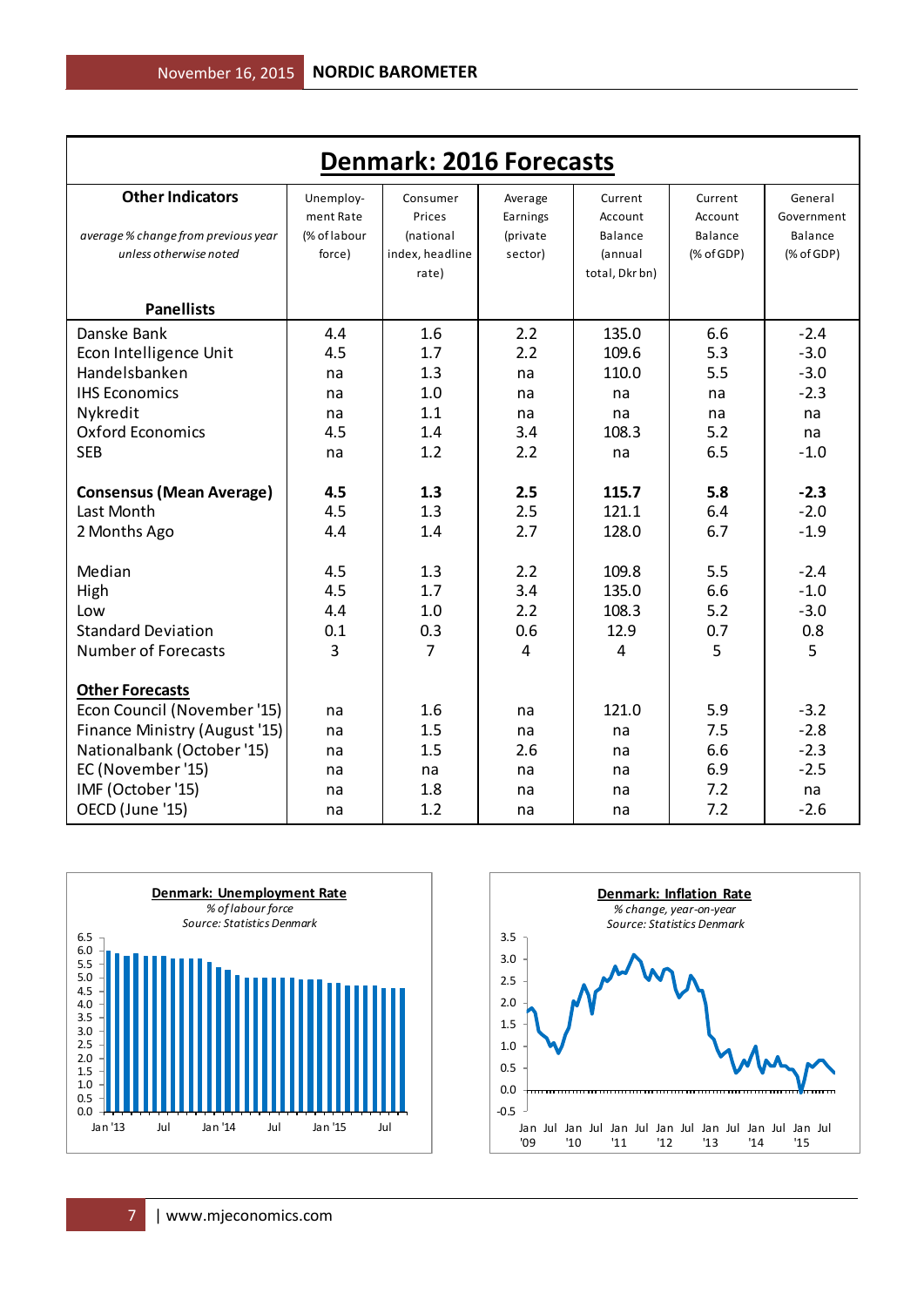| <b>Denmark: 2016 Forecasts</b>      |                        |                    |                     |                    |                                  |                       |  |  |  |  |  |
|-------------------------------------|------------------------|--------------------|---------------------|--------------------|----------------------------------|-----------------------|--|--|--|--|--|
| <b>Other Indicators</b>             | Unemploy-<br>ment Rate | Consumer<br>Prices | Average<br>Earnings | Current<br>Account | Current<br>Account               | General<br>Government |  |  |  |  |  |
| average % change from previous year | (% of labour           | (national          | (private            | Balance            | Balance                          | Balance               |  |  |  |  |  |
| unless otherwise noted              | force)                 | index, headline    | sector)             | (annual            | $(% \mathcal{L}_{0})$ (% of GDP) | (% of GDP)            |  |  |  |  |  |
|                                     |                        | rate)              |                     | total, Dkr bn)     |                                  |                       |  |  |  |  |  |
| <b>Panellists</b>                   |                        |                    |                     |                    |                                  |                       |  |  |  |  |  |
| Danske Bank                         | 4.4                    | 1.6                | 2.2                 | 135.0              | 6.6                              | $-2.4$                |  |  |  |  |  |
| Econ Intelligence Unit              | 4.5                    | 1.7                | 2.2                 | 109.6              | 5.3                              | $-3.0$                |  |  |  |  |  |
| Handelsbanken                       | na                     | 1.3                | na                  | 110.0              | 5.5                              | $-3.0$                |  |  |  |  |  |
| <b>IHS Economics</b>                | na                     | 1.0                | na                  | na                 | na                               | $-2.3$                |  |  |  |  |  |
| Nykredit                            | na                     | 1.1                | na                  | na                 | na                               | na                    |  |  |  |  |  |
| <b>Oxford Economics</b>             | 4.5                    | 1.4                | 3.4                 | 108.3              | 5.2                              | na                    |  |  |  |  |  |
| <b>SEB</b>                          | na                     | 1.2                | 2.2                 | na                 | 6.5                              | $-1.0$                |  |  |  |  |  |
| <b>Consensus (Mean Average)</b>     | 4.5                    | 1.3                | 2.5                 | 115.7              | 5.8                              | $-2.3$                |  |  |  |  |  |
| Last Month                          | 4.5                    | 1.3                | 2.5                 | 121.1              | 6.4                              | $-2.0$                |  |  |  |  |  |
| 2 Months Ago                        | 4.4                    | 1.4                | 2.7                 | 128.0              | 6.7                              | $-1.9$                |  |  |  |  |  |
| Median                              | 4.5                    | 1.3                | 2.2                 | 109.8              | 5.5                              | $-2.4$                |  |  |  |  |  |
| High                                | 4.5                    | 1.7                | 3.4                 | 135.0              | 6.6                              | $-1.0$                |  |  |  |  |  |
| Low                                 | 4.4                    | 1.0                | 2.2                 | 108.3              | 5.2                              | $-3.0$                |  |  |  |  |  |
| <b>Standard Deviation</b>           | 0.1                    | 0.3                | 0.6                 | 12.9               | 0.7                              | 0.8                   |  |  |  |  |  |
| <b>Number of Forecasts</b>          | 3                      | $\overline{7}$     | $\overline{4}$      | 4                  | 5                                | 5                     |  |  |  |  |  |
|                                     |                        |                    |                     |                    |                                  |                       |  |  |  |  |  |
| <b>Other Forecasts</b>              |                        |                    |                     |                    |                                  |                       |  |  |  |  |  |
| Econ Council (November '15)         | na                     | 1.6                | na                  | 121.0              | 5.9                              | $-3.2$                |  |  |  |  |  |
| Finance Ministry (August '15)       | na                     | 1.5                | na                  | na                 | 7.5                              | $-2.8$                |  |  |  |  |  |
| Nationalbank (October '15)          | na                     | 1.5                | 2.6                 | na                 | 6.6                              | $-2.3$                |  |  |  |  |  |
| EC (November '15)                   | na                     | na                 | na                  | na                 | 6.9                              | $-2.5$                |  |  |  |  |  |
| IMF (October '15)                   | na                     | 1.8                | na                  | na                 | 7.2                              | na                    |  |  |  |  |  |
| OECD (June '15)                     | na                     | 1.2                | na                  | na                 | 7.2                              | $-2.6$                |  |  |  |  |  |



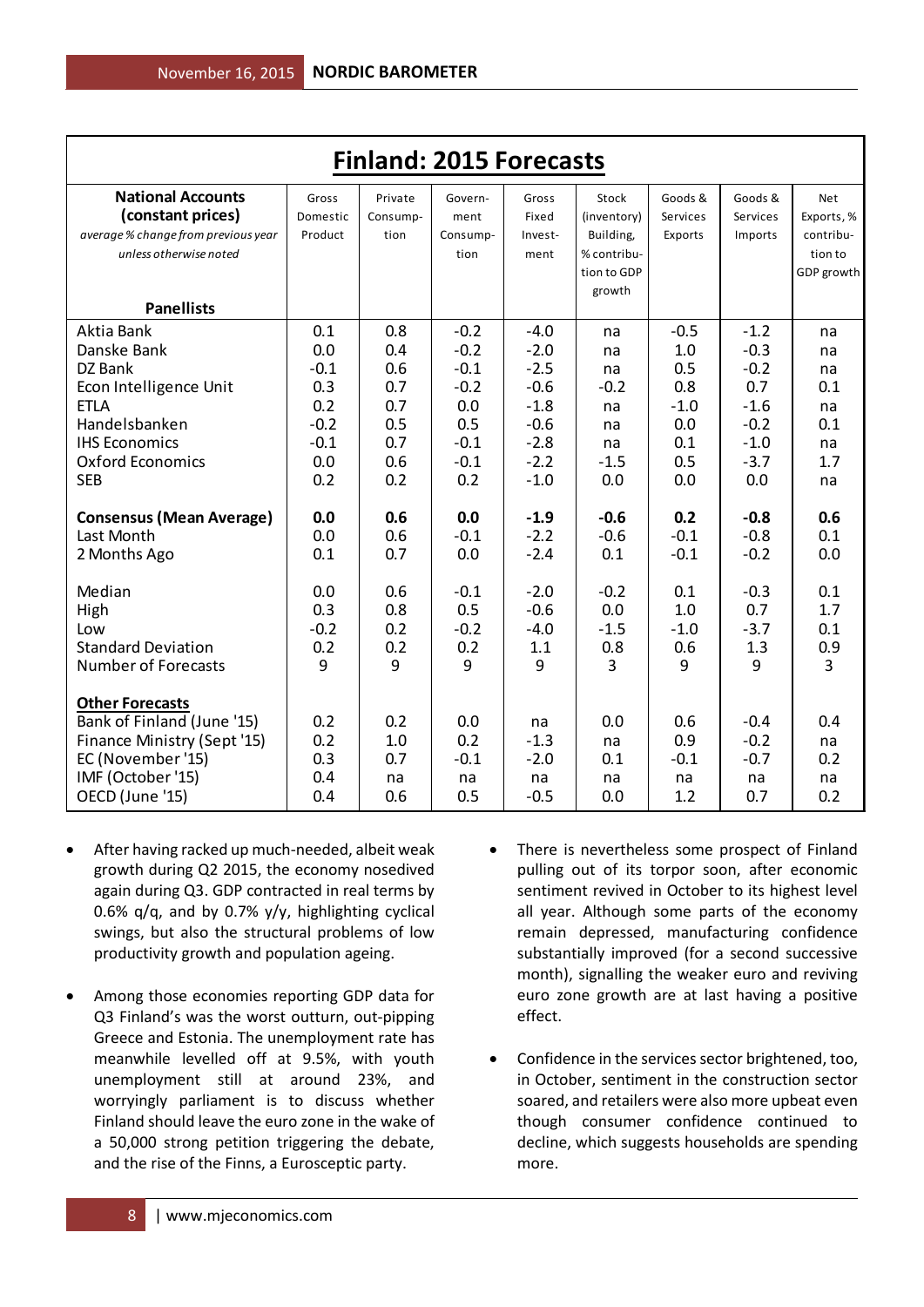| <b>Finland: 2015 Forecasts</b>      |          |              |          |         |             |          |          |                |  |
|-------------------------------------|----------|--------------|----------|---------|-------------|----------|----------|----------------|--|
| <b>National Accounts</b>            | Gross    | Private      | Govern-  | Gross   | Stock       | Goods &  | Goods &  | <b>Net</b>     |  |
| (constant prices)                   | Domestic | Consump-     | ment     | Fixed   | (inventory) | Services | Services | Exports, %     |  |
| average % change from previous year | Product  | tion         | Consump- | Invest- | Building,   | Exports  | Imports  | contribu-      |  |
| unless otherwise noted              |          |              | tion     | ment    | % contribu- |          |          | tion to        |  |
|                                     |          |              |          |         | tion to GDP |          |          | GDP growth     |  |
| <b>Panellists</b>                   |          |              |          |         | growth      |          |          |                |  |
| Aktia Bank                          | 0.1      | 0.8          | $-0.2$   | $-4.0$  | na          | $-0.5$   | $-1.2$   | na             |  |
| Danske Bank                         | 0.0      | 0.4          | $-0.2$   | $-2.0$  | na          | 1.0      | $-0.3$   | na             |  |
| DZ Bank                             | $-0.1$   | 0.6          | $-0.1$   | $-2.5$  | na          | 0.5      | $-0.2$   | na             |  |
| Econ Intelligence Unit              | 0.3      | 0.7          | $-0.2$   | $-0.6$  | $-0.2$      | 0.8      | 0.7      | 0.1            |  |
| <b>ETLA</b>                         | 0.2      | 0.7          | 0.0      | $-1.8$  | na          | $-1.0$   | $-1.6$   | na             |  |
| Handelsbanken                       | $-0.2$   | 0.5          | 0.5      | $-0.6$  | na          | 0.0      | $-0.2$   | 0.1            |  |
| <b>IHS Economics</b>                | $-0.1$   | 0.7          | $-0.1$   | $-2.8$  | na          | 0.1      | $-1.0$   | na             |  |
| <b>Oxford Economics</b>             | 0.0      | 0.6          | $-0.1$   | $-2.2$  | $-1.5$      | 0.5      | $-3.7$   | 1.7            |  |
| <b>SEB</b>                          | 0.2      | 0.2          | 0.2      | $-1.0$  | 0.0         | 0.0      | 0.0      | na             |  |
| <b>Consensus (Mean Average)</b>     | 0.0      | 0.6          | 0.0      | $-1.9$  | $-0.6$      | 0.2      | $-0.8$   | 0.6            |  |
| Last Month                          | 0.0      | 0.6          | $-0.1$   | $-2.2$  | $-0.6$      | $-0.1$   | $-0.8$   | 0.1            |  |
| 2 Months Ago                        | 0.1      | 0.7          | 0.0      | $-2.4$  | 0.1         | $-0.1$   | $-0.2$   | 0.0            |  |
| Median                              | 0.0      | 0.6          | $-0.1$   | $-2.0$  | $-0.2$      | 0.1      | $-0.3$   | 0.1            |  |
| High                                | 0.3      | 0.8          | 0.5      | $-0.6$  | 0.0         | 1.0      | 0.7      | 1.7            |  |
| Low                                 | $-0.2$   | 0.2          | $-0.2$   | $-4.0$  | $-1.5$      | $-1.0$   | $-3.7$   | 0.1            |  |
| <b>Standard Deviation</b>           | 0.2      | 0.2          | 0.2      | 1.1     | 0.8         | 0.6      | 1.3      | 0.9            |  |
| <b>Number of Forecasts</b>          | 9        | $\mathbf{q}$ | 9        | 9       | 3           | q        | 9        | $\overline{3}$ |  |
| <b>Other Forecasts</b>              |          |              |          |         |             |          |          |                |  |
| Bank of Finland (June '15)          | 0.2      | 0.2          | 0.0      | na      | 0.0         | 0.6      | $-0.4$   | 0.4            |  |
| Finance Ministry (Sept '15)         | 0.2      | 1.0          | 0.2      | $-1.3$  | na          | 0.9      | $-0.2$   | na             |  |
| EC (November '15)                   | 0.3      | 0.7          | $-0.1$   | $-2.0$  | 0.1         | $-0.1$   | $-0.7$   | 0.2            |  |
| IMF (October '15)                   | 0.4      | na           | na       | na      | na          | na       | na       | na             |  |
| OECD (June '15)                     | 0.4      | 0.6          | 0.5      | $-0.5$  | 0.0         | 1.2      | 0.7      | 0.2            |  |

- After having racked up much-needed, albeit weak growth during Q2 2015, the economy nosedived again during Q3. GDP contracted in real terms by 0.6%  $q/q$ , and by 0.7%  $y/y$ , highlighting cyclical swings, but also the structural problems of low productivity growth and population ageing.
- Among those economies reporting GDP data for Q3 Finland's was the worst outturn, out-pipping Greece and Estonia. The unemployment rate has meanwhile levelled off at 9.5%, with youth unemployment still at around 23%, and worryingly parliament is to discuss whether Finland should leave the euro zone in the wake of a 50,000 strong petition triggering the debate, and the rise of the Finns, a Eurosceptic party.
- There is nevertheless some prospect of Finland pulling out of its torpor soon, after economic sentiment revived in October to its highest level all year. Although some parts of the economy remain depressed, manufacturing confidence substantially improved (for a second successive month), signalling the weaker euro and reviving euro zone growth are at last having a positive effect.
- Confidence in the services sector brightened, too, in October, sentiment in the construction sector soared, and retailers were also more upbeat even though consumer confidence continued to decline, which suggests households are spending more.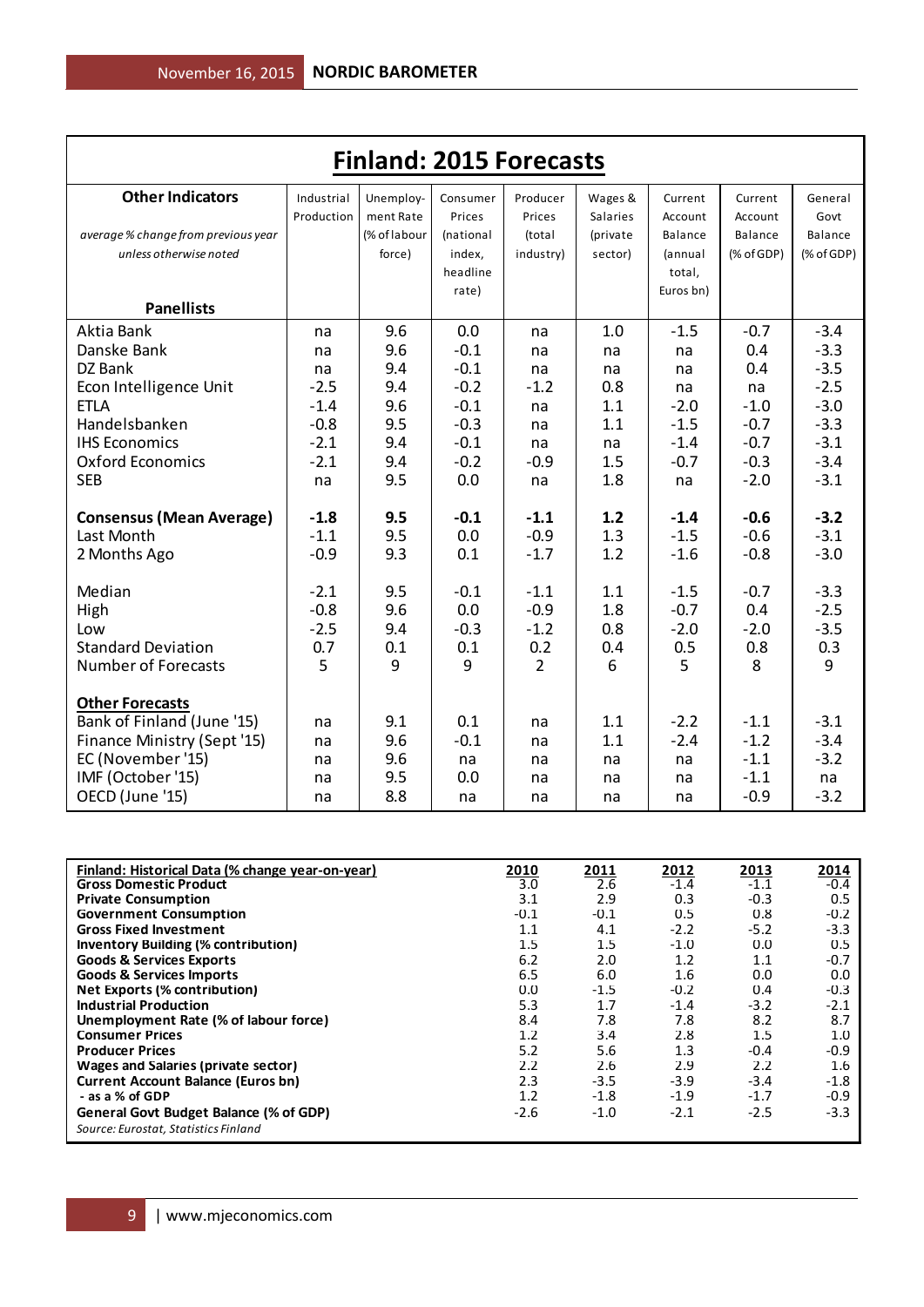| <b>Finland: 2015 Forecasts</b>      |            |              |           |                |          |           |            |                                  |  |
|-------------------------------------|------------|--------------|-----------|----------------|----------|-----------|------------|----------------------------------|--|
| <b>Other Indicators</b>             | Industrial | Unemploy-    | Consumer  | Producer       | Wages &  | Current   | Current    | General                          |  |
|                                     | Production | ment Rate    | Prices    | Prices         | Salaries | Account   | Account    | Govt                             |  |
| average % change from previous year |            | (% of labour | (national | (total         | (private | Balance   | Balance    | Balance                          |  |
| unless otherwise noted              |            | force)       | index,    | industry)      | sector)  | (annual   | (% of GDP) | $(% \mathcal{L}_{0})$ (% of GDP) |  |
|                                     |            |              | headline  |                |          | total,    |            |                                  |  |
|                                     |            |              | rate)     |                |          | Euros bn) |            |                                  |  |
| <b>Panellists</b>                   |            |              |           |                |          |           |            |                                  |  |
| Aktia Bank                          | na         | 9.6          | 0.0       | na             | 1.0      | $-1.5$    | $-0.7$     | $-3.4$                           |  |
| Danske Bank                         | na         | 9.6          | $-0.1$    | na             | na       | na        | 0.4        | $-3.3$                           |  |
| DZ Bank                             | na         | 9.4          | $-0.1$    | na             | na       | na        | 0.4        | $-3.5$                           |  |
| Econ Intelligence Unit              | $-2.5$     | 9.4          | $-0.2$    | $-1.2$         | 0.8      | na        | na         | $-2.5$                           |  |
| <b>ETLA</b>                         | $-1.4$     | 9.6          | $-0.1$    | na             | 1.1      | $-2.0$    | $-1.0$     | $-3.0$                           |  |
| Handelsbanken                       | $-0.8$     | 9.5          | $-0.3$    | na             | 1.1      | $-1.5$    | $-0.7$     | $-3.3$                           |  |
| <b>IHS Economics</b>                | $-2.1$     | 9.4          | $-0.1$    | na             | na       | $-1.4$    | $-0.7$     | $-3.1$                           |  |
| <b>Oxford Economics</b>             | $-2.1$     | 9.4          | $-0.2$    | $-0.9$         | 1.5      | $-0.7$    | $-0.3$     | $-3.4$                           |  |
| <b>SEB</b>                          | na         | 9.5          | 0.0       | na             | 1.8      | na        | $-2.0$     | $-3.1$                           |  |
| <b>Consensus (Mean Average)</b>     | $-1.8$     | 9.5          | $-0.1$    | $-1.1$         | 1.2      | $-1.4$    | $-0.6$     | $-3.2$                           |  |
| Last Month                          | $-1.1$     | 9.5          | 0.0       | $-0.9$         | 1.3      | $-1.5$    | $-0.6$     | $-3.1$                           |  |
| 2 Months Ago                        | $-0.9$     | 9.3          | 0.1       | $-1.7$         | 1.2      | $-1.6$    | $-0.8$     | $-3.0$                           |  |
| Median                              | $-2.1$     | 9.5          | $-0.1$    | $-1.1$         | 1.1      | $-1.5$    | $-0.7$     | $-3.3$                           |  |
| High                                | $-0.8$     | 9.6          | 0.0       | $-0.9$         | 1.8      | $-0.7$    | 0.4        | $-2.5$                           |  |
| Low                                 | $-2.5$     | 9.4          | $-0.3$    | $-1.2$         | 0.8      | $-2.0$    | $-2.0$     | $-3.5$                           |  |
| <b>Standard Deviation</b>           | 0.7        | 0.1          | 0.1       | 0.2            | 0.4      | 0.5       | 0.8        | 0.3                              |  |
| <b>Number of Forecasts</b>          | 5          | 9            | 9         | $\overline{2}$ | 6        | 5         | 8          | 9                                |  |
| <b>Other Forecasts</b>              |            |              |           |                |          |           |            |                                  |  |
| Bank of Finland (June '15)          | na         | 9.1          | 0.1       | na             | 1.1      | $-2.2$    | $-1.1$     | $-3.1$                           |  |
| Finance Ministry (Sept '15)         | na         | 9.6          | $-0.1$    | na             | 1.1      | $-2.4$    | $-1.2$     | $-3.4$                           |  |
| EC (November '15)                   | na         | 9.6          | na        | na             | na       | na        | $-1.1$     | $-3.2$                           |  |
| IMF (October '15)                   | na         | 9.5          | 0.0       | na             | na       | na        | $-1.1$     | na                               |  |
| OECD (June '15)                     | na         | 8.8          | na        | na             | na       | na        | $-0.9$     | $-3.2$                           |  |

| Finland: Historical Data (% change year-on-year) | 2010   | 2011   | <u>2012</u> | 2013   | 2014   |
|--------------------------------------------------|--------|--------|-------------|--------|--------|
| <b>Gross Domestic Product</b>                    | 3.0    | 2.6    | $-1.4$      | $-1.1$ | $-0.4$ |
| <b>Private Consumption</b>                       | 3.1    | 2.9    | 0.3         | $-0.3$ | 0.5    |
| <b>Government Consumption</b>                    | $-0.1$ | $-0.1$ | 0.5         | 0.8    | $-0.2$ |
| <b>Gross Fixed Investment</b>                    | 1.1    | 4.1    | $-2.2$      | $-5.2$ | $-3.3$ |
| <b>Inventory Building (% contribution)</b>       | 1.5    | 1.5    | $-1.0$      | 0.0    | 0.5    |
| <b>Goods &amp; Services Exports</b>              | 6.2    | 2.0    | 1.2         | 1.1    | $-0.7$ |
| <b>Goods &amp; Services Imports</b>              | 6.5    | 6.0    | 1.6         | 0.0    | 0.0    |
| Net Exports (% contribution)                     | 0.0    | $-1.5$ | $-0.2$      | 0.4    | $-0.3$ |
| <b>Industrial Production</b>                     | 5.3    | 1.7    | $-1.4$      | $-3.2$ | $-2.1$ |
| Unemployment Rate (% of labour force)            | 8.4    | 7.8    | 7.8         | 8.2    | 8.7    |
| <b>Consumer Prices</b>                           | 1.2    | 3.4    | 2.8         | 1.5    | 1.0    |
| <b>Producer Prices</b>                           | 5.2    | 5.6    | 1.3         | $-0.4$ | $-0.9$ |
| <b>Wages and Salaries (private sector)</b>       | 2.2    | 2.6    | 2.9         | 2.2    | 1.6    |
| <b>Current Account Balance (Euros bn)</b>        | 2.3    | $-3.5$ | $-3.9$      | $-3.4$ | $-1.8$ |
| - as a % of GDP                                  | 1.2    | $-1.8$ | $-1.9$      | $-1.7$ | $-0.9$ |
| General Govt Budget Balance (% of GDP)           | $-2.6$ | $-1.0$ | $-2.1$      | $-2.5$ | $-3.3$ |
| Source: Eurostat, Statistics Finland             |        |        |             |        |        |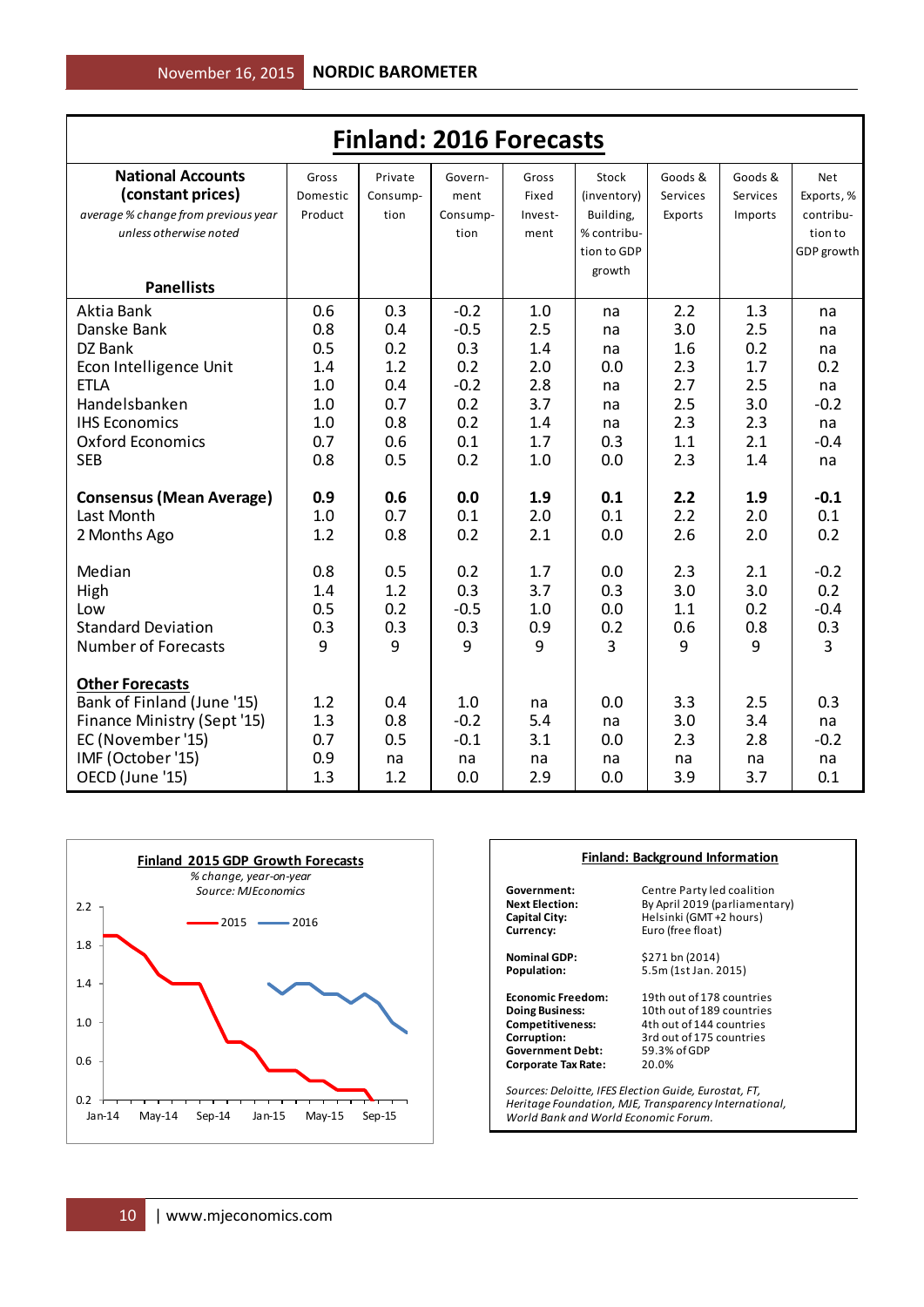| <b>Finland: 2016 Forecasts</b>                                                       |                              |                             |                             |                           |                                      |                                |                                |                                       |  |  |
|--------------------------------------------------------------------------------------|------------------------------|-----------------------------|-----------------------------|---------------------------|--------------------------------------|--------------------------------|--------------------------------|---------------------------------------|--|--|
| <b>National Accounts</b><br>(constant prices)<br>average % change from previous year | Gross<br>Domestic<br>Product | Private<br>Consump-<br>tion | Govern-<br>ment<br>Consump- | Gross<br>Fixed<br>Invest- | Stock<br>(inventory)<br>Building,    | Goods &<br>Services<br>Exports | Goods &<br>Services<br>Imports | <b>Net</b><br>Exports, %<br>contribu- |  |  |
| unless otherwise noted<br><b>Panellists</b>                                          |                              |                             | tion                        | ment                      | % contribu-<br>tion to GDP<br>growth |                                |                                | tion to<br>GDP growth                 |  |  |
| Aktia Bank                                                                           | 0.6                          | 0.3                         | $-0.2$                      | 1.0                       | na                                   | 2.2                            | 1.3                            | na                                    |  |  |
| Danske Bank                                                                          | 0.8                          | 0.4                         | $-0.5$                      | 2.5                       | na                                   | 3.0                            | 2.5                            | na                                    |  |  |
| DZ Bank                                                                              | 0.5                          | 0.2                         | 0.3                         | 1.4                       | na                                   | 1.6                            | 0.2                            | na                                    |  |  |
| Econ Intelligence Unit                                                               | 1.4                          | 1.2                         | 0.2                         | 2.0                       | 0.0                                  | 2.3                            | 1.7                            | 0.2                                   |  |  |
| <b>ETLA</b>                                                                          | 1.0                          | 0.4                         | $-0.2$                      | 2.8                       | na                                   | 2.7                            | 2.5                            | na                                    |  |  |
| Handelsbanken                                                                        | 1.0                          | 0.7                         | 0.2                         | 3.7                       | na                                   | 2.5                            | 3.0                            | $-0.2$                                |  |  |
| <b>IHS Economics</b>                                                                 | 1.0                          | 0.8                         | 0.2                         | 1.4                       | na                                   | 2.3                            | 2.3                            | na                                    |  |  |
| <b>Oxford Economics</b>                                                              | 0.7<br>0.8                   | 0.6<br>0.5                  | 0.1<br>0.2                  | 1.7                       | 0.3<br>0.0                           | 1.1<br>2.3                     | 2.1<br>1.4                     | $-0.4$                                |  |  |
| <b>SEB</b>                                                                           |                              |                             |                             | 1.0                       |                                      |                                |                                | na                                    |  |  |
| <b>Consensus (Mean Average)</b>                                                      | 0.9                          | 0.6                         | 0.0                         | 1.9                       | 0.1                                  | 2.2                            | 1.9                            | $-0.1$                                |  |  |
| Last Month                                                                           | 1.0                          | 0.7                         | 0.1                         | 2.0                       | 0.1                                  | 2.2                            | 2.0                            | 0.1                                   |  |  |
| 2 Months Ago                                                                         | 1.2                          | 0.8                         | 0.2                         | 2.1                       | 0.0                                  | 2.6                            | 2.0                            | 0.2                                   |  |  |
| Median                                                                               | 0.8                          | 0.5                         | 0.2                         | 1.7                       | 0.0                                  | 2.3                            | 2.1                            | $-0.2$                                |  |  |
| High                                                                                 | 1.4                          | 1.2                         | 0.3                         | 3.7                       | 0.3                                  | 3.0                            | 3.0                            | 0.2                                   |  |  |
| Low                                                                                  | 0.5                          | 0.2                         | $-0.5$                      | 1.0                       | 0.0                                  | 1.1                            | 0.2                            | $-0.4$                                |  |  |
| <b>Standard Deviation</b>                                                            | 0.3                          | 0.3                         | 0.3                         | 0.9                       | 0.2                                  | 0.6                            | 0.8                            | 0.3                                   |  |  |
| <b>Number of Forecasts</b>                                                           | 9                            | 9                           | 9                           | 9                         | $\overline{3}$                       | 9                              | 9                              | 3                                     |  |  |
| <b>Other Forecasts</b>                                                               |                              |                             |                             |                           |                                      |                                |                                |                                       |  |  |
| Bank of Finland (June '15)                                                           | 1.2                          | 0.4                         | 1.0                         | na                        | 0.0                                  | 3.3                            | 2.5                            | 0.3                                   |  |  |
| Finance Ministry (Sept '15)                                                          | 1.3                          | 0.8                         | $-0.2$                      | 5.4                       | na                                   | 3.0                            | 3.4                            | na                                    |  |  |
| EC (November '15)                                                                    | 0.7                          | 0.5                         | $-0.1$                      | 3.1                       | 0.0                                  | 2.3                            | 2.8                            | $-0.2$                                |  |  |
| IMF (October '15)                                                                    | 0.9                          | na                          | na                          | na                        | na                                   | na                             | na                             | na                                    |  |  |
| OECD (June '15)                                                                      | 1.3                          | 1.2                         | 0.0                         | 2.9                       | 0.0                                  | 3.9                            | 3.7                            | 0.1                                   |  |  |



#### **Finland: Background Information**

**Nominal GDP:** \$271 bn (2014)<br>**Population:** 5.5m (1st Jan. 2)

**Government Debt:** 59.3%<br>**Corporate Tax Rate:** 20.0% **Corporate Tax Rate:** 

**Government:** Centre Party led coalition **Next Election:** By April 2019 (parliamentary) **Capital City:** Helsinki (GMT+2 hours)<br> **Currency:** Euro (free float) Euro (free float)

**Population:** 5.5m (1st Jan. 2015)

**Economic Freedom:** 19th out of 178 countries<br> **Doing Business:** 10th out of 189 countries **Doing Business:** 10th out of 189 countries<br> **Competitiveness:** 4th out of 144 countries **Competitiveness:** 4th out of 144 countries<br> **Corruption:** 3rd out of 175 countries 3rd out of 175 countries<br>59.3% of GDP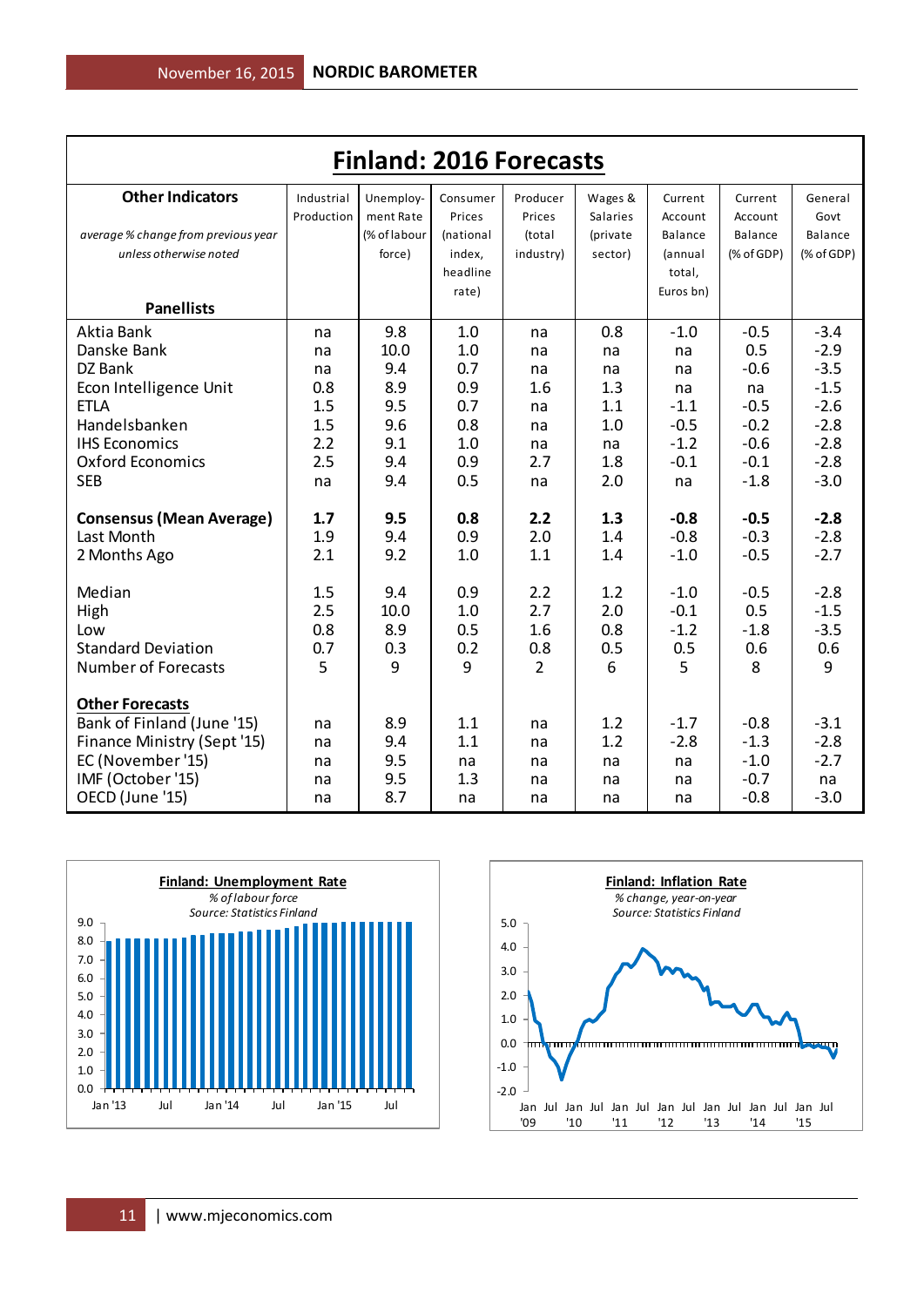|                                     |            | <b>Finland: 2016 Forecasts</b> |           |                |          |           |            |                                  |
|-------------------------------------|------------|--------------------------------|-----------|----------------|----------|-----------|------------|----------------------------------|
| <b>Other Indicators</b>             | Industrial | Unemploy-                      | Consumer  | Producer       | Wages &  | Current   | Current    | General                          |
|                                     | Production | ment Rate                      | Prices    | Prices         | Salaries | Account   | Account    | Govt                             |
| average % change from previous year |            | (% of labour                   | (national | (total         | (private | Balance   | Balance    | Balance                          |
| unless otherwise noted              |            | force)                         | index,    | industry)      | sector)  | (annual   | (% of GDP) | $(% \mathcal{L}_{0})$ (% of GDP) |
|                                     |            |                                | headline  |                |          | total,    |            |                                  |
|                                     |            |                                | rate)     |                |          | Euros bn) |            |                                  |
| <b>Panellists</b>                   |            |                                |           |                |          |           |            |                                  |
| Aktia Bank                          | na         | 9.8                            | 1.0       | na             | 0.8      | $-1.0$    | $-0.5$     | $-3.4$                           |
| Danske Bank                         | na         | 10.0                           | 1.0       | na             | na       | na        | 0.5        | $-2.9$                           |
| DZ Bank                             | na         | 9.4                            | 0.7       | na             | na       | na        | $-0.6$     | $-3.5$                           |
| Econ Intelligence Unit              | 0.8        | 8.9                            | 0.9       | 1.6            | 1.3      | na        | na         | $-1.5$                           |
| <b>ETLA</b>                         | 1.5        | 9.5                            | 0.7       | na             | 1.1      | $-1.1$    | $-0.5$     | $-2.6$                           |
| Handelsbanken                       | 1.5        | 9.6                            | 0.8       | na             | 1.0      | $-0.5$    | $-0.2$     | $-2.8$                           |
| <b>IHS Economics</b>                | 2.2        | 9.1                            | 1.0       | na             | na       | $-1.2$    | $-0.6$     | $-2.8$                           |
| <b>Oxford Economics</b>             | 2.5        | 9.4                            | 0.9       | 2.7            | 1.8      | $-0.1$    | $-0.1$     | $-2.8$                           |
| <b>SEB</b>                          | na         | 9.4                            | 0.5       | na             | 2.0      | na        | $-1.8$     | $-3.0$                           |
| <b>Consensus (Mean Average)</b>     | 1.7        | 9.5                            | 0.8       | 2.2            | 1.3      | $-0.8$    | $-0.5$     | $-2.8$                           |
| Last Month                          | 1.9        | 9.4                            | 0.9       | 2.0            | 1.4      | $-0.8$    | $-0.3$     | $-2.8$                           |
| 2 Months Ago                        | 2.1        | 9.2                            | 1.0       | 1.1            | 1.4      | $-1.0$    | $-0.5$     | $-2.7$                           |
| Median                              | 1.5        | 9.4                            | 0.9       | 2.2            | 1.2      | $-1.0$    | $-0.5$     | $-2.8$                           |
| High                                | 2.5        | 10.0                           | 1.0       | 2.7            | 2.0      | $-0.1$    | 0.5        | $-1.5$                           |
| Low                                 | 0.8        | 8.9                            | 0.5       | 1.6            | 0.8      | $-1.2$    | $-1.8$     | $-3.5$                           |
| <b>Standard Deviation</b>           | 0.7        | 0.3                            | 0.2       | 0.8            | 0.5      | 0.5       | 0.6        | 0.6                              |
| <b>Number of Forecasts</b>          | 5          | 9                              | 9         | $\overline{2}$ | 6        | 5         | 8          | 9                                |
| <b>Other Forecasts</b>              |            |                                |           |                |          |           |            |                                  |
| Bank of Finland (June '15)          | na         | 8.9                            | 1.1       | na             | 1.2      | $-1.7$    | $-0.8$     | $-3.1$                           |
| Finance Ministry (Sept '15)         | na         | 9.4                            | 1.1       | na             | 1.2      | $-2.8$    | $-1.3$     | $-2.8$                           |
| EC (November '15)                   | na         | 9.5                            | na        | na             | na       | na        | $-1.0$     | $-2.7$                           |
| IMF (October '15)                   | na         | 9.5                            | 1.3       | na             | na       | na        | $-0.7$     | na                               |
| OECD (June '15)                     | na         | 8.7                            | na        | na             | na       | na        | $-0.8$     | $-3.0$                           |



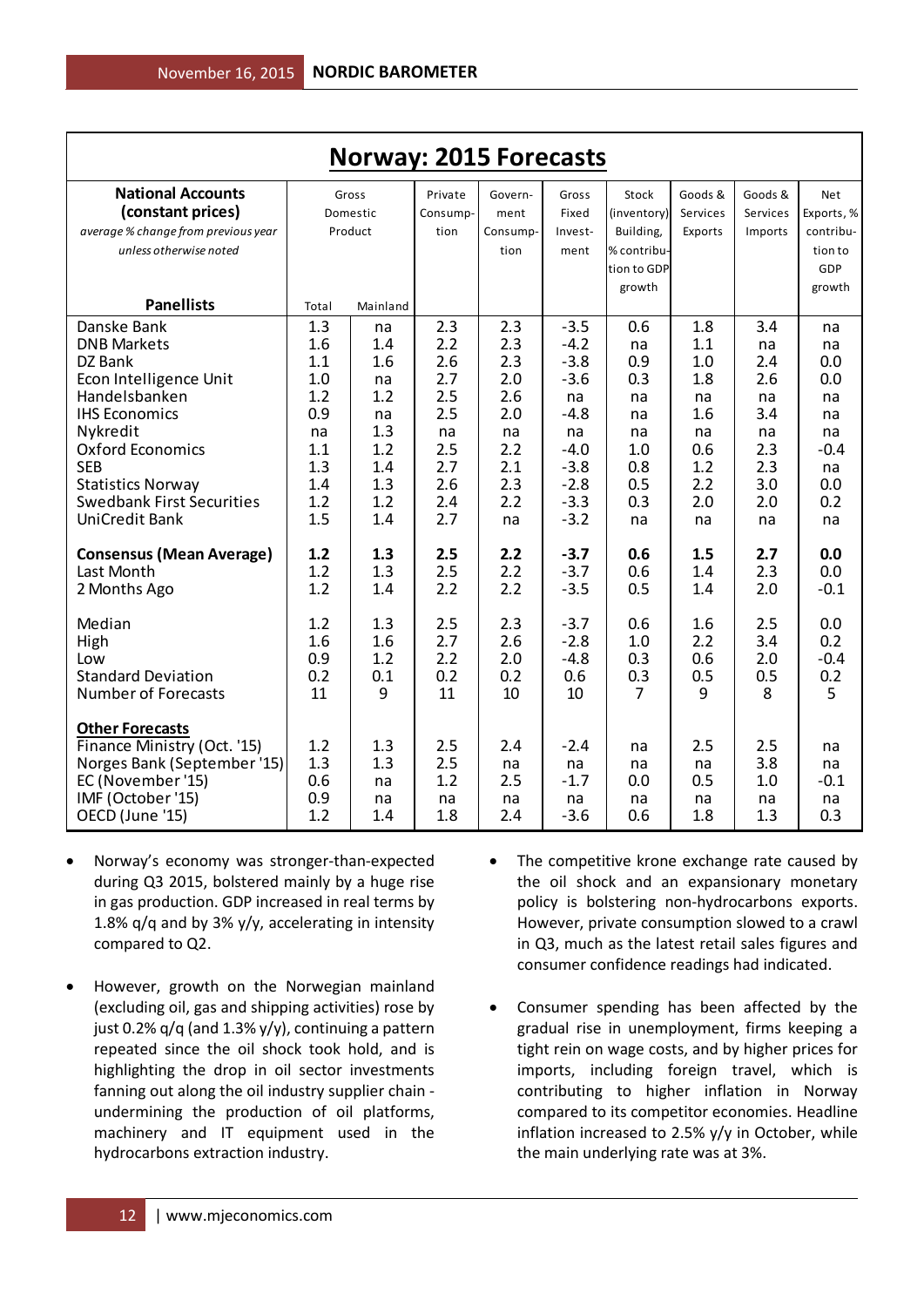| <b>Norway: 2015 Forecasts</b>                                                                                                                                                                                                                                 |                                                                                 |                                                                               |                                                                                 |                                                                                |                                                                                                              |                                                                             |                                                                               |                                                                              |                                                                              |  |
|---------------------------------------------------------------------------------------------------------------------------------------------------------------------------------------------------------------------------------------------------------------|---------------------------------------------------------------------------------|-------------------------------------------------------------------------------|---------------------------------------------------------------------------------|--------------------------------------------------------------------------------|--------------------------------------------------------------------------------------------------------------|-----------------------------------------------------------------------------|-------------------------------------------------------------------------------|------------------------------------------------------------------------------|------------------------------------------------------------------------------|--|
| <b>National Accounts</b><br>(constant prices)<br>average % change from previous year<br>unless otherwise noted                                                                                                                                                |                                                                                 | Gross<br>Domestic<br>Product                                                  | Private<br>Consump-<br>tion                                                     | Govern-<br>ment<br>Consump-<br>tion                                            | Gross<br>Fixed<br>Invest-<br>ment                                                                            | Stock<br>(inventory)<br>Building,<br>% contribu-<br>tion to GDP             | Goods &<br>Services<br>Exports                                                | Goods &<br>Services<br>Imports                                               | <b>Net</b><br>Exports, %<br>contribu-<br>tion to<br>GDP                      |  |
| <b>Panellists</b>                                                                                                                                                                                                                                             | Total                                                                           | Mainland                                                                      |                                                                                 |                                                                                |                                                                                                              | growth                                                                      |                                                                               |                                                                              | growth                                                                       |  |
| Danske Bank<br><b>DNB Markets</b><br>DZ Bank<br>Econ Intelligence Unit<br>Handelsbanken<br><b>IHS Economics</b><br>Nykredit<br><b>Oxford Economics</b><br><b>SEB</b><br><b>Statistics Norway</b><br><b>Swedbank First Securities</b><br><b>UniCredit Bank</b> | 1.3<br>1.6<br>1.1<br>1.0<br>1.2<br>0.9<br>na<br>1.1<br>1.3<br>1.4<br>1.2<br>1.5 | na<br>1.4<br>1.6<br>na<br>1.2<br>na<br>1.3<br>1.2<br>1.4<br>1.3<br>1.2<br>1.4 | 2.3<br>2.2<br>2.6<br>2.7<br>2.5<br>2.5<br>na<br>2.5<br>2.7<br>2.6<br>2.4<br>2.7 | 2.3<br>2.3<br>2.3<br>2.0<br>2.6<br>2.0<br>na<br>2.2<br>2.1<br>2.3<br>2.2<br>na | $-3.5$<br>$-4.2$<br>$-3.8$<br>$-3.6$<br>na<br>$-4.8$<br>na<br>$-4.0$<br>$-3.8$<br>$-2.8$<br>$-3.3$<br>$-3.2$ | 0.6<br>na<br>0.9<br>0.3<br>na<br>na<br>na<br>1.0<br>0.8<br>0.5<br>0.3<br>na | 1.8<br>1.1<br>1.0<br>1.8<br>na<br>1.6<br>na<br>0.6<br>1.2<br>2.2<br>2.0<br>na | 3.4<br>na<br>2.4<br>2.6<br>na<br>3.4<br>na<br>2.3<br>2.3<br>3.0<br>2.0<br>na | na<br>na<br>0.0<br>0.0<br>na<br>na<br>na<br>$-0.4$<br>na<br>0.0<br>0.2<br>na |  |
| <b>Consensus (Mean Average)</b><br>Last Month<br>2 Months Ago                                                                                                                                                                                                 | 1.2<br>1.2<br>1.2                                                               | 1.3<br>1.3<br>1.4                                                             | 2.5<br>2.5<br>2.2                                                               | 2.2<br>2.2<br>2.2                                                              | $-3.7$<br>$-3.7$<br>$-3.5$                                                                                   | 0.6<br>0.6<br>0.5                                                           | 1.5<br>1.4<br>1.4                                                             | 2.7<br>2.3<br>2.0                                                            | 0.0<br>0.0<br>$-0.1$                                                         |  |
| Median<br>High<br>Low<br><b>Standard Deviation</b><br><b>Number of Forecasts</b>                                                                                                                                                                              | 1.2<br>1.6<br>0.9<br>0.2<br>11                                                  | 1.3<br>1.6<br>1.2<br>0.1<br>9                                                 | 2.5<br>2.7<br>2.2<br>0.2<br>11                                                  | 2.3<br>2.6<br>2.0<br>0.2<br>10                                                 | $-3.7$<br>$-2.8$<br>$-4.8$<br>0.6<br>10                                                                      | 0.6<br>1.0<br>0.3<br>0.3<br>$\overline{7}$                                  | 1.6<br>2.2<br>0.6<br>0.5<br>9                                                 | 2.5<br>3.4<br>2.0<br>0.5<br>8                                                | 0.0<br>0.2<br>$-0.4$<br>0.2<br>5                                             |  |
| <b>Other Forecasts</b><br>Finance Ministry (Oct. '15)<br>Norges Bank (September '15)<br>EC (November '15)<br>IMF (October '15)<br>OECD (June '15)                                                                                                             | 1.2<br>1.3<br>0.6<br>0.9<br>1.2                                                 | 1.3<br>1.3<br>na<br>na<br>1.4                                                 | 2.5<br>2.5<br>1.2<br>na<br>1.8                                                  | 2.4<br>na<br>2.5<br>na<br>2.4                                                  | $-2.4$<br>na<br>$-1.7$<br>na<br>$-3.6$                                                                       | na<br>na<br>0.0<br>na<br>0.6                                                | 2.5<br>na<br>0.5<br>na<br>1.8                                                 | 2.5<br>3.8<br>1.0<br>na<br>1.3                                               | na<br>na<br>$-0.1$<br>na<br>0.3                                              |  |

- Norway's economy was stronger-than-expected during Q3 2015, bolstered mainly by a huge rise in gas production. GDP increased in real terms by 1.8% q/q and by 3% y/y, accelerating in intensity compared to Q2.
- However, growth on the Norwegian mainland (excluding oil, gas and shipping activities) rose by just 0.2%  $q/q$  (and 1.3%  $y/y$ ), continuing a pattern repeated since the oil shock took hold, and is highlighting the drop in oil sector investments fanning out along the oil industry supplier chain undermining the production of oil platforms, machinery and IT equipment used in the hydrocarbons extraction industry.
- The competitive krone exchange rate caused by the oil shock and an expansionary monetary policy is bolstering non-hydrocarbons exports. However, private consumption slowed to a crawl in Q3, much as the latest retail sales figures and consumer confidence readings had indicated.
- Consumer spending has been affected by the gradual rise in unemployment, firms keeping a tight rein on wage costs, and by higher prices for imports, including foreign travel, which is contributing to higher inflation in Norway compared to its competitor economies. Headline inflation increased to 2.5% y/y in October, while the main underlying rate was at 3%.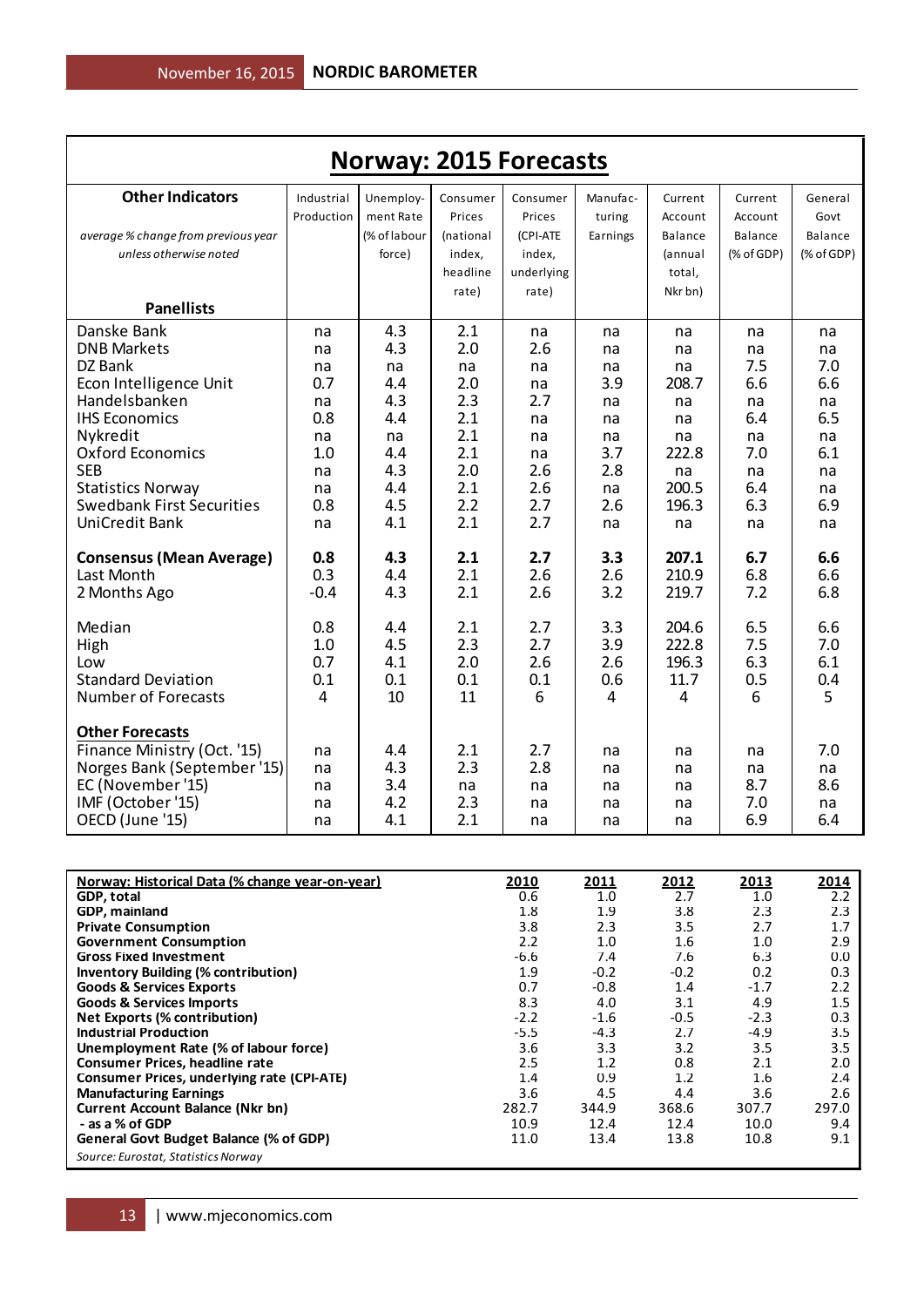| <b>Norway: 2015 Forecasts</b>                                |            |              |                  |            |           |                |            |              |  |  |
|--------------------------------------------------------------|------------|--------------|------------------|------------|-----------|----------------|------------|--------------|--|--|
| <b>Other Indicators</b>                                      | Industrial | Unemploy-    | Consumer         | Consumer   | Manufac-  | Current        | Current    | General      |  |  |
|                                                              | Production | ment Rate    | Prices           | Prices     | turing    | Account        | Account    | Govt         |  |  |
| average % change from previous year                          |            | (% of labour | <i>(national</i> | (CPI-ATE   | Earnings  | Balance        | Balance    | Balance      |  |  |
| unless otherwise noted                                       |            | force)       | index.           | index.     |           | <i>(annual</i> | (% of GDP) | $(%$ of GDP) |  |  |
|                                                              |            |              | headline         | underlying |           | total,         |            |              |  |  |
|                                                              |            |              | rate)            | rate)      |           | Nkr bn)        |            |              |  |  |
| <b>Panellists</b>                                            |            |              |                  |            |           |                |            |              |  |  |
| Danske Bank                                                  | na         | 4.3          | 2.1              | na         | na        | na             | na         | na           |  |  |
| <b>DNB Markets</b>                                           | na         | 4.3          | 2.0              | 2.6        | na        | na             | na         | na           |  |  |
| DZ Bank                                                      | na         | na           | na               | na         | na        | na             | 7.5        | 7.0          |  |  |
| Econ Intelligence Unit                                       | 0.7        | 4.4          | 2.0              | na         | 3.9       | 208.7          | 6.6        | 6.6          |  |  |
| Handelsbanken                                                | na         | 4.3          | 2.3              | 2.7        | na        | na             | na         | na           |  |  |
| <b>IHS Economics</b>                                         | 0.8        | 4.4          | 2.1              | na         | na        | na             | 6.4        | 6.5          |  |  |
| Nykredit                                                     | na         | na           | 2.1              | na         | na        | na             | na         | na           |  |  |
| <b>Oxford Economics</b>                                      | 1.0        | 4.4          | 2.1              | na         | 3.7       | 222.8          | 7.0        | 6.1          |  |  |
| <b>SEB</b>                                                   | na         | 4.3          | 2.0              | 2.6        | 2.8       | na             | na         | na           |  |  |
| <b>Statistics Norway</b><br><b>Swedbank First Securities</b> | na<br>0.8  | 4.4<br>4.5   | 2.1<br>2.2       | 2.6<br>2.7 | na<br>2.6 | 200.5<br>196.3 | 6.4<br>6.3 | na<br>6.9    |  |  |
| <b>UniCredit Bank</b>                                        | na         | 4.1          | 2.1              | 2.7        | na        | na             | na         | na           |  |  |
|                                                              |            |              |                  |            |           |                |            |              |  |  |
| <b>Consensus (Mean Average)</b>                              | 0.8        | 4.3          | 2.1              | 2.7        | 3.3       | 207.1          | 6.7        | 6.6          |  |  |
| Last Month                                                   | 0.3        | 4.4          | 2.1              | 2.6        | 2.6       | 210.9          | 6.8        | 6.6          |  |  |
| 2 Months Ago                                                 | $-0.4$     | 4.3          | 2.1              | 2.6        | 3.2       | 219.7          | 7.2        | 6.8          |  |  |
|                                                              |            |              |                  |            |           |                |            |              |  |  |
| Median                                                       | 0.8        | 4.4          | 2.1              | 2.7        | 3.3       | 204.6          | 6.5        | 6.6          |  |  |
| High                                                         | 1.0        | 4.5          | 2.3              | 2.7        | 3.9       | 222.8          | 7.5        | 7.0          |  |  |
| Low                                                          | 0.7        | 4.1          | 2.0              | 2.6        | 2.6       | 196.3          | 6.3        | 6.1          |  |  |
| <b>Standard Deviation</b>                                    | 0.1        | 0.1          | 0.1              | 0.1        | 0.6       | 11.7           | 0.5        | 0.4          |  |  |
| <b>Number of Forecasts</b>                                   | 4          | 10           | 11               | 6          | 4         | 4              | 6          | 5            |  |  |
|                                                              |            |              |                  |            |           |                |            |              |  |  |
| <b>Other Forecasts</b>                                       |            |              |                  |            |           |                |            | 7.0          |  |  |
| Finance Ministry (Oct. '15)                                  | na         | 4.4          | 2.1              | 2.7        | na        | na             | na         |              |  |  |
| Norges Bank (September '15)<br>EC (November '15)             | na         | 4.3<br>3.4   | 2.3              | 2.8        | na        | na             | na<br>8.7  | na<br>8.6    |  |  |
| IMF (October '15)                                            | na         | 4.2          | na<br>2.3        | na         | na        | na             | 7.0        |              |  |  |
| OECD (June '15)                                              | na<br>na   | 4.1          | 2.1              | na<br>na   | na<br>na  | na<br>na       | 6.9        | na<br>6.4    |  |  |
|                                                              |            |              |                  |            |           |                |            |              |  |  |

| Norway: Historical Data (% change year-on-year)   | 2010   | 2011   | 2012   | 2013   | 2014  |
|---------------------------------------------------|--------|--------|--------|--------|-------|
| GDP, total                                        | 0.6    | 1.0    | 2.7    | 1.0    | 2.2   |
| GDP, mainland                                     | 1.8    | 1.9    | 3.8    | 2.3    | 2.3   |
| <b>Private Consumption</b>                        | 3.8    | 2.3    | 3.5    | 2.7    | 1.7   |
| <b>Government Consumption</b>                     | 2.2    | 1.0    | 1.6    | 1.0    | 2.9   |
| <b>Gross Fixed Investment</b>                     | $-6.6$ | 7.4    | 7.6    | 6.3    | 0.0   |
| <b>Inventory Building (% contribution)</b>        | 1.9    | $-0.2$ | $-0.2$ | 0.2    | 0.3   |
| <b>Goods &amp; Services Exports</b>               | 0.7    | $-0.8$ | 1.4    | $-1.7$ | 2.2   |
| <b>Goods &amp; Services Imports</b>               | 8.3    | 4.0    | 3.1    | 4.9    | 1.5   |
| Net Exports (% contribution)                      | $-2.2$ | $-1.6$ | $-0.5$ | $-2.3$ | 0.3   |
| <b>Industrial Production</b>                      | $-5.5$ | $-4.3$ | 2.7    | $-4.9$ | 3.5   |
| Unemployment Rate (% of labour force)             | 3.6    | 3.3    | 3.2    | 3.5    | 3.5   |
| <b>Consumer Prices, headline rate</b>             | 2.5    | 1.2    | 0.8    | 2.1    | 2.0   |
| <b>Consumer Prices, underlying rate (CPI-ATE)</b> | 1.4    | 0.9    | 1.2    | 1.6    | 2.4   |
| <b>Manufacturing Earnings</b>                     | 3.6    | 4.5    | 4.4    | 3.6    | 2.6   |
| <b>Current Account Balance (Nkr bn)</b>           | 282.7  | 344.9  | 368.6  | 307.7  | 297.0 |
| - as a % of GDP                                   | 10.9   | 12.4   | 12.4   | 10.0   | 9.4   |
| General Govt Budget Balance (% of GDP)            | 11.0   | 13.4   | 13.8   | 10.8   | 9.1   |
| Source: Eurostat, Statistics Norway               |        |        |        |        |       |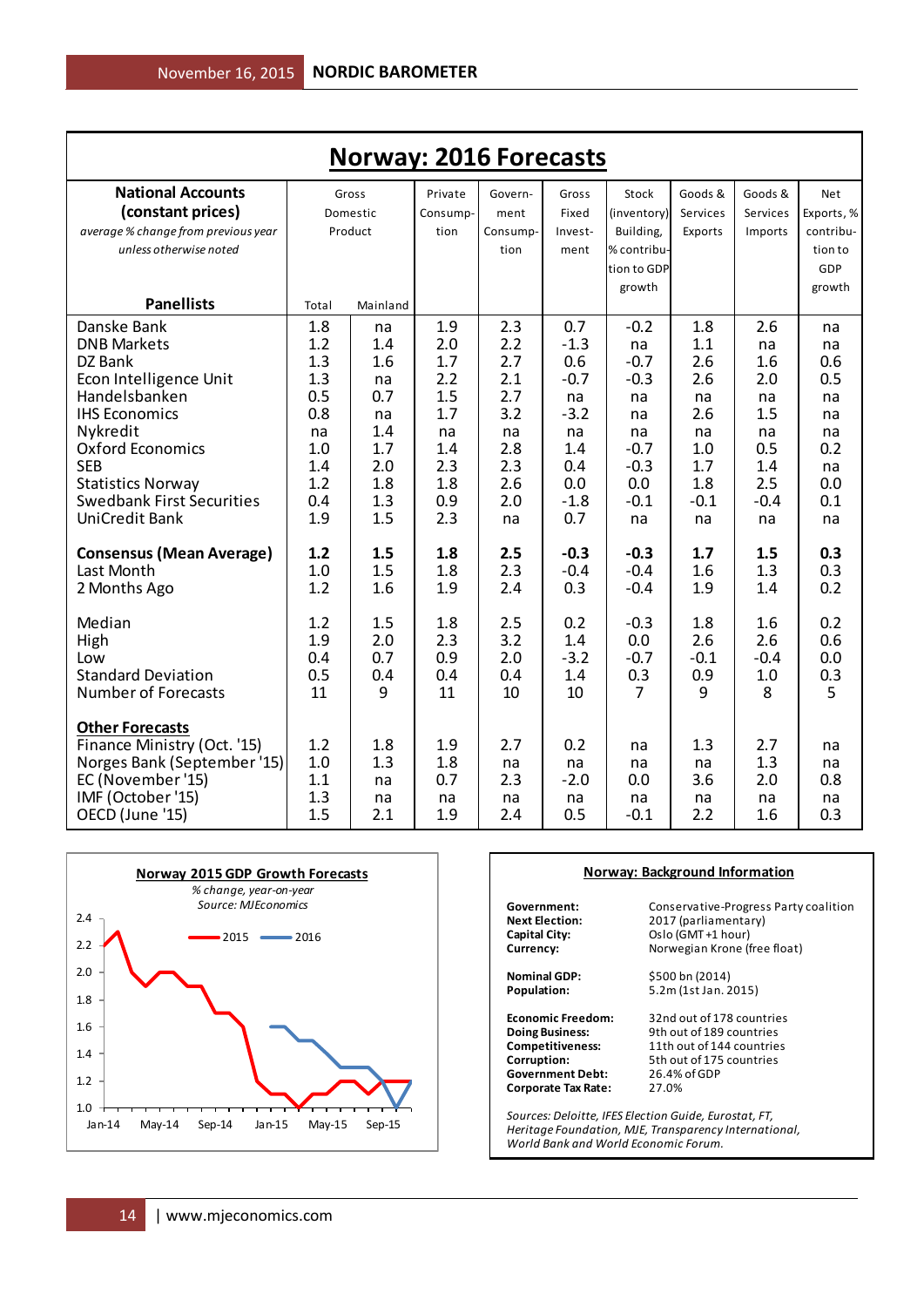| <b>Norway: 2016 Forecasts</b>                                                                                                                                                                                                                                 |                                                                                 |                                                                               |                                                                                 |                                                                                |                                                                                            |                                                                                               |                                                                                  |                                                                                 |                                                                           |  |
|---------------------------------------------------------------------------------------------------------------------------------------------------------------------------------------------------------------------------------------------------------------|---------------------------------------------------------------------------------|-------------------------------------------------------------------------------|---------------------------------------------------------------------------------|--------------------------------------------------------------------------------|--------------------------------------------------------------------------------------------|-----------------------------------------------------------------------------------------------|----------------------------------------------------------------------------------|---------------------------------------------------------------------------------|---------------------------------------------------------------------------|--|
| <b>National Accounts</b><br>(constant prices)<br>average % change from previous year<br>unless otherwise noted                                                                                                                                                |                                                                                 | Gross<br>Domestic<br>Product                                                  | Private<br>Consump-<br>tion                                                     | Govern-<br>ment<br>Consump-<br>tion                                            | Gross<br>Fixed<br>Invest-<br>ment                                                          | Stock<br>(inventory)<br>Building,<br>% contribu-<br>tion to GDP<br>growth                     | Goods &<br>Services<br>Exports                                                   | Goods &<br>Services<br>Imports                                                  | <b>Net</b><br>Exports, %<br>contribu-<br>tion to<br>GDP<br>growth         |  |
| <b>Panellists</b>                                                                                                                                                                                                                                             | Total                                                                           | Mainland                                                                      |                                                                                 |                                                                                |                                                                                            |                                                                                               |                                                                                  |                                                                                 |                                                                           |  |
| Danske Bank<br><b>DNB Markets</b><br>DZ Bank<br>Econ Intelligence Unit<br>Handelsbanken<br><b>IHS Economics</b><br>Nykredit<br><b>Oxford Economics</b><br><b>SEB</b><br><b>Statistics Norway</b><br><b>Swedbank First Securities</b><br><b>UniCredit Bank</b> | 1.8<br>1.2<br>1.3<br>1.3<br>0.5<br>0.8<br>na<br>1.0<br>1.4<br>1.2<br>0.4<br>1.9 | na<br>1.4<br>1.6<br>na<br>0.7<br>na<br>1.4<br>1.7<br>2.0<br>1.8<br>1.3<br>1.5 | 1.9<br>2.0<br>1.7<br>2.2<br>1.5<br>1.7<br>na<br>1.4<br>2.3<br>1.8<br>0.9<br>2.3 | 2.3<br>2.2<br>2.7<br>2.1<br>2.7<br>3.2<br>na<br>2.8<br>2.3<br>2.6<br>2.0<br>na | 0.7<br>$-1.3$<br>0.6<br>$-0.7$<br>na<br>$-3.2$<br>na<br>1.4<br>0.4<br>0.0<br>$-1.8$<br>0.7 | $-0.2$<br>na<br>$-0.7$<br>$-0.3$<br>na<br>na<br>na<br>$-0.7$<br>$-0.3$<br>0.0<br>$-0.1$<br>na | 1.8<br>1.1<br>2.6<br>2.6<br>na<br>2.6<br>na<br>1.0<br>1.7<br>1.8<br>$-0.1$<br>na | 2.6<br>na<br>1.6<br>2.0<br>na<br>1.5<br>na<br>0.5<br>1.4<br>2.5<br>$-0.4$<br>na | na<br>na<br>0.6<br>0.5<br>na<br>na<br>na<br>0.2<br>na<br>0.0<br>0.1<br>na |  |
| <b>Consensus (Mean Average)</b><br>Last Month<br>2 Months Ago                                                                                                                                                                                                 | 1.2<br>1.0<br>1.2                                                               | 1.5<br>1.5<br>1.6                                                             | 1.8<br>1.8<br>1.9                                                               | 2.5<br>2.3<br>2.4                                                              | $-0.3$<br>$-0.4$<br>0.3                                                                    | $-0.3$<br>$-0.4$<br>$-0.4$                                                                    | 1.7<br>1.6<br>1.9                                                                | 1.5<br>1.3<br>1.4                                                               | 0.3<br>0.3<br>0.2                                                         |  |
| Median<br>High<br>Low<br><b>Standard Deviation</b><br><b>Number of Forecasts</b>                                                                                                                                                                              | 1.2<br>1.9<br>0.4<br>0.5<br>11                                                  | 1.5<br>2.0<br>0.7<br>0.4<br>9                                                 | 1.8<br>2.3<br>0.9<br>0.4<br>11                                                  | 2.5<br>3.2<br>2.0<br>0.4<br>10                                                 | 0.2<br>1.4<br>$-3.2$<br>1.4<br>10                                                          | $-0.3$<br>0.0<br>$-0.7$<br>0.3<br>$\overline{7}$                                              | 1.8<br>2.6<br>$-0.1$<br>0.9<br>9                                                 | 1.6<br>2.6<br>$-0.4$<br>1.0<br>8                                                | 0.2<br>0.6<br>0.0<br>0.3<br>5                                             |  |
| <b>Other Forecasts</b><br>Finance Ministry (Oct. '15)<br>Norges Bank (September '15)<br>EC (November '15)<br>IMF (October '15)<br>OECD (June '15)                                                                                                             | 1.2<br>1.0<br>1.1<br>1.3<br>1.5                                                 | 1.8<br>1.3<br>na<br>na<br>2.1                                                 | 1.9<br>1.8<br>0.7<br>na<br>1.9                                                  | 2.7<br>na<br>2.3<br>na<br>2.4                                                  | 0.2<br>na<br>$-2.0$<br>na<br>0.5                                                           | na<br>na<br>0.0<br>na<br>$-0.1$                                                               | 1.3<br>na<br>3.6<br>na<br>2.2                                                    | 2.7<br>1.3<br>2.0<br>na<br>1.6                                                  | na<br>na<br>0.8<br>na<br>0.3                                              |  |



#### **Norway: Background Information**

**Government:** Conservative-Progress Party coalition<br>**Next Election:** 2017 (parliamentary) **Next Election:** 2017 (parliamentary)<br> **Capital City:** 0slo (GMT +1 hour) **Capital City:** Capital City: Contract Contract Contract Contract Contract Contract Contract Contract Contract Contract Contract Contract Contract Contract Contract Contract Contract Contract Contract Contract Contract Con

**Nominal GDP:** \$500 bn (2014)<br>**Population:** \$5.2m (1st Jan. 2

**Government Debt:** 26.4%<br>**Corporate Tax Rate:** 27.0% **Corporate Tax Rate:** 

**Population:** 5.2m (1st Jan. 2015) **Economic Freedom:** 32nd out of 178 countries<br> **Doing Business:** 9th out of 189 countries **Doing Business:** 9th out of 189 countries<br> **Competitiveness:** 11th out of 144 countries **Competitiveness:** 11th out of 144 countries<br> **Corruption:** 5th out of 175 countries **CORRUPTION:** 5th out of 175 countries<br>26.4% of GDP

**Currency:** Norwegian Krone (free float)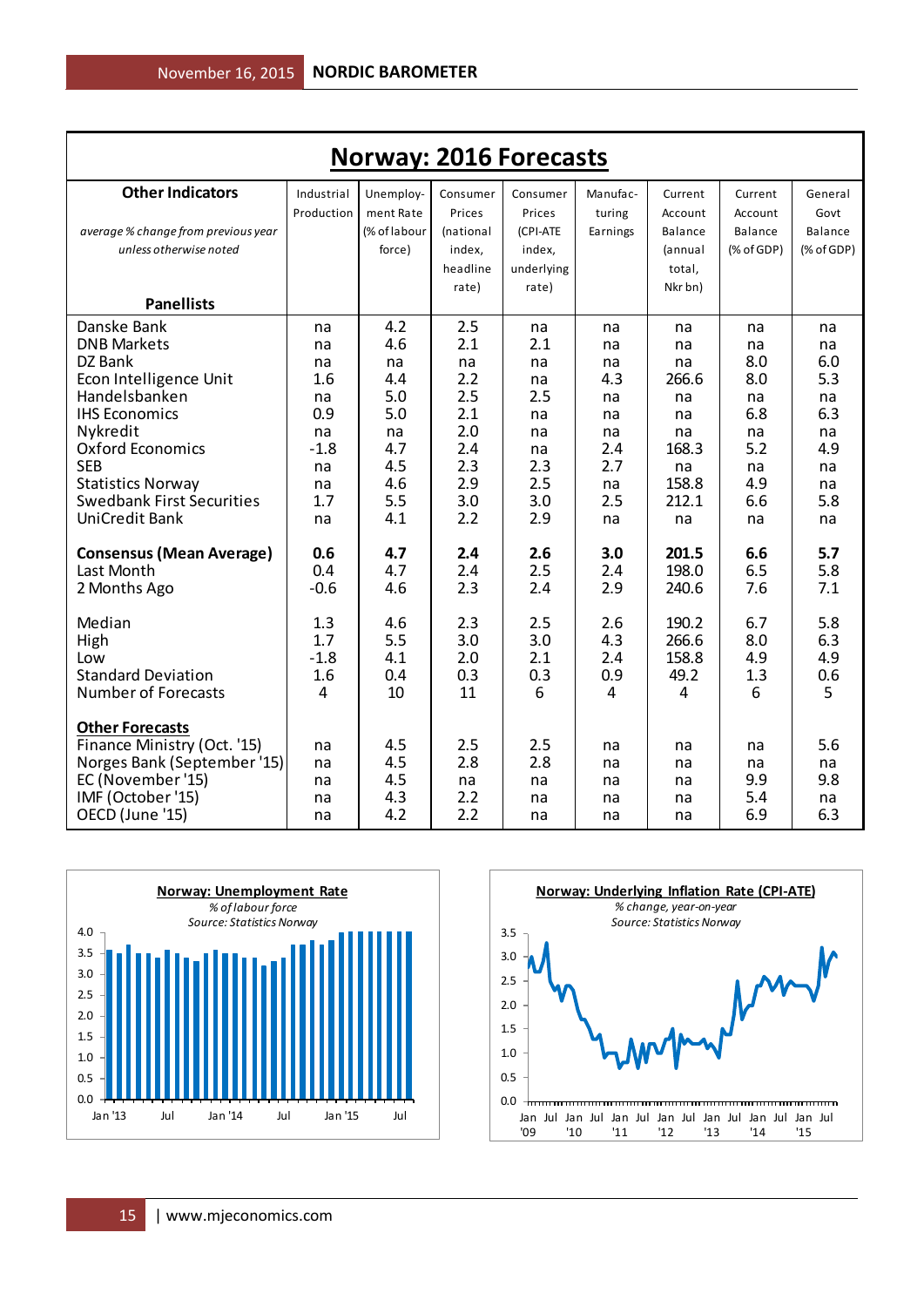| <b>Norway: 2016 Forecasts</b>                    |                          |                        |                    |                    |                    |                    |                    |                   |  |  |
|--------------------------------------------------|--------------------------|------------------------|--------------------|--------------------|--------------------|--------------------|--------------------|-------------------|--|--|
| <b>Other Indicators</b>                          | Industrial<br>Production | Unemploy-<br>ment Rate | Consumer<br>Prices | Consumer<br>Prices | Manufac-<br>turing | Current<br>Account | Current<br>Account | General<br>Govt   |  |  |
| average % change from previous year              |                          | (% of labour           | (national          | (CPI-ATE           | Earnings           | Balance            | Balance            | Balance           |  |  |
| unless otherwise noted                           |                          | force)                 | index,             | index,             |                    | <i>(annual</i>     | $(%$ (% of GDP)    | $(%$ $(*$ of GDP) |  |  |
|                                                  |                          |                        | headline           | underlying         |                    | total,             |                    |                   |  |  |
|                                                  |                          |                        | rate)              | rate)              |                    | Nkr bn)            |                    |                   |  |  |
| <b>Panellists</b>                                |                          |                        |                    |                    |                    |                    |                    |                   |  |  |
| Danske Bank                                      | na                       | 4.2                    | 2.5                | na                 | na                 | na                 | na                 | na                |  |  |
| <b>DNB Markets</b>                               | na                       | 4.6                    | 2.1                | 2.1                | na                 | na                 | na                 | na                |  |  |
| DZ Bank                                          | na                       | na                     | na                 | na                 | na                 | na                 | 8.0                | 6.0               |  |  |
| Econ Intelligence Unit                           | 1.6                      | 4.4                    | 2.2                | na                 | 4.3                | 266.6              | 8.0                | 5.3               |  |  |
| Handelsbanken<br><b>IHS Economics</b>            | na<br>0.9                | 5.0<br>5.0             | 2.5<br>2.1         | 2.5                | na<br>na           | na                 | na<br>6.8          | na<br>6.3         |  |  |
| Nykredit                                         | na                       | na                     | 2.0                | na<br>na           | na                 | na<br>na           | na                 | na                |  |  |
| <b>Oxford Economics</b>                          | $-1.8$                   | 4.7                    | 2.4                | na                 | 2.4                | 168.3              | 5.2                | 4.9               |  |  |
| <b>SEB</b>                                       | na                       | 4.5                    | 2.3                | 2.3                | 2.7                | na                 | na                 | na                |  |  |
| <b>Statistics Norway</b>                         | na                       | 4.6                    | 2.9                | 2.5                | na                 | 158.8              | 4.9                | na                |  |  |
| <b>Swedbank First Securities</b>                 | 1.7                      | 5.5                    | 3.0                | 3.0                | 2.5                | 212.1              | 6.6                | 5.8               |  |  |
| UniCredit Bank                                   | na                       | 4.1                    | 2.2                | 2.9                | na                 | na                 | na                 | na                |  |  |
| <b>Consensus (Mean Average)</b>                  | 0.6                      | 4.7                    | 2.4                | 2.6                | 3.0                | 201.5              | 6.6                | 5.7               |  |  |
| Last Month                                       | 0.4                      | 4.7                    | 2.4                | 2.5                | 2.4                | 198.0              | 6.5                | 5.8               |  |  |
| 2 Months Ago                                     | $-0.6$                   | 4.6                    | 2.3                | 2.4                | 2.9                | 240.6              | 7.6                | 7.1               |  |  |
| Median                                           | 1.3                      | 4.6                    | 2.3                | 2.5                | 2.6                | 190.2              | 6.7                | 5.8               |  |  |
| High                                             | 1.7                      | 5.5                    | 3.0                | 3.0                | 4.3                | 266.6              | 8.0                | 6.3               |  |  |
| Low                                              | $-1.8$                   | 4.1                    | 2.0                | 2.1                | 2.4                | 158.8              | 4.9                | 4.9               |  |  |
| <b>Standard Deviation</b>                        | 1.6                      | 0.4                    | 0.3                | 0.3                | 0.9                | 49.2               | 1.3                | 0.6               |  |  |
| <b>Number of Forecasts</b>                       | 4                        | 10                     | 11                 | 6                  | 4                  | 4                  | 6                  | 5                 |  |  |
|                                                  |                          |                        |                    |                    |                    |                    |                    |                   |  |  |
| <b>Other Forecasts</b>                           |                          |                        |                    |                    |                    |                    |                    |                   |  |  |
| Finance Ministry (Oct. '15)                      | na                       | 4.5<br>4.5             | 2.5<br>2.8         | 2.5<br>2.8         | na                 | na                 | na                 | 5.6               |  |  |
| Norges Bank (September '15)<br>EC (November '15) | na<br>na                 | 4.5                    | na                 | na                 | na<br>na           | na<br>na           | na<br>9.9          | na<br>9.8         |  |  |
| IMF (October '15)                                | na                       | 4.3                    | 2.2                | na                 | na                 | na                 | 5.4                | na                |  |  |
| OECD (June '15)                                  | na                       | 4.2                    | 2.2                | na                 | na                 | na                 | 6.9                | 6.3               |  |  |
|                                                  |                          |                        |                    |                    |                    |                    |                    |                   |  |  |



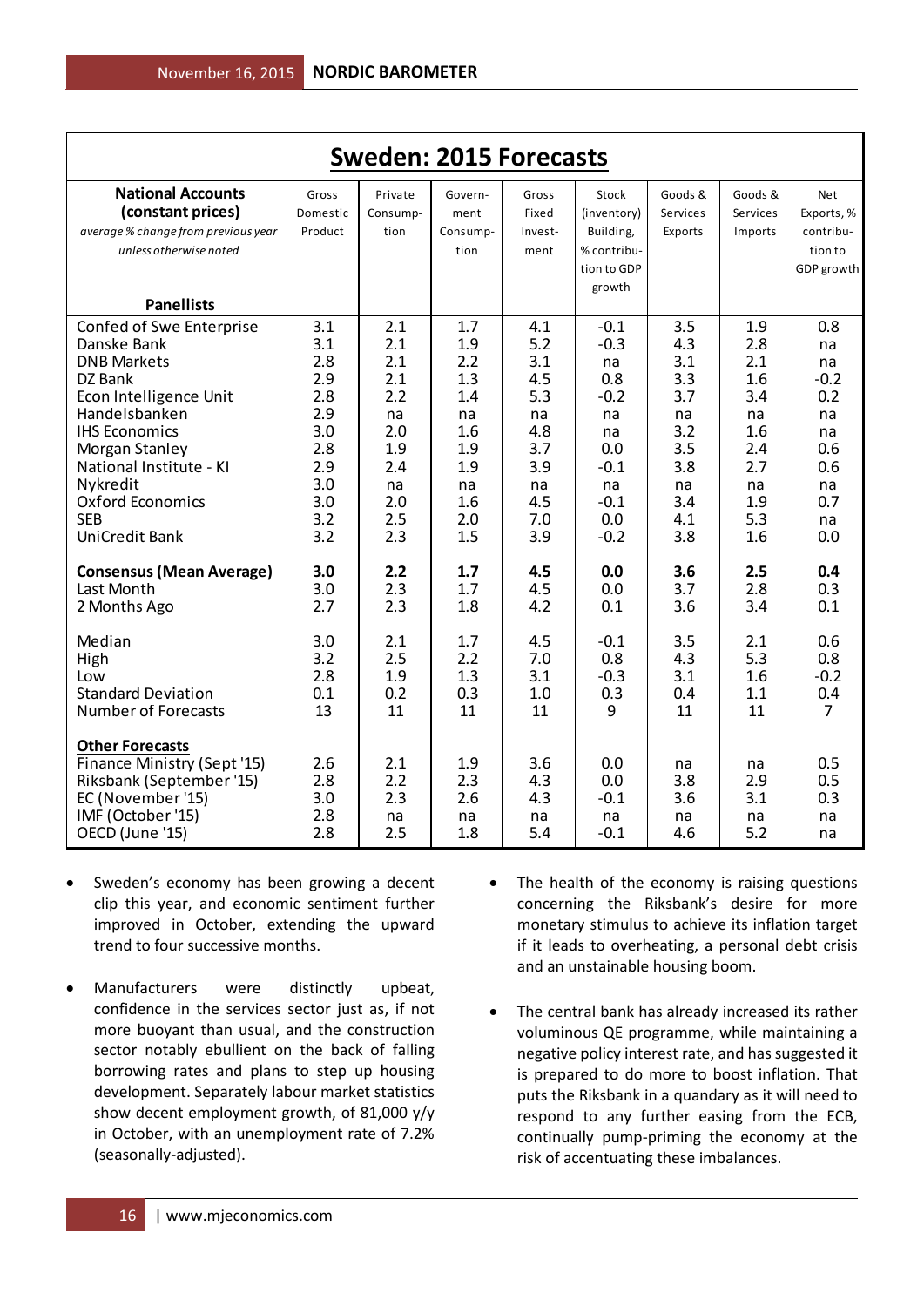| <b>Sweden: 2015 Forecasts</b>           |            |           |           |            |               |            |            |                |  |  |
|-----------------------------------------|------------|-----------|-----------|------------|---------------|------------|------------|----------------|--|--|
| <b>National Accounts</b>                | Gross      | Private   | Govern-   | Gross      | Stock         | Goods &    | Goods &    | <b>Net</b>     |  |  |
| (constant prices)                       | Domestic   | Consump-  | ment      | Fixed      | (inventory)   | Services   | Services   | Exports, %     |  |  |
| average % change from previous year     | Product    | tion      | Consump-  | Invest-    | Building,     | Exports    | Imports    | contribu-      |  |  |
| unless otherwise noted                  |            |           | tion      | ment       | % contribu-   |            |            | tion to        |  |  |
|                                         |            |           |           |            | tion to GDP   |            |            | GDP growth     |  |  |
|                                         |            |           |           |            | growth        |            |            |                |  |  |
| <b>Panellists</b>                       |            |           |           |            |               |            |            |                |  |  |
| Confed of Swe Enterprise                | 3.1        | 2.1       | 1.7       | 4.1        | $-0.1$        | 3.5        | 1.9        | 0.8            |  |  |
| Danske Bank                             | 3.1        | 2.1       | 1.9       | 5.2        | $-0.3$        | 4.3        | 2.8        | na             |  |  |
| <b>DNB Markets</b>                      | 2.8        | 2.1       | 2.2       | 3.1        | na            | 3.1        | 2.1        | na             |  |  |
| DZ Bank                                 | 2.9        | 2.1       | 1.3       | 4.5        | 0.8           | 3.3        | 1.6        | $-0.2$         |  |  |
| Econ Intelligence Unit<br>Handelsbanken | 2.8<br>2.9 | 2.2       | 1.4       | 5.3        | $-0.2$        | 3.7        | 3.4        | 0.2            |  |  |
| <b>IHS Economics</b>                    | 3.0        | na<br>2.0 | na<br>1.6 | na<br>4.8  | na<br>na      | na<br>3.2  | na<br>1.6  | na<br>na       |  |  |
| Morgan Stanley                          | 2.8        | 1.9       | 1.9       | 3.7        | 0.0           | 3.5        | 2.4        | 0.6            |  |  |
| National Institute - KI                 | 2.9        | 2.4       | 1.9       | 3.9        | $-0.1$        | 3.8        | 2.7        | 0.6            |  |  |
| Nykredit                                | 3.0        | na        | na        | na         | na            | na         | na         | na             |  |  |
| Oxford Economics                        | 3.0        | 2.0       | 1.6       | 4.5        | $-0.1$        | 3.4        | 1.9        | 0.7            |  |  |
| <b>SEB</b>                              | 3.2        | 2.5       | 2.0       | 7.0        | 0.0           | 4.1        | 5.3        | na             |  |  |
| <b>UniCredit Bank</b>                   | 3.2        | 2.3       | 1.5       | 3.9        | $-0.2$        | 3.8        | 1.6        | 0.0            |  |  |
| <b>Consensus (Mean Average)</b>         | 3.0        | 2.2       | 1.7       | 4.5        | 0.0           | 3.6        | 2.5        | 0.4            |  |  |
| Last Month                              | 3.0        | 2.3       | 1.7       | 4.5        | 0.0           | 3.7        | 2.8        | 0.3            |  |  |
| 2 Months Ago                            | 2.7        | 2.3       | 1.8       | 4.2        | 0.1           | 3.6        | 3.4        | 0.1            |  |  |
|                                         |            | 2.1       | 1.7       |            |               |            |            |                |  |  |
| Median                                  | 3.0<br>3.2 | 2.5       | 2.2       | 4.5<br>7.0 | $-0.1$<br>0.8 | 3.5<br>4.3 | 2.1<br>5.3 | 0.6<br>0.8     |  |  |
| High<br>Low                             | 2.8        | 1.9       | 1.3       | 3.1        | $-0.3$        | 3.1        | 1.6        | $-0.2$         |  |  |
| <b>Standard Deviation</b>               | 0.1        | 0.2       | 0.3       | 1.0        | 0.3           | 0.4        | 1.1        | 0.4            |  |  |
| <b>Number of Forecasts</b>              | 13         | 11        | 11        | 11         | 9             | 11         | 11         | $\overline{7}$ |  |  |
|                                         |            |           |           |            |               |            |            |                |  |  |
| <b>Other Forecasts</b>                  |            |           |           |            |               |            |            |                |  |  |
| Finance Ministry (Sept '15)             | 2.6        | 2.1       | 1.9       | 3.6        | 0.0           | na         | na         | 0.5            |  |  |
| Riksbank (September '15)                | 2.8        | 2.2       | 2.3       | 4.3        | 0.0           | 3.8        | 2.9        | 0.5            |  |  |
| EC (November '15)                       | 3.0        | 2.3       | 2.6       | 4.3        | $-0.1$        | 3.6        | 3.1        | 0.3            |  |  |
| IMF (October '15)                       | 2.8        | na        | na        | na         | na            | na         | na         | na             |  |  |
| OECD (June '15)                         | 2.8        | 2.5       | 1.8       | 5.4        | $-0.1$        | 4.6        | 5.2        | na             |  |  |

- Sweden's economy has been growing a decent clip this year, and economic sentiment further improved in October, extending the upward trend to four successive months.
- Manufacturers were distinctly upbeat, confidence in the services sector just as, if not more buoyant than usual, and the construction sector notably ebullient on the back of falling borrowing rates and plans to step up housing development. Separately labour market statistics show decent employment growth, of 81,000 y/y in October, with an unemployment rate of 7.2% (seasonally-adjusted).
- The health of the economy is raising questions concerning the Riksbank's desire for more monetary stimulus to achieve its inflation target if it leads to overheating, a personal debt crisis and an unstainable housing boom.
- The central bank has already increased its rather voluminous QE programme, while maintaining a negative policy interest rate, and has suggested it is prepared to do more to boost inflation. That puts the Riksbank in a quandary as it will need to respond to any further easing from the ECB, continually pump-priming the economy at the risk of accentuating these imbalances.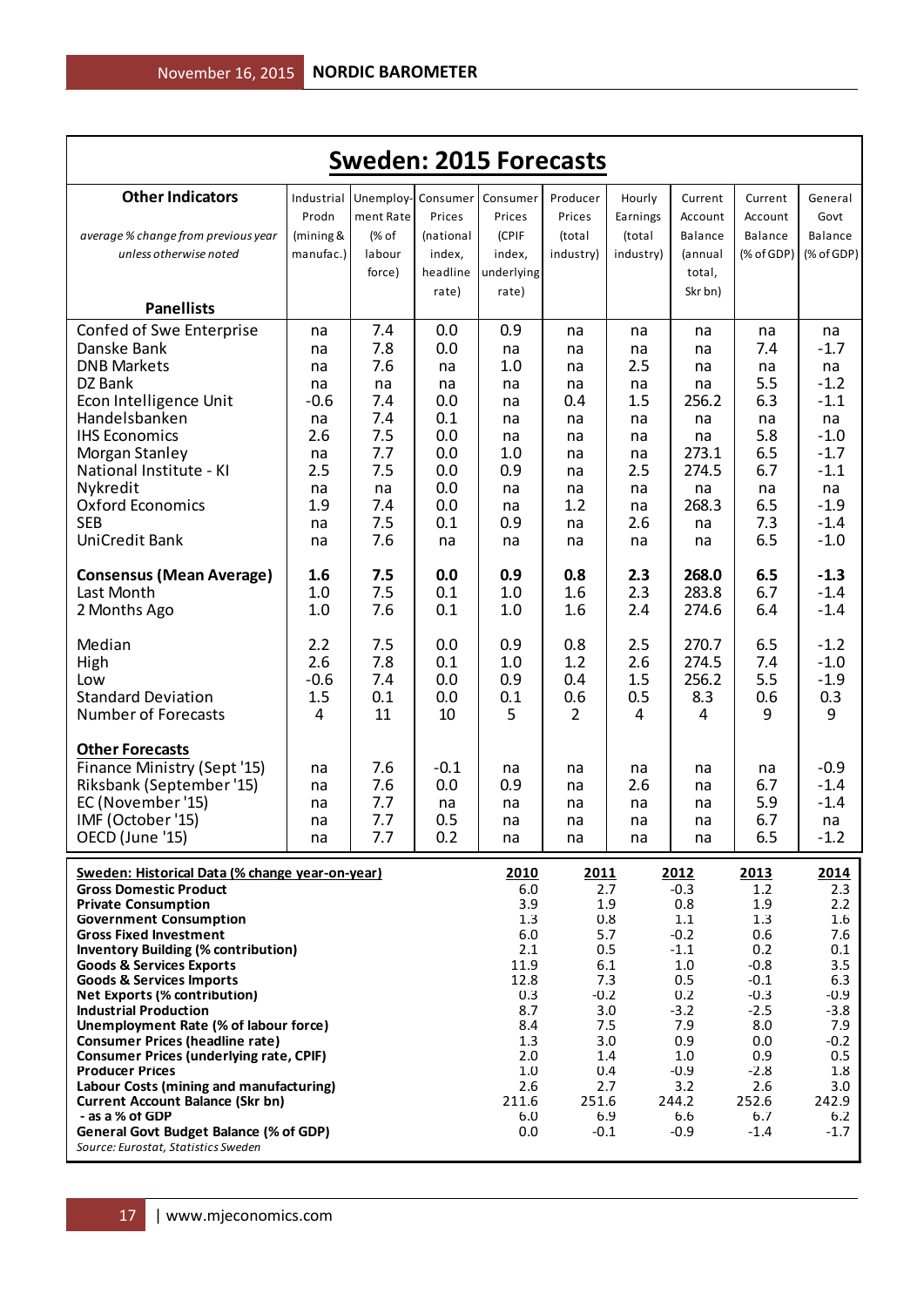|                                                                                                                                                                                                                                                                                                                                                                |                                  |                                                   |                                   | <b>Sweden: 2015 Forecasts</b>                                 |                              |                                                      |                                                                      |                                                                            |                                                                      |
|----------------------------------------------------------------------------------------------------------------------------------------------------------------------------------------------------------------------------------------------------------------------------------------------------------------------------------------------------------------|----------------------------------|---------------------------------------------------|-----------------------------------|---------------------------------------------------------------|------------------------------|------------------------------------------------------|----------------------------------------------------------------------|----------------------------------------------------------------------------|----------------------------------------------------------------------|
| <b>Other Indicators</b><br>average % change from previous year                                                                                                                                                                                                                                                                                                 | Industrial<br>Prodn<br>(mining & | Unemploy- Consumer Consumer<br>ment Rate<br>(% of | Prices<br>(national               | Prices<br>(CPIF                                               | Producer<br>Prices<br>(total | Hourly<br>Earnings<br>(total                         | Current<br>Account<br>Balance                                        | Current<br>Account<br><b>Balance</b>                                       | General<br>Govt<br>Balance                                           |
| unless otherwise noted                                                                                                                                                                                                                                                                                                                                         | manufac.)                        | labour<br>force)                                  | index,<br>headline<br>rate)       | index,<br>underlying<br>rate)                                 | industry)                    | industry)                                            | (annual<br>total,<br>Skr bn)                                         | (% of GDP)                                                                 | $(%$ (% of GDP)                                                      |
| <b>Panellists</b>                                                                                                                                                                                                                                                                                                                                              |                                  |                                                   |                                   |                                                               |                              |                                                      |                                                                      |                                                                            |                                                                      |
| Confed of Swe Enterprise                                                                                                                                                                                                                                                                                                                                       | na                               | 7.4                                               | 0.0                               | 0.9                                                           | na                           | na                                                   | na                                                                   | na                                                                         | na                                                                   |
| Danske Bank                                                                                                                                                                                                                                                                                                                                                    | na                               | 7.8                                               | 0.0                               | na                                                            | na                           | na                                                   | na                                                                   | 7.4                                                                        | $-1.7$                                                               |
| <b>DNB Markets</b>                                                                                                                                                                                                                                                                                                                                             | na                               | 7.6                                               | na                                | 1.0                                                           | na                           | 2.5                                                  | na                                                                   | na                                                                         | na                                                                   |
| DZ Bank                                                                                                                                                                                                                                                                                                                                                        | na                               | na                                                | na                                | na                                                            | na                           | na                                                   | na                                                                   | 5.5                                                                        | $-1.2$                                                               |
| Econ Intelligence Unit                                                                                                                                                                                                                                                                                                                                         | $-0.6$                           | 7.4                                               | 0.0                               | na                                                            | 0.4                          | 1.5                                                  | 256.2                                                                | 6.3                                                                        | $-1.1$                                                               |
| Handelsbanken                                                                                                                                                                                                                                                                                                                                                  | na                               | 7.4                                               | 0.1                               | na                                                            | na                           | na                                                   | na                                                                   | na                                                                         | na                                                                   |
| <b>IHS Economics</b>                                                                                                                                                                                                                                                                                                                                           | 2.6                              | 7.5                                               | 0.0                               | na                                                            | na                           | na                                                   | na                                                                   | 5.8                                                                        | $-1.0$                                                               |
| Morgan Stanley                                                                                                                                                                                                                                                                                                                                                 | na                               | 7.7                                               | 0.0                               | 1.0                                                           | na                           | na                                                   | 273.1                                                                | 6.5                                                                        | $-1.7$                                                               |
| National Institute - KI                                                                                                                                                                                                                                                                                                                                        | 2.5                              | 7.5                                               | 0.0                               | 0.9                                                           | na                           | 2.5                                                  | 274.5                                                                | 6.7                                                                        | $-1.1$                                                               |
| Nykredit                                                                                                                                                                                                                                                                                                                                                       | na                               | na                                                | 0.0                               | na                                                            | na                           | na                                                   | na                                                                   | na                                                                         | na                                                                   |
| <b>Oxford Economics</b>                                                                                                                                                                                                                                                                                                                                        | 1.9                              | 7.4                                               | 0.0                               | na                                                            | 1.2                          | na                                                   | 268.3                                                                | 6.5                                                                        | $-1.9$                                                               |
| <b>SEB</b>                                                                                                                                                                                                                                                                                                                                                     | na                               | 7.5                                               | 0.1                               | 0.9                                                           | na                           | 2.6                                                  | na                                                                   | 7.3                                                                        | $-1.4$                                                               |
| UniCredit Bank                                                                                                                                                                                                                                                                                                                                                 | na                               | 7.6                                               | na                                | na                                                            | na                           | na                                                   | na                                                                   | 6.5                                                                        | $-1.0$                                                               |
| <b>Consensus (Mean Average)</b>                                                                                                                                                                                                                                                                                                                                | 1.6                              | 7.5                                               | 0.0                               | 0.9                                                           | 0.8                          | 2.3                                                  | 268.0                                                                | 6.5                                                                        | $-1.3$                                                               |
| Last Month                                                                                                                                                                                                                                                                                                                                                     | 1.0                              | 7.5                                               | 0.1                               | 1.0                                                           | 1.6                          | 2.3                                                  | 283.8                                                                | 6.7                                                                        | $-1.4$                                                               |
| 2 Months Ago                                                                                                                                                                                                                                                                                                                                                   | 1.0                              | 7.6                                               | 0.1                               | 1.0                                                           | 1.6                          | 2.4                                                  | 274.6                                                                | 6.4                                                                        | $-1.4$                                                               |
| Median                                                                                                                                                                                                                                                                                                                                                         | 2.2                              | 7.5                                               | 0.0                               | 0.9                                                           | 0.8                          | 2.5                                                  | 270.7                                                                | 6.5                                                                        | $-1.2$                                                               |
| High                                                                                                                                                                                                                                                                                                                                                           | 2.6                              | 7.8                                               | 0.1                               | 1.0                                                           | 1.2                          | 2.6                                                  | 274.5                                                                | 7.4                                                                        | $-1.0$                                                               |
| Low                                                                                                                                                                                                                                                                                                                                                            | $-0.6$                           | 7.4                                               | 0.0                               | 0.9                                                           | 0.4                          | 1.5                                                  | 256.2                                                                | 5.5                                                                        | $-1.9$                                                               |
| <b>Standard Deviation</b>                                                                                                                                                                                                                                                                                                                                      | 1.5                              | 0.1                                               | 0.0                               | 0.1                                                           | 0.6                          | 0.5                                                  | 8.3                                                                  | 0.6                                                                        | 0.3                                                                  |
| <b>Number of Forecasts</b>                                                                                                                                                                                                                                                                                                                                     | 4                                | 11                                                | 10                                | 5                                                             | 2                            | 4                                                    | 4                                                                    | 9                                                                          | 9                                                                    |
| <b>Other Forecasts</b><br>Finance Ministry (Sept '15)<br>Riksbank (September '15)<br>EC (November '15)<br>IMF (October '15)<br>OECD (June '15)                                                                                                                                                                                                                 | na<br>na<br>na<br>na<br>na       | 7.6<br>7.6<br>7.7<br>7.7<br>7.7                   | $-0.1$<br>0.0<br>na<br>0.5<br>0.2 | na<br>0.9<br>na<br>na<br>na                                   | na<br>na<br>na<br>na<br>na   | na<br>2.6<br>na<br>na<br>na                          | na<br>na<br>na<br>na<br>na                                           | na<br>6.7<br>5.9<br>6.7<br>6.5                                             | $-0.9$<br>$-1.4$<br>$-1.4$<br>na<br>$-1.2$                           |
| Sweden: Historical Data (% change year-on-year)<br><b>Gross Domestic Product</b><br><b>Private Consumption</b><br><b>Government Consumption</b><br><b>Gross Fixed Investment</b>                                                                                                                                                                               |                                  |                                                   |                                   | 2010<br>6.0<br>3.9<br>1.3<br>6.0                              | 2011                         | 2.7<br>1.9<br>0.8<br>5.7                             | 2012<br>$-0.3$<br>0.8<br>1.1<br>$-0.2$                               | 2013<br>1.2<br>1.9<br>1.3<br>0.6                                           | 2014<br>2.3<br>2.2<br>1.6<br>7.6                                     |
| <b>Inventory Building (% contribution)</b><br><b>Goods &amp; Services Exports</b><br><b>Goods &amp; Services Imports</b><br><b>Net Exports (% contribution)</b><br><b>Industrial Production</b><br>Unemployment Rate (% of labour force)<br><b>Consumer Prices (headline rate)</b><br><b>Consumer Prices (underlying rate, CPIF)</b><br><b>Producer Prices</b> |                                  |                                                   |                                   | 2.1<br>11.9<br>12.8<br>0.3<br>8.7<br>8.4<br>1.3<br>2.0<br>1.0 | $-0.2$                       | 0.5<br>6.1<br>7.3<br>3.0<br>7.5<br>3.0<br>1.4<br>0.4 | $-1.1$<br>1.0<br>0.5<br>0.2<br>$-3.2$<br>7.9<br>0.9<br>1.0<br>$-0.9$ | 0.2<br>$-0.8$<br>$-0.1$<br>$-0.3$<br>$-2.5$<br>8.0<br>0.0<br>0.9<br>$-2.8$ | 0.1<br>3.5<br>6.3<br>$-0.9$<br>$-3.8$<br>7.9<br>$-0.2$<br>0.5<br>1.8 |
| Labour Costs (mining and manufacturing)<br><b>Current Account Balance (Skr bn)</b><br>- as a % of GDP<br>General Govt Budget Balance (% of GDP)<br>Source: Eurostat, Statistics Sweden                                                                                                                                                                         |                                  |                                                   |                                   | 2.6<br>211.6<br>6.0<br>0.0                                    | 251.6<br>$-0.1$              | 2.7<br>6.9                                           | 3.2<br>244.2<br>6.6<br>$-0.9$                                        | 2.6<br>252.6<br>6.7<br>$-1.4$                                              | 3.0<br>242.9<br>6.2<br>-1.7                                          |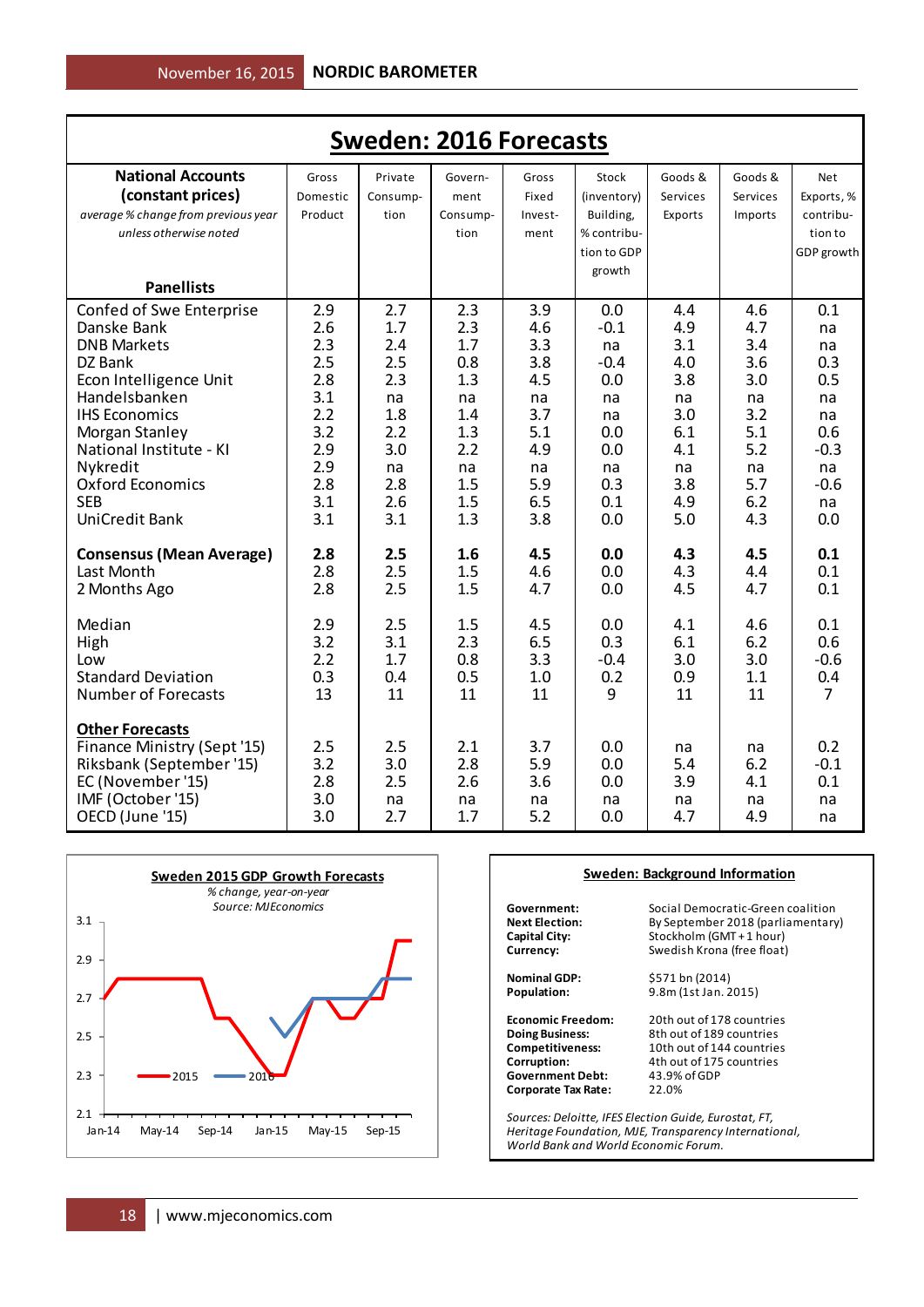| <b>Sweden: 2016 Forecasts</b>           |            |           |           |           |             |           |           |                |  |  |
|-----------------------------------------|------------|-----------|-----------|-----------|-------------|-----------|-----------|----------------|--|--|
| <b>National Accounts</b>                | Gross      | Private   | Govern-   | Gross     | Stock       | Goods &   | Goods &   | <b>Net</b>     |  |  |
| (constant prices)                       | Domestic   | Consump-  | ment      | Fixed     | (inventory) | Services  | Services  | Exports, %     |  |  |
| average % change from previous year     | Product    | tion      | Consump-  | Invest-   | Building,   | Exports   | Imports   | contribu-      |  |  |
| unless otherwise noted                  |            |           | tion      | ment      | % contribu- |           |           | tion to        |  |  |
|                                         |            |           |           |           | tion to GDP |           |           | GDP growth     |  |  |
|                                         |            |           |           |           | growth      |           |           |                |  |  |
| <b>Panellists</b>                       |            |           |           |           |             |           |           |                |  |  |
| Confed of Swe Enterprise                | 2.9        | 2.7       | 2.3       | 3.9       | 0.0         | 4.4       | 4.6       | 0.1            |  |  |
| Danske Bank                             | 2.6        | 1.7       | 2.3       | 4.6       | $-0.1$      | 4.9       | 4.7       | na             |  |  |
| <b>DNB Markets</b>                      | 2.3        | 2.4       | 1.7       | 3.3       | na          | 3.1       | 3.4       | na             |  |  |
| DZ Bank                                 | 2.5        | 2.5       | 0.8       | 3.8       | $-0.4$      | 4.0       | 3.6       | 0.3            |  |  |
| Econ Intelligence Unit<br>Handelsbanken | 2.8<br>3.1 | 2.3       | 1.3       | 4.5       | 0.0         | 3.8       | 3.0       | 0.5            |  |  |
| <b>IHS Economics</b>                    | 2.2        | na<br>1.8 | na<br>1.4 | na<br>3.7 | na<br>na    | na<br>3.0 | na<br>3.2 | na<br>na       |  |  |
| Morgan Stanley                          | 3.2        | 2.2       | 1.3       | 5.1       | 0.0         | 6.1       | 5.1       | 0.6            |  |  |
| National Institute - KI                 | 2.9        | 3.0       | 2.2       | 4.9       | 0.0         | 4.1       | 5.2       | $-0.3$         |  |  |
| Nykredit                                | 2.9        | na        | na        | na        | na          | na        | na        | na             |  |  |
| <b>Oxford Economics</b>                 | 2.8        | 2.8       | 1.5       | 5.9       | 0.3         | 3.8       | 5.7       | $-0.6$         |  |  |
| <b>SEB</b>                              | 3.1        | 2.6       | 1.5       | 6.5       | 0.1         | 4.9       | 6.2       | na             |  |  |
| <b>UniCredit Bank</b>                   | 3.1        | 3.1       | 1.3       | 3.8       | 0.0         | 5.0       | 4.3       | 0.0            |  |  |
| <b>Consensus (Mean Average)</b>         | 2.8        | 2.5       | 1.6       | 4.5       | 0.0         | 4.3       | 4.5       | 0.1            |  |  |
| Last Month                              | 2.8        | 2.5       | 1.5       | 4.6       | 0.0         | 4.3       | 4.4       | 0.1            |  |  |
| 2 Months Ago                            | 2.8        | 2.5       | 1.5       | 4.7       | 0.0         | 4.5       | 4.7       | 0.1            |  |  |
| Median                                  | 2.9        | 2.5       | 1.5       | 4.5       | 0.0         | 4.1       | 4.6       | 0.1            |  |  |
| High                                    | 3.2        | 3.1       | 2.3       | 6.5       | 0.3         | 6.1       | 6.2       | 0.6            |  |  |
| Low                                     | 2.2        | 1.7       | 0.8       | 3.3       | $-0.4$      | 3.0       | 3.0       | $-0.6$         |  |  |
| <b>Standard Deviation</b>               | 0.3        | 0.4       | 0.5       | 1.0       | 0.2         | 0.9       | 1.1       | 0.4            |  |  |
| <b>Number of Forecasts</b>              | 13         | 11        | 11        | 11        | 9           | 11        | 11        | $\overline{7}$ |  |  |
| <b>Other Forecasts</b>                  |            |           |           |           |             |           |           |                |  |  |
| Finance Ministry (Sept '15)             | 2.5        | 2.5       | 2.1       | 3.7       | 0.0         | na        | na        | 0.2            |  |  |
| Riksbank (September '15)                | 3.2        | 3.0       | 2.8       | 5.9       | 0.0         | 5.4       | 6.2       | $-0.1$         |  |  |
| EC (November '15)                       | 2.8        | 2.5       | 2.6       | 3.6       | 0.0         | 3.9       | 4.1       | 0.1            |  |  |
| IMF (October '15)                       | 3.0        | na        | na        | na        | na          | na        | na        | na             |  |  |
| OECD (June '15)                         | 3.0        | 2.7       | 1.7       | 5.2       | 0.0         | 4.7       | 4.9       | na             |  |  |



#### **Sweden: Background Information**

| Government:                | Social Democratic-Green coalition |
|----------------------------|-----------------------------------|
| <b>Next Election:</b>      | By September 2018 (parliamentary) |
| <b>Capital City:</b>       | Stockholm (GMT + 1 hour)          |
| Currency:                  | Swedish Krona (free float)        |
| <b>Nominal GDP:</b>        | \$571 bn (2014)                   |
| Population:                | 9.8m (1st Jan. 2015)              |
| <b>Economic Freedom:</b>   | 20th out of 178 countries         |
| <b>Doing Business:</b>     | 8th out of 189 countries          |
| <b>Competitiveness:</b>    | 10th out of 144 countries         |
| Corruption:                | 4th out of 175 countries          |
| <b>Government Debt:</b>    | 43.9% of GDP                      |
| <b>Corporate Tax Rate:</b> | 22.0%                             |
|                            |                                   |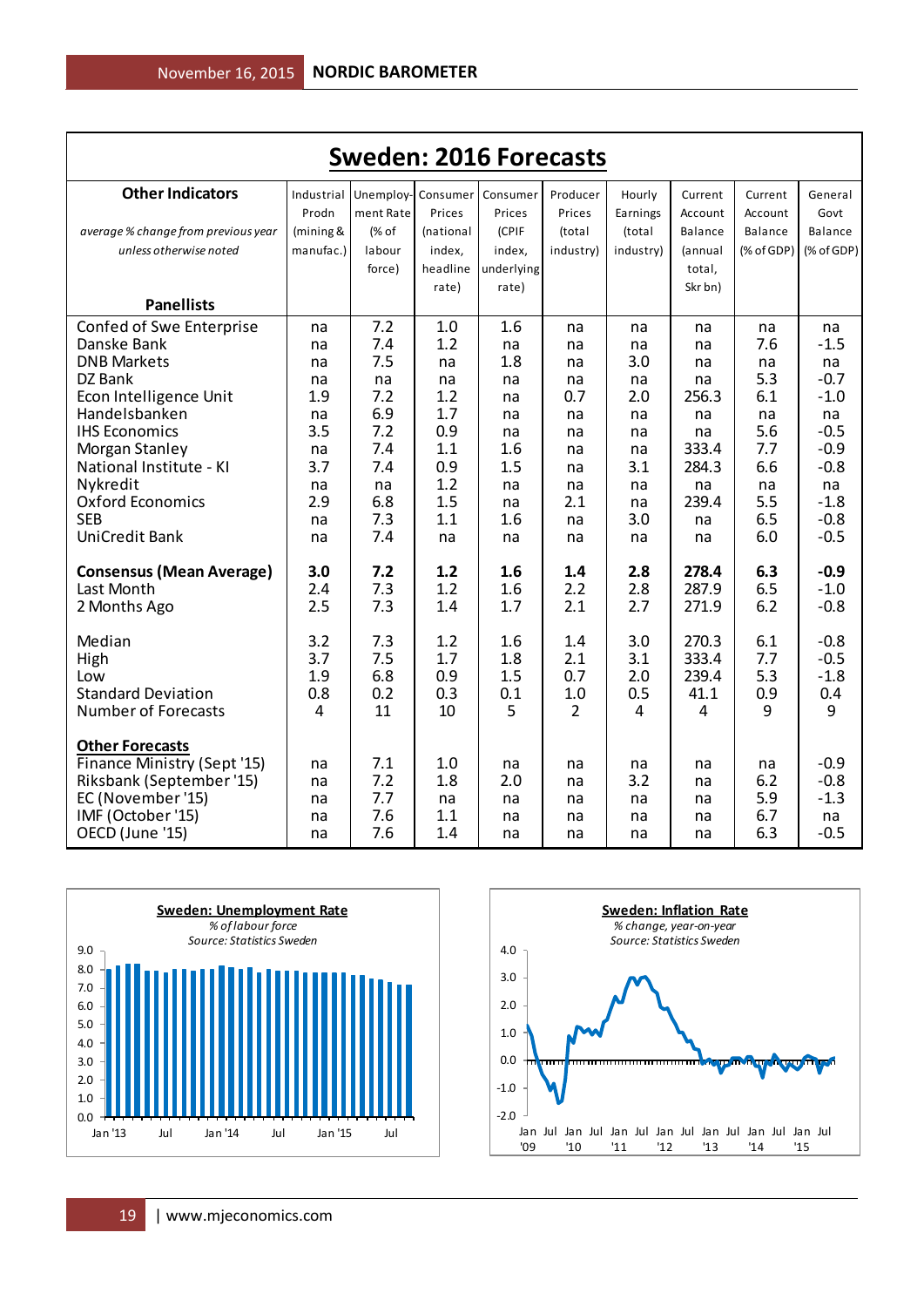| <b>Sweden: 2016 Forecasts</b>       |            |                    |            |            |                |           |             |                |                                  |  |
|-------------------------------------|------------|--------------------|------------|------------|----------------|-----------|-------------|----------------|----------------------------------|--|
| <b>Other Indicators</b>             | Industrial | Unemploy- Consumer |            | Consumer   | Producer       | Hourly    | Current     | Current        | General                          |  |
|                                     | Prodn      | ment Rate          | Prices     | Prices     | Prices         | Earnings  | Account     | Account        | Govt                             |  |
| average % change from previous year | (mining &  | (% of              | (national  | (CPIF      | (total         | (total    | Balance     | <b>Balance</b> | Balance                          |  |
| unless otherwise noted              | manufac.)  | labour             | index,     | index,     | industry)      | industry) | (annual     | (% of GDP)     | $(% \mathcal{L}_{0})$ (% of GDP) |  |
|                                     |            | force)             | headline   | underlying |                |           | total,      |                |                                  |  |
|                                     |            |                    | rate)      | rate)      |                |           | Skr bn)     |                |                                  |  |
| <b>Panellists</b>                   |            |                    |            |            |                |           |             |                |                                  |  |
| Confed of Swe Enterprise            | na         | 7.2                | 1.0        | 1.6        | na             | na        | na          | na             | na                               |  |
| Danske Bank                         | na         | 7.4                | 1.2        | na         | na             | na        | na          | 7.6            | $-1.5$                           |  |
| <b>DNB Markets</b>                  | na         | 7.5                | na         | 1.8        | na             | 3.0       | na          | na             | na                               |  |
| DZ Bank                             | na         | na                 | na         | na         | na             | na        | na          | 5.3            | $-0.7$                           |  |
| Econ Intelligence Unit              | 1.9        | 7.2                | 1.2        | na         | 0.7            | 2.0       | 256.3       | 6.1            | $-1.0$                           |  |
| Handelsbanken                       | na         | 6.9                | 1.7        | na         | na             | na        | na          | na             | na                               |  |
| <b>IHS Economics</b>                | 3.5        | 7.2                | 0.9        | na         | na             | na        | na          | 5.6            | $-0.5$                           |  |
| Morgan Stanley                      | na         | 7.4                | 1.1        | 1.6        | na             | na        | 333.4       | 7.7            | $-0.9$                           |  |
| National Institute - KI             | 3.7        | 7.4                | 0.9<br>1.2 | 1.5        | na             | 3.1       | 284.3       | 6.6            | $-0.8$                           |  |
| Nykredit<br><b>Oxford Economics</b> | na<br>2.9  | na<br>6.8          | 1.5        | na<br>na   | na<br>2.1      | na<br>na  | na<br>239.4 | na<br>5.5      | na<br>$-1.8$                     |  |
| <b>SEB</b>                          | na         | 7.3                | 1.1        | 1.6        | na             | 3.0       | na          | 6.5            | $-0.8$                           |  |
| <b>UniCredit Bank</b>               | na         | 7.4                | na         | na         | na             | na        | na          | 6.0            | $-0.5$                           |  |
|                                     |            |                    |            |            |                |           |             |                |                                  |  |
| <b>Consensus (Mean Average)</b>     | 3.0        | 7.2                | 1.2        | 1.6        | 1.4            | 2.8       | 278.4       | 6.3            | $-0.9$                           |  |
| Last Month                          | 2.4        | 7.3                | 1.2        | 1.6        | 2.2            | 2.8       | 287.9       | 6.5            | $-1.0$                           |  |
| 2 Months Ago                        | 2.5        | 7.3                | 1.4        | 1.7        | 2.1            | 2.7       | 271.9       | 6.2            | $-0.8$                           |  |
| Median                              | 3.2        | 7.3                | 1.2        | 1.6        | 1.4            | 3.0       | 270.3       | 6.1            | $-0.8$                           |  |
| High                                | 3.7        | 7.5                | 1.7        | 1.8        | 2.1            | 3.1       | 333.4       | 7.7            | $-0.5$                           |  |
| Low                                 | 1.9        | 6.8                | 0.9        | 1.5        | 0.7            | 2.0       | 239.4       | 5.3            | $-1.8$                           |  |
| <b>Standard Deviation</b>           | 0.8        | 0.2                | 0.3        | 0.1        | 1.0            | 0.5       | 41.1        | 0.9            | 0.4                              |  |
| <b>Number of Forecasts</b>          | 4          | 11                 | 10         | 5          | $\overline{2}$ | 4         | 4           | 9              | 9                                |  |
| <b>Other Forecasts</b>              |            |                    |            |            |                |           |             |                |                                  |  |
| Finance Ministry (Sept '15)         | na         | 7.1                | 1.0        | na         | na             | na        | na          | na             | $-0.9$                           |  |
| Riksbank (September '15)            | na         | 7.2                | 1.8        | 2.0        | na             | 3.2       | na          | 6.2            | $-0.8$                           |  |
| EC (November '15)                   | na         | 7.7                | na         | na         | na             | na        | na          | 5.9            | $-1.3$                           |  |
| IMF (October '15)                   | na         | 7.6                | 1.1        | na         | na             | na        | na          | 6.7            | na                               |  |
| OECD (June '15)                     | na         | 7.6                | 1.4        | na         | na             | na        | na          | 6.3            | $-0.5$                           |  |



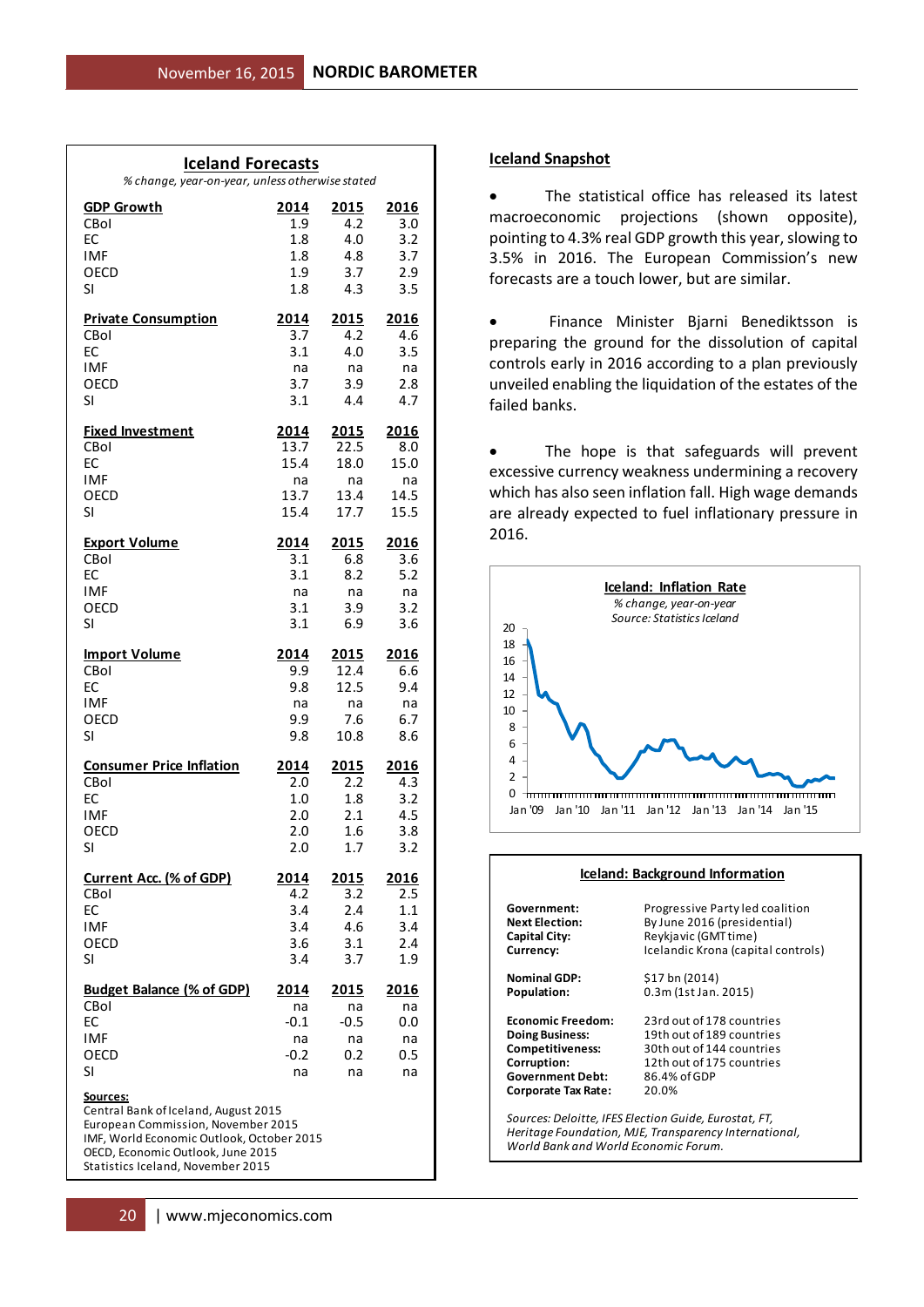| <b>Iceland Forecasts</b><br>% change, year-on-year, unless otherwise stated                                                                                                                                   |               |               |             |  |  |  |  |  |  |  |  |
|---------------------------------------------------------------------------------------------------------------------------------------------------------------------------------------------------------------|---------------|---------------|-------------|--|--|--|--|--|--|--|--|
| <b>GDP Growth</b><br>CBol                                                                                                                                                                                     | 2014<br>1.9   | 2015<br>4.2   | 2016<br>3.0 |  |  |  |  |  |  |  |  |
| EC                                                                                                                                                                                                            | 1.8           | 4.0           | 3.2         |  |  |  |  |  |  |  |  |
| <b>IMF</b>                                                                                                                                                                                                    | 1.8           | 4.8           | 3.7         |  |  |  |  |  |  |  |  |
| OECD                                                                                                                                                                                                          | 1.9           | 3.7           | 2.9         |  |  |  |  |  |  |  |  |
| SI                                                                                                                                                                                                            | 1.8           | 4.3           | 3.5         |  |  |  |  |  |  |  |  |
| <b>Private Consumption</b>                                                                                                                                                                                    | 2014          | 2015          | 2016        |  |  |  |  |  |  |  |  |
| CBol                                                                                                                                                                                                          | 3.7           | 4.2           | 4.6         |  |  |  |  |  |  |  |  |
| EC<br><b>IMF</b>                                                                                                                                                                                              | 3.1<br>na     | 4.0<br>na     | 3.5<br>na   |  |  |  |  |  |  |  |  |
| OECD                                                                                                                                                                                                          | 3.7           | 3.9           | 2.8         |  |  |  |  |  |  |  |  |
| SI                                                                                                                                                                                                            | 3.1           | 4.4           | 4.7         |  |  |  |  |  |  |  |  |
| <b>Fixed Investment</b>                                                                                                                                                                                       | 2014          | 2015          | 2016        |  |  |  |  |  |  |  |  |
| CBol                                                                                                                                                                                                          | 13.7          | 22.5          | 8.0         |  |  |  |  |  |  |  |  |
| EC                                                                                                                                                                                                            | 15.4          | 18.0          | 15.0        |  |  |  |  |  |  |  |  |
| IMF<br>OECD                                                                                                                                                                                                   | na<br>13.7    | na<br>13.4    | na<br>14.5  |  |  |  |  |  |  |  |  |
| SI                                                                                                                                                                                                            | 15.4          | 17.7          | 15.5        |  |  |  |  |  |  |  |  |
| <b>Export Volume</b>                                                                                                                                                                                          | 2014          | 2015          | 2016        |  |  |  |  |  |  |  |  |
| CBol                                                                                                                                                                                                          | 3.1           | 6.8           | 3.6         |  |  |  |  |  |  |  |  |
| EC                                                                                                                                                                                                            | 3.1           | 8.2           | 5.2         |  |  |  |  |  |  |  |  |
| <b>IMF</b>                                                                                                                                                                                                    | na            | na            | na          |  |  |  |  |  |  |  |  |
| OECD                                                                                                                                                                                                          | 3.1           | 3.9           | 3.2         |  |  |  |  |  |  |  |  |
| SI                                                                                                                                                                                                            | 3.1           | 6.9           | 3.6         |  |  |  |  |  |  |  |  |
| <b>Import Volume</b>                                                                                                                                                                                          | 2014          | <u>2015</u>   | 2016        |  |  |  |  |  |  |  |  |
| CBol                                                                                                                                                                                                          | 9.9           | 12.4          | 6.6         |  |  |  |  |  |  |  |  |
| ЕC                                                                                                                                                                                                            | 9.8           | 12.5          | 9.4         |  |  |  |  |  |  |  |  |
| <b>IMF</b><br>OECD                                                                                                                                                                                            | na<br>9.9     | na<br>7.6     | na<br>6.7   |  |  |  |  |  |  |  |  |
| SI                                                                                                                                                                                                            | 9.8           | 10.8          | 8.6         |  |  |  |  |  |  |  |  |
| <b>Consumer Price Inflation</b>                                                                                                                                                                               | 2014          | 2015          | 2016        |  |  |  |  |  |  |  |  |
| CBol                                                                                                                                                                                                          | 2.0           | 2.2           | 4.3         |  |  |  |  |  |  |  |  |
| ЕC                                                                                                                                                                                                            | 1.0           | 1.8           | 3.2         |  |  |  |  |  |  |  |  |
| <b>IMF</b>                                                                                                                                                                                                    | 2.0           | 2.1           | 4.5         |  |  |  |  |  |  |  |  |
| OECD                                                                                                                                                                                                          | 2.0<br>2.0    | 1.6<br>1.7    | 3.8<br>3.2  |  |  |  |  |  |  |  |  |
| SI –                                                                                                                                                                                                          |               |               |             |  |  |  |  |  |  |  |  |
| Current Acc. (% of GDP)<br>CBol                                                                                                                                                                               | 2014<br>4.2   | 2015<br>3.2   | 2016<br>2.5 |  |  |  |  |  |  |  |  |
| EC                                                                                                                                                                                                            | 3.4           | 2.4           | 1.1         |  |  |  |  |  |  |  |  |
| <b>IMF</b>                                                                                                                                                                                                    | 3.4           | 4.6           | 3.4         |  |  |  |  |  |  |  |  |
| OECD                                                                                                                                                                                                          | 3.6           | 3.1           | 2.4         |  |  |  |  |  |  |  |  |
| SI                                                                                                                                                                                                            | 3.4           | 3.7           | 1.9         |  |  |  |  |  |  |  |  |
| <b>Budget Balance (% of GDP)</b>                                                                                                                                                                              | <u> 2014 </u> | <u> 2015 </u> | 2016        |  |  |  |  |  |  |  |  |
| CBol<br>EC                                                                                                                                                                                                    | na<br>$-0.1$  | na<br>$-0.5$  | na<br>0.0   |  |  |  |  |  |  |  |  |
| <b>IMF</b>                                                                                                                                                                                                    | na            | na            | na          |  |  |  |  |  |  |  |  |
| OECD                                                                                                                                                                                                          | $-0.2$        | 0.2           | 0.5         |  |  |  |  |  |  |  |  |
| SI                                                                                                                                                                                                            | na            | na            | na          |  |  |  |  |  |  |  |  |
| Sources:<br>Central Bank of Iceland, August 2015<br>European Commission, November 2015<br>IMF, World Economic Outlook, October 2015<br>OECD, Economic Outlook, June 2015<br>Statistics Iceland, November 2015 |               |               |             |  |  |  |  |  |  |  |  |

#### **Iceland Snapshot**

 The statistical office has released its latest macroeconomic projections (shown opposite), pointing to 4.3% real GDP growth this year, slowing to 3.5% in 2016. The European Commission's new forecasts are a touch lower, but are similar.

 Finance Minister Bjarni Benediktsson is preparing the ground for the dissolution of capital controls early in 2016 according to a plan previously unveiled enabling the liquidation of the estates of the failed banks.

• The hope is that safeguards will prevent excessive currency weakness undermining a recovery which has also seen inflation fall. High wage demands are already expected to fuel inflationary pressure in 2016.



| Iceland: Background Information                                                                                                                        |                                    |  |
|--------------------------------------------------------------------------------------------------------------------------------------------------------|------------------------------------|--|
| Government:                                                                                                                                            | Progressive Party led coalition    |  |
| <b>Next Election:</b>                                                                                                                                  | By June 2016 (presidential)        |  |
| Capital City:                                                                                                                                          | Reykjavic (GMT time)               |  |
| Currency:                                                                                                                                              | Icelandic Krona (capital controls) |  |
| <b>Nominal GDP:</b>                                                                                                                                    | \$17 bn (2014)                     |  |
| Population:                                                                                                                                            | 0.3m (1st Jan. 2015)               |  |
| <b>Economic Freedom:</b>                                                                                                                               | 23rd out of 178 countries          |  |
| <b>Doing Business:</b>                                                                                                                                 | 19th out of 189 countries          |  |
| <b>Competitiveness:</b>                                                                                                                                | 30th out of 144 countries          |  |
| Corruption:                                                                                                                                            | 12th out of 175 countries          |  |
| <b>Government Debt:</b>                                                                                                                                | 86.4% of GDP                       |  |
| <b>Corporate Tax Rate:</b>                                                                                                                             | 20.0%                              |  |
| Sources: Deloitte, IFES Election Guide, Eurostat, FT,<br>Heritage Foundation, MJE, Transparency International,<br>World Bank and World Economic Forum. |                                    |  |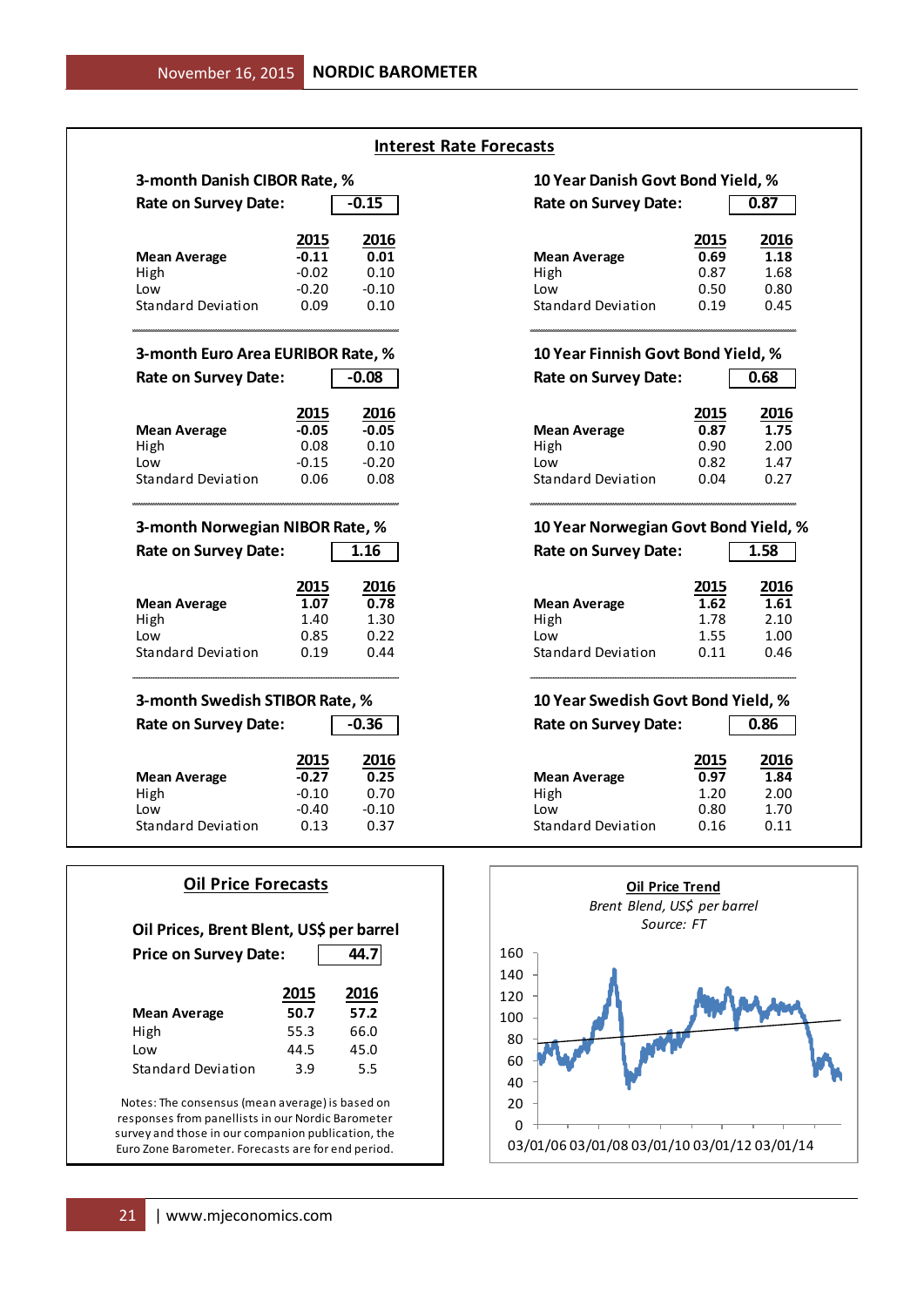|                                   |         |         | <b>Interest Rate Forecasts</b>     |      |      |
|-----------------------------------|---------|---------|------------------------------------|------|------|
| 3-month Danish CIBOR Rate, %      |         |         | 10 Year Danish Govt Bond Yield, %  |      |      |
| <b>Rate on Survey Date:</b>       |         | $-0.15$ | <b>Rate on Survey Date:</b>        |      | 0.87 |
|                                   | 2015    | 2016    |                                    | 2015 | 2016 |
| <b>Mean Average</b>               | $-0.11$ | 0.01    | <b>Mean Average</b>                | 0.69 | 1.18 |
| High                              | $-0.02$ | 0.10    | High                               | 0.87 | 1.68 |
| Low                               | $-0.20$ | $-0.10$ | Low                                | 0.50 | 0.80 |
| <b>Standard Deviation</b>         | 0.09    | 0.10    | <b>Standard Deviation</b>          | 0.19 | 0.45 |
| 3-month Euro Area EURIBOR Rate, % |         |         | 10 Year Finnish Govt Bond Yield, % |      |      |
| <b>Rate on Survey Date:</b>       |         | $-0.08$ | <b>Rate on Survey Date:</b>        |      | 0.68 |
|                                   | 2015    | 2016    |                                    | 2015 | 2016 |
| <b>Mean Average</b>               | $-0.05$ | $-0.05$ | <b>Mean Average</b>                | 0.87 | 1.75 |
| High                              | 0.08    | 0.10    | High                               | 0.90 | 2.00 |
| Low                               | $-0.15$ | $-0.20$ | Low                                | 0.82 | 1.47 |
| <b>Standard Deviation</b>         | 0.06    | 0.08    | <b>Standard Deviation</b>          | 0.04 | 0.27 |
| 3-month Norwegian NIBOR Rate, %   |         |         | 10 Year Norwegian Govt Bond Yield, |      |      |
| <b>Rate on Survey Date:</b>       |         | 1.16    | <b>Rate on Survey Date:</b>        |      | 1.58 |
|                                   | 2015    | 2016    |                                    | 2015 | 2016 |
| <b>Mean Average</b>               | 1.07    | 0.78    | <b>Mean Average</b>                | 1.62 | 1.61 |
| High                              | 1.40    | 1.30    | High                               | 1.78 | 2.10 |
| Low                               | 0.85    | 0.22    | Low                                | 1.55 | 1.00 |
| <b>Standard Deviation</b>         | 0.19    | 0.44    | <b>Standard Deviation</b>          | 0.11 | 0.46 |
| 3-month Swedish STIBOR Rate, %    |         |         | 10 Year Swedish Govt Bond Yield, % |      |      |
| <b>Rate on Survey Date:</b>       |         | $-0.36$ | <b>Rate on Survey Date:</b>        |      | 0.86 |
|                                   | 2015    | 2016    |                                    | 2015 | 2016 |
| <b>Mean Average</b>               | $-0.27$ | 0.25    | <b>Mean Average</b>                | 0.97 | 1.84 |
| High                              | $-0.10$ | 0.70    | High                               | 1.20 | 2.00 |
| Low                               | $-0.40$ | $-0.10$ | Low                                | 0.80 | 1.70 |
| <b>Standard Deviation</b>         | 0.13    | 0.37    | <b>Standard Deviation</b>          | 0.16 | 0.11 |



| survey and those in our companion publication, the |
|----------------------------------------------------|
| Euro Zone Barometer. Forecasts are for end period. |
|                                                    |

Notes: The consensus (mean average) is based on responses from panellists in our Nordic Barometer

**Oil Prices, Brent Blent, US\$ per barrel** Price on Survey Date: 44.7

**Oil Price Forecasts**

**Mean Average 50.7 57.2** High 55.3 66.0 Low 44.5 45.0 Standard Deviation 3.9 5.5

**2015 2016**

| ו העוכ טוו טעו פכן העוכ. |      | v.o/ |
|--------------------------|------|------|
|                          | 2015 | 2016 |
| Mean Average             | 0.69 | 1.18 |
| High                     | 0.87 | 1.68 |
| Low                      | 0.50 | 0.80 |
| Standard Deviation       | 0.19 | 0.45 |
|                          |      |      |

# **3-month Euro Area EURIBOR Rate, % 10 Year Finnish Govt Bond Yield, %**

| <b>Rate on Survey Date:</b> |      | 0.68 |  |
|-----------------------------|------|------|--|
|                             | 2015 | 2016 |  |
| <b>Mean Average</b>         | 0.87 | 1.75 |  |
| High                        | 0.90 | 2.00 |  |
| Low                         | 0.82 | 1.47 |  |
| Standard Deviation          | 0.04 | 0.27 |  |

## **3-month Norwegian NIBOR Rate, % 10 Year Norwegian Govt Bond Yield, %**

| <b>Rate on Survey Date:</b> |              | 1.58         |
|-----------------------------|--------------|--------------|
| Mean Average                | 2015<br>1.62 | 2016<br>1.61 |
| High                        | 1.78         | 2.10         |
| Low                         | 1.55         | 1.00         |
| Standard Deviation          | 0.11         | 0.46         |

## **2005 Road Strip Sedish Govt Bond Yield, %**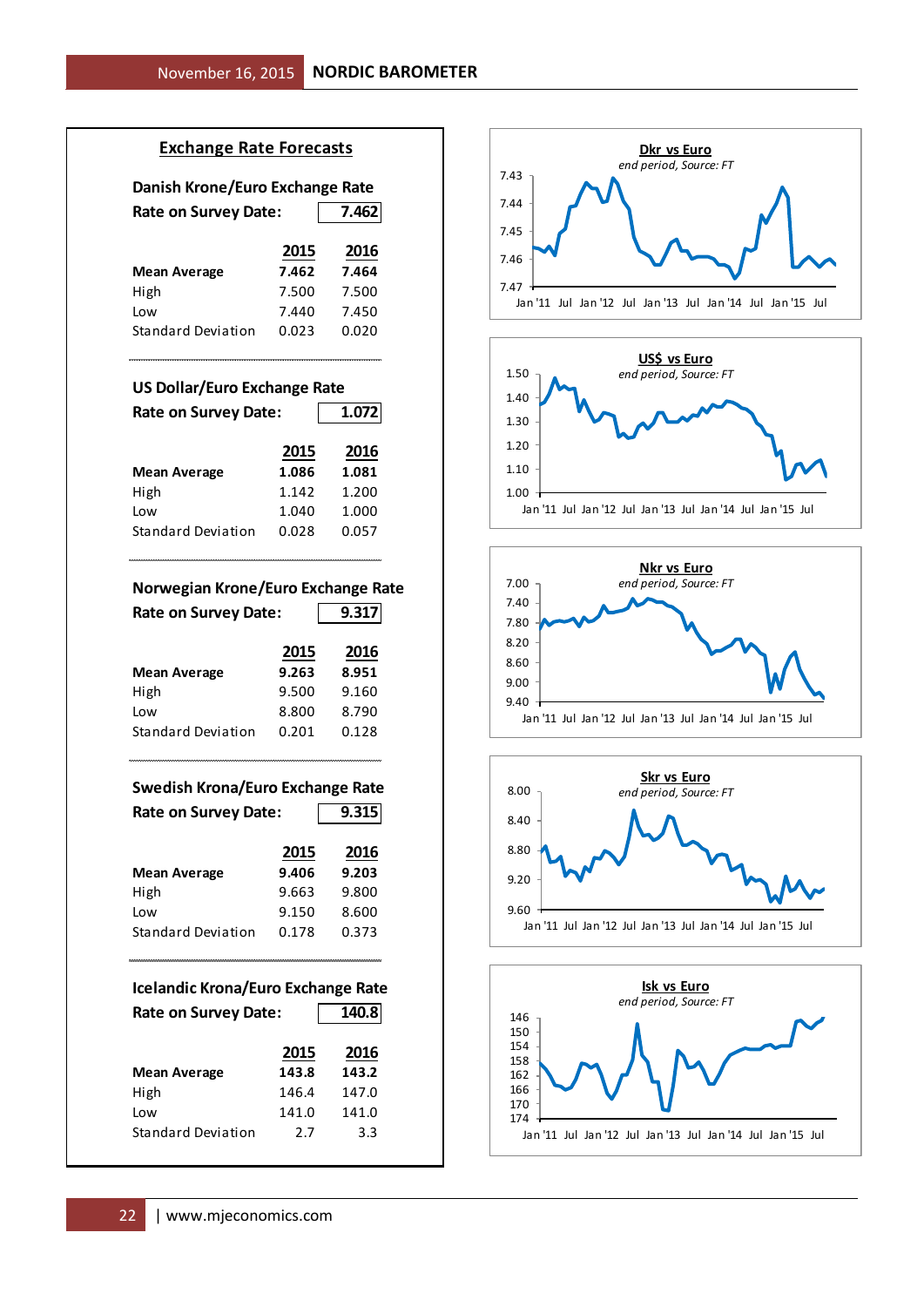## **Exchange Rate Forecasts**

| Danish Krone/Euro Exchange Rate |       |       |
|---------------------------------|-------|-------|
| <b>Rate on Survey Date:</b>     |       | 7.462 |
|                                 | 2015  | 2016  |
| <b>Mean Average</b>             | 7.462 | 7.464 |
| High                            | 7.500 | 7.500 |
| Low                             | 7.440 | 7.450 |
| Standard Deviation              | 0.023 | 0.020 |

#### **US Dollar/Euro Exchange Rate**

| <b>Rate on Survey Date:</b> |       | 1.072 |
|-----------------------------|-------|-------|
|                             | 2015  | 2016  |
| <b>Mean Average</b>         | 1.086 | 1.081 |
| High                        | 1.142 | 1.200 |
| Low                         | 1.040 | 1.000 |
| <b>Standard Deviation</b>   | 0.028 | 0.057 |

#### **Norwegian Krone/Euro Exchange Rate**

| <b>Rate on Survey Date:</b> |       | 9.317 |
|-----------------------------|-------|-------|
|                             | 2015  | 2016  |
| <b>Mean Average</b>         | 9.263 | 8.951 |
| High                        | 9.500 | 9.160 |
| Low                         | 8.800 | 8.790 |
| Standard Deviation          | 0.201 | 0.128 |

# **Swedish Krona/Euro Exchange Rate** Rate on Survey Date: 9.315

|                     | 2015  | 2016  |
|---------------------|-------|-------|
| <b>Mean Average</b> | 9.406 | 9.203 |
| High                | 9.663 | 9.800 |
| Low                 | 9.150 | 8.600 |
| Standard Deviation  | 0.178 | 0.373 |

# **Icelandic Krona/Euro Exchange Rate** Rate on Survey Date: 140.8 **2015 2016 Mean Average 143.8 143.2**

| High               | 146.4 | 147.0 |
|--------------------|-------|-------|
| Low                | 141.0 | 141.0 |
| Standard Deviation | 2.7   | 3.3   |









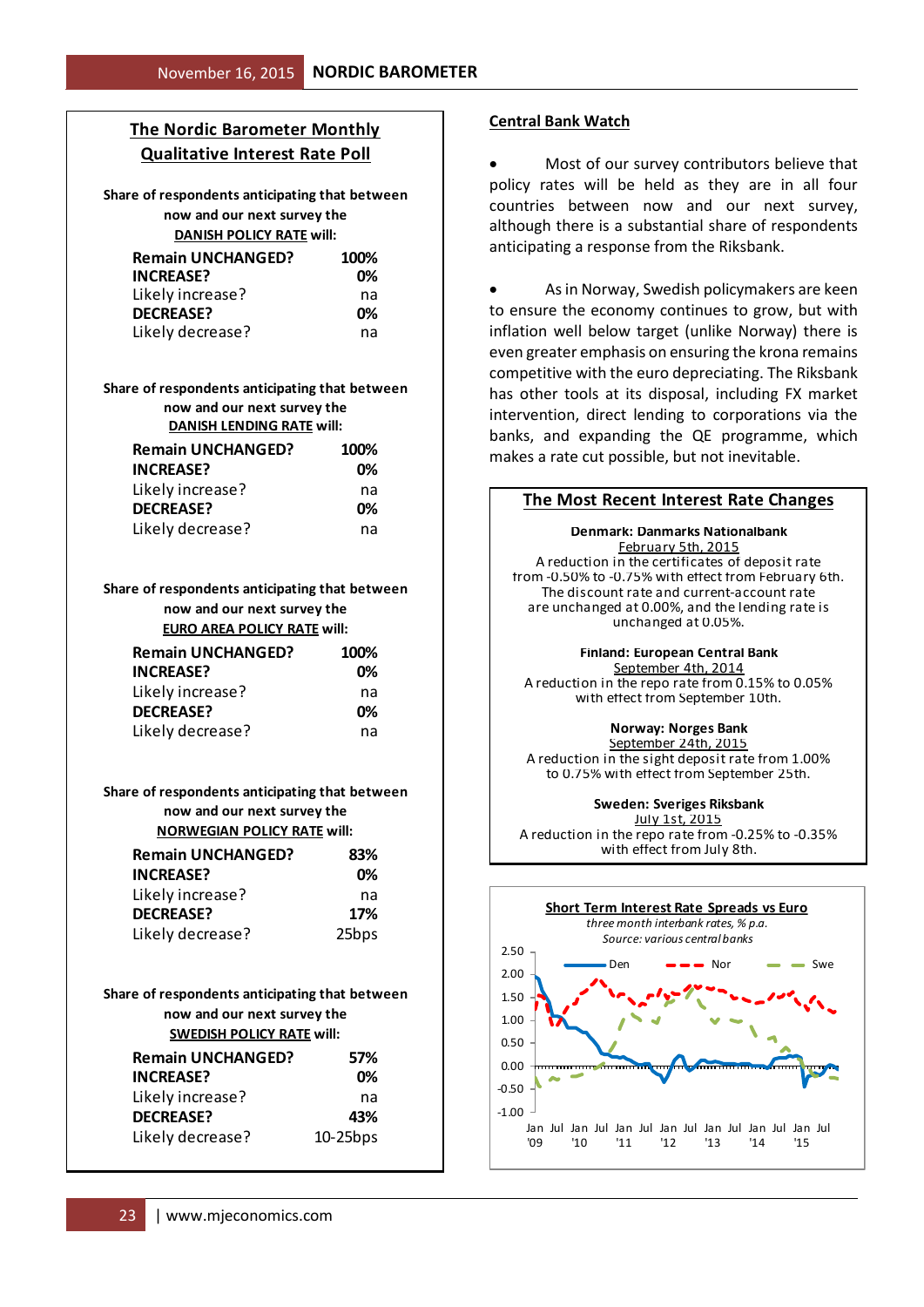# **The Nordic Barometer Monthly Qualitative Interest Rate Poll**

**Share of respondents anticipating that between now and our next survey the DANISH POLICY RATE will:**

| <b>Remain UNCHANGED?</b> | 100% |
|--------------------------|------|
| <b>INCREASE?</b>         | በ%   |
| Likely increase?         | na   |
| <b>DECREASE?</b>         | በ%   |
| Likely decrease?         | na   |

#### **Share of respondents anticipating that between now and our next survey the DANISH LENDING RATE will:**

| <b>Remain UNCHANGED?</b> | 100% |
|--------------------------|------|
| <b>INCREASE?</b>         | 0%   |
| Likely increase?         | na   |
| <b>DECREASE?</b>         | 0%   |
| Likely decrease?         | na   |

**Share of respondents anticipating that between now and our next survey the EURO AREA POLICY RATE will:**

| <b>Remain UNCHANGED?</b> | 100% |
|--------------------------|------|
| <b>INCREASE?</b>         | በ%   |
| Likely increase?         | na   |
| <b>DECREASE?</b>         | 0%   |
| Likely decrease?         | na   |

**Share of respondents anticipating that between now and our next survey the NORWEGIAN POLICY RATE will:**

| <b>Remain UNCHANGED?</b> | 83%   |
|--------------------------|-------|
| <b>INCREASE?</b>         | 0%    |
| Likely increase?         | na    |
| <b>DECREASE?</b>         | 17%   |
| Likely decrease?         | 25bps |

#### **Share of respondents anticipating that between now and our next survey the SWEDISH POLICY RATE will:**

| <b>Remain UNCHANGED?</b>                     | 100%       |
|----------------------------------------------|------------|
| <b>INCREASE?</b>                             | 0%         |
| Likely increase?                             | na         |
| <b>DECREASE?</b>                             | 0%         |
| Likely decrease?                             | na         |
| are of respondents anticipating that betw    |            |
| now and our next survey the                  |            |
| <b>DANISH LENDING RATE will:</b>             |            |
| <b>Remain UNCHANGED?</b>                     | 100%       |
| <b>INCREASE?</b>                             | 0%         |
| Likely increase?                             | na         |
| <b>DECREASE?</b>                             | 0%         |
| Likely decrease?                             | na         |
| are of respondents anticipating that betw    |            |
| now and our next survey the                  |            |
| <b>EURO AREA POLICY RATE will:</b>           |            |
| <b>Remain UNCHANGED?</b>                     |            |
| <b>INCREASE?</b>                             | 100%<br>0% |
| Likely increase?                             | na         |
| <b>DECREASE?</b>                             | 0%         |
| Likely decrease?                             | na         |
|                                              |            |
| are of respondents anticipating that betw    |            |
| now and our next survey the                  |            |
| <b>NORWEGIAN POLICY RATE will:</b>           |            |
| <b>Remain UNCHANGED?</b>                     | 83%        |
| <b>INCREASE?</b>                             | 0%         |
| Likely increase?                             | na         |
| <b>DECREASE?</b>                             | 17%        |
| Likely decrease?                             | 25bps      |
| are of respondents anticipating that betw    |            |
| now and our next survey the                  |            |
| <b>SWEDISH POLICY RATE will:</b>             |            |
|                                              |            |
| <b>Remain UNCHANGED?</b><br><b>INCREASE?</b> | 57%        |
|                                              | 0%         |
| Likely increase?<br><b>DECREASE?</b>         | na<br>43%  |
|                                              |            |
| Likely decrease?                             | $10-25bps$ |
|                                              |            |
| www.mjeconomics.com<br>23                    |            |

## **Central Bank Watch**

 Most of our survey contributors believe that policy rates will be held as they are in all four countries between now and our next survey, although there is a substantial share of respondents anticipating a response from the Riksbank.

 As in Norway, Swedish policymakers are keen to ensure the economy continues to grow, but with inflation well below target (unlike Norway) there is even greater emphasis on ensuring the krona remains competitive with the euro depreciating. The Riksbank has other tools at its disposal, including FX market intervention, direct lending to corporations via the banks, and expanding the QE programme, which makes a rate cut possible, but not inevitable.

#### **The Most Recent Interest Rate Changes**

unchanged at 0.05%. February 5th, 2015 A reduction in the certificates of deposit rate are unchanged at 0.00%, and the lending rate is from -0.50% to -0.75% with effect from February 6th. The discount rate and current-account rate **Denmark: Danmarks Nationalbank**

**Finland: European Central Bank** September 4th, 2014 A reduction in the repo rate from 0.15% to 0.05% with effect from September 10th.

to 0.75% with effect from September 25th. **Norway: Norges Bank** September 24th, 2015 A reduction in the sight deposit rate from 1.00%

A reduction in the repo rate from -0.25% to -0.35% with effect from July 8th. **Sweden: Sveriges Riksbank** July 1st, 2015

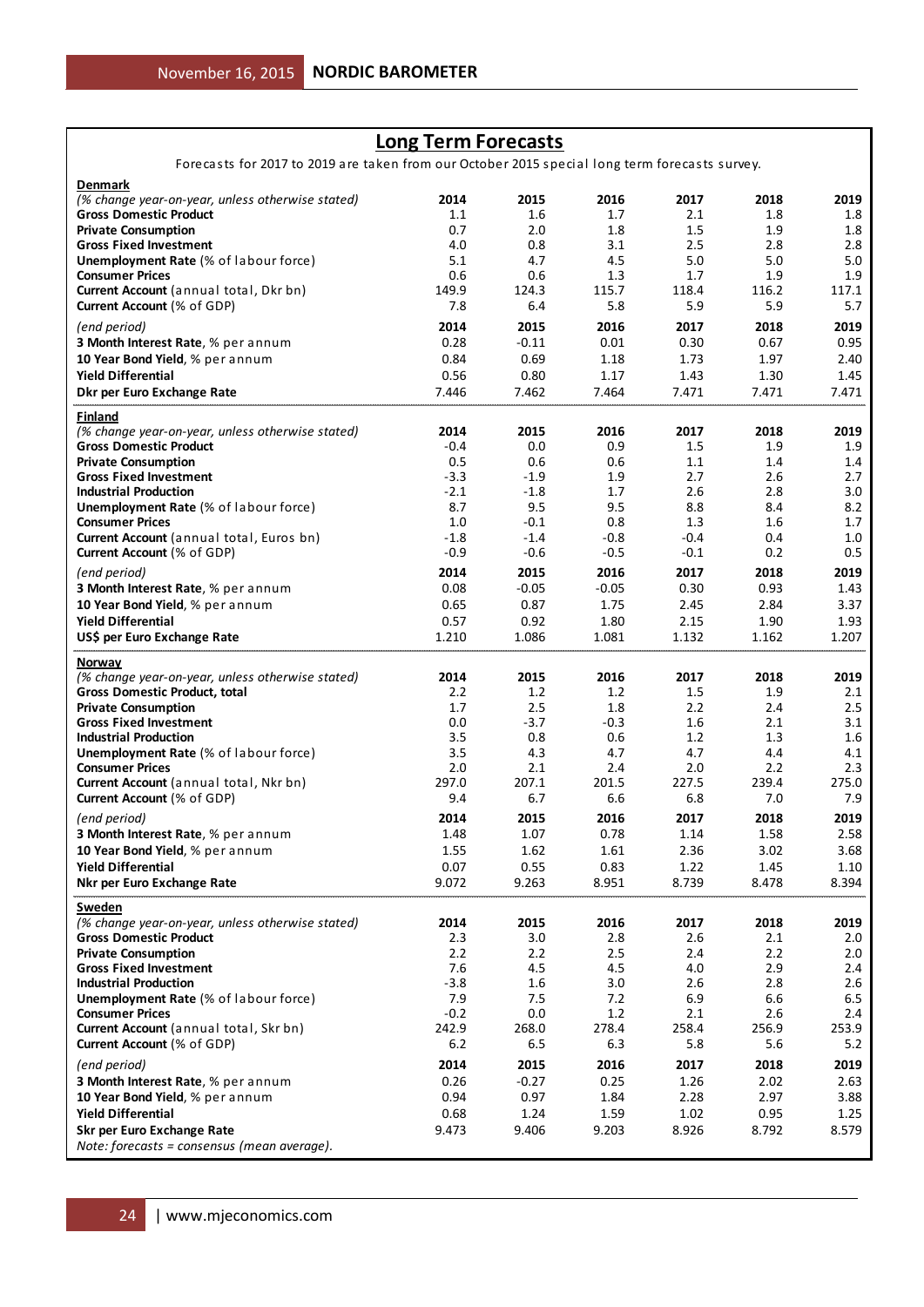# **Long Term Forecasts**

Forecasts for 2017 to 2019 are taken from our October 2015 special long term forecasts survey.

| Denmark                                                                           |                |                 |              |              |              |              |
|-----------------------------------------------------------------------------------|----------------|-----------------|--------------|--------------|--------------|--------------|
| (% change year-on-year, unless otherwise stated)                                  | 2014           | 2015            | 2016         | 2017         | 2018         | 2019         |
| <b>Gross Domestic Product</b>                                                     | 1.1            | 1.6             | 1.7          | 2.1          | 1.8          | 1.8          |
| <b>Private Consumption</b>                                                        | 0.7            | 2.0             | 1.8          | 1.5          | 1.9          | 1.8          |
| <b>Gross Fixed Investment</b><br><b>Unemployment Rate (% of labour force)</b>     | 4.0<br>5.1     | 0.8<br>4.7      | 3.1<br>4.5   | 2.5<br>5.0   | 2.8<br>5.0   | 2.8<br>5.0   |
| <b>Consumer Prices</b>                                                            | 0.6            | 0.6             | 1.3          | 1.7          | 1.9          | 1.9          |
| Current Account (annual total, Dkr bn)                                            | 149.9          | 124.3           | 115.7        | 118.4        | 116.2        | 117.1        |
| <b>Current Account (% of GDP)</b>                                                 | 7.8            | 6.4             | 5.8          | 5.9          | 5.9          | 5.7          |
|                                                                                   |                |                 |              |              |              |              |
| (end period)                                                                      | 2014<br>0.28   | 2015<br>$-0.11$ | 2016         | 2017<br>0.30 | 2018<br>0.67 | 2019         |
| 3 Month Interest Rate, % per annum                                                | 0.84           |                 | 0.01         |              |              | 0.95         |
| 10 Year Bond Yield, % per annum<br><b>Yield Differential</b>                      | 0.56           | 0.69<br>0.80    | 1.18<br>1.17 | 1.73<br>1.43 | 1.97<br>1.30 | 2.40<br>1.45 |
| Dkr per Euro Exchange Rate                                                        | 7.446          | 7.462           | 7.464        | 7.471        | 7.471        | 7.471        |
|                                                                                   |                |                 |              |              |              |              |
| Finland                                                                           |                |                 |              |              |              |              |
| (% change year-on-year, unless otherwise stated)<br><b>Gross Domestic Product</b> | 2014<br>$-0.4$ | 2015<br>0.0     | 2016<br>0.9  | 2017<br>1.5  | 2018<br>1.9  | 2019<br>1.9  |
| <b>Private Consumption</b>                                                        | 0.5            | 0.6             | 0.6          | 1.1          | 1.4          | 1.4          |
| <b>Gross Fixed Investment</b>                                                     | $-3.3$         | $-1.9$          | 1.9          | 2.7          | 2.6          | 2.7          |
| <b>Industrial Production</b>                                                      | $-2.1$         | $-1.8$          | 1.7          | 2.6          | 2.8          | 3.0          |
| <b>Unemployment Rate</b> (% of labour force)                                      | 8.7            | 9.5             | 9.5          | 8.8          | 8.4          | 8.2          |
| <b>Consumer Prices</b>                                                            | 1.0            | $-0.1$          | 0.8          | 1.3          | 1.6          | 1.7          |
| Current Account (annual total, Euros bn)                                          | $-1.8$         | $-1.4$          | -0.8         | $-0.4$       | 0.4          | 1.0          |
| <b>Current Account (% of GDP)</b>                                                 | $-0.9$         | $-0.6$          | -0.5         | $-0.1$       | 0.2          | 0.5          |
| (end period)                                                                      | 2014           | 2015            | 2016         | 2017         | 2018         | 2019         |
| 3 Month Interest Rate, % per annum                                                | 0.08           | $-0.05$         | $-0.05$      | 0.30         | 0.93         | 1.43         |
| 10 Year Bond Yield, % per annum                                                   | 0.65           | 0.87            | 1.75         | 2.45         | 2.84         | 3.37         |
| <b>Yield Differential</b>                                                         | 0.57           | 0.92            | 1.80         | 2.15         | 1.90         | 1.93         |
| US\$ per Euro Exchange Rate                                                       | 1.210          | 1.086           | 1.081        | 1.132        | 1.162        | 1.207        |
| Norway                                                                            |                |                 |              |              |              |              |
|                                                                                   |                |                 |              |              |              |              |
| (% change year-on-year, unless otherwise stated)                                  | 2014           | 2015            | 2016         | 2017         | 2018         | 2019         |
| <b>Gross Domestic Product, total</b>                                              | 2.2            | 1.2             | 1.2          | 1.5          | 1.9          | 2.1          |
| <b>Private Consumption</b>                                                        | 1.7            | 2.5             | 1.8          | 2.2          | 2.4          | 2.5          |
| <b>Gross Fixed Investment</b>                                                     | 0.0            | $-3.7$          | -0.3         | 1.6          | 2.1          | 3.1          |
| <b>Industrial Production</b>                                                      | 3.5            | 0.8             | 0.6          | 1.2          | 1.3          | 1.6          |
| <b>Unemployment Rate (% of labour force)</b>                                      | 3.5            | 4.3             | 4.7          | 4.7          | 4.4          | 4.1          |
| <b>Consumer Prices</b>                                                            | 2.0            | 2.1             | 2.4          | 2.0          | 2.2          | 2.3          |
| Current Account (annual total, Nkr bn)                                            | 297.0          | 207.1           | 201.5        | 227.5        | 239.4        | 275.0        |
| Current Account (% of GDP)                                                        | 9.4            | 6.7             | 6.6          | 6.8          | 7.0          | 7.9          |
| (end period)                                                                      | 2014           | 2015            | 2016         | 2017         | 2018         | 2019         |
| <b>3 Month Interest Rate</b> , % per annum                                        | 1.48           | 1.07            | 0.78         | 1.14         | 1.58         | 2.58         |
| 10 Year Bond Yield, % per annum                                                   | 1.55           | 1.62            | 1.61         | 2.36         | 3.02         | 3.68         |
| <b>Yield Differential</b>                                                         | 0.07           | 0.55            | 0.83         | 1.22         | 1.45         | 1.10         |
| Nkr per Euro Exchange Rate                                                        | 9.072          | 9.263           | 8.951        | 8.739        | 8.478        | 8.394        |
| Sweden                                                                            |                |                 |              |              |              |              |
| (% change year-on-year, unless otherwise stated)                                  | 2014           | 2015            | 2016         | 2017         | 2018         | 2019         |
| <b>Gross Domestic Product</b>                                                     | 2.3            | 3.0             | 2.8          | 2.6          | 2.1          | 2.0          |
| <b>Private Consumption</b><br><b>Gross Fixed Investment</b>                       | 2.2            | 2.2<br>4.5      | 2.5<br>4.5   | 2.4<br>4.0   | 2.2          | 2.0<br>2.4   |
| <b>Industrial Production</b>                                                      | 7.6<br>$-3.8$  | 1.6             | 3.0          | 2.6          | 2.9<br>2.8   | 2.6          |
| <b>Unemployment Rate</b> (% of labour force)                                      | 7.9            | 7.5             | 7.2          | 6.9          | 6.6          | 6.5          |
| <b>Consumer Prices</b>                                                            | $-0.2$         | 0.0             | 1.2          | 2.1          | 2.6          | 2.4          |
| Current Account (annual total, Skr bn)                                            | 242.9          | 268.0           | 278.4        | 258.4        | 256.9        | 253.9        |
| <b>Current Account (% of GDP)</b>                                                 | $6.2$          | 6.5             | 6.3          | 5.8          | 5.6          | 5.2          |
| (end period)                                                                      | 2014           | 2015            | 2016         | 2017         | 2018         | 2019         |
| 3 Month Interest Rate, % per annum                                                | 0.26           | $-0.27$         | 0.25         | 1.26         | 2.02         | 2.63         |
| 10 Year Bond Yield, % per annum                                                   | 0.94           | 0.97            | 1.84         | 2.28         | 2.97         | 3.88         |
| <b>Yield Differential</b>                                                         | 0.68           | 1.24            | 1.59         | 1.02         | 0.95         | 1.25         |
| Skr per Euro Exchange Rate<br>Note: forecasts = consensus (mean average).         | 9.473          | 9.406           | 9.203        | 8.926        | 8.792        | 8.579        |